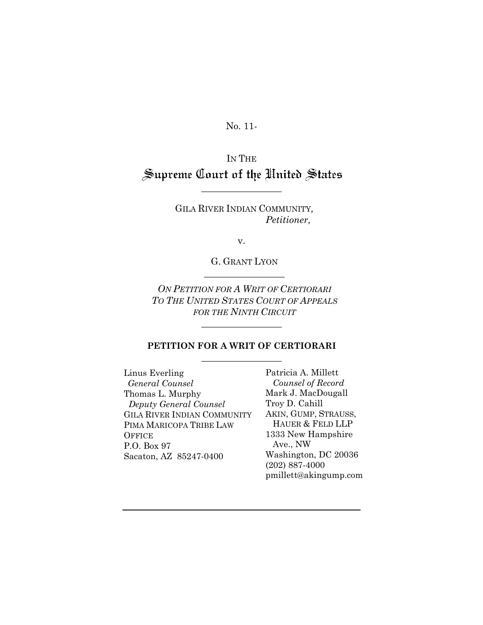No. 11-

IN THE Supreme Court of the United States

 $\overline{\phantom{a}}$  , where  $\overline{\phantom{a}}$ 

GILA RIVER INDIAN COMMUNITY*, Petitioner,* 

v.

G. GRANT LYON  $\overline{\phantom{a}}$  , where  $\overline{\phantom{a}}$ 

*ON PETITION FOR A WRIT OF CERTIORARI TO THE UNITED STATES COURT OF APPEALS FOR THE NINTH CIRCUIT*

 $\overline{\phantom{a}}$  , where  $\overline{\phantom{a}}$ 

#### **PETITION FOR A WRIT OF CERTIORARI**  $\overline{\phantom{a}}$  , where  $\overline{\phantom{a}}$

Linus Everling *General Counsel*  Thomas L. Murphy *Deputy General Counsel*  GILA RIVER INDIAN COMMUNITY PIMA MARICOPA TRIBE LAW **OFFICE** P.O. Box 97 Sacaton, AZ 85247-0400

Patricia A. Millett *Counsel of Record*  Mark J. MacDougall Troy D. Cahill AKIN, GUMP, STRAUSS, HAUER & FELD LLP 1333 New Hampshire Ave., NW Washington, DC 20036 (202) 887-4000 pmillett@akingump.com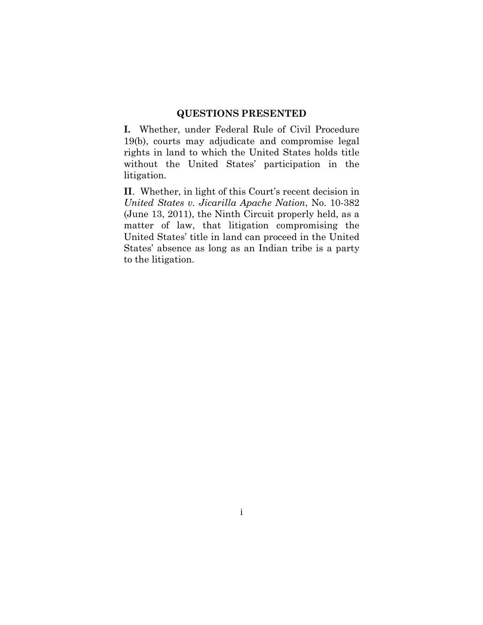#### **QUESTIONS PRESENTED**

**I.** Whether, under Federal Rule of Civil Procedure 19(b), courts may adjudicate and compromise legal rights in land to which the United States holds title without the United States' participation in the litigation.

**II**. Whether, in light of this Court's recent decision in *United States v. Jicarilla Apache Nation*, No. 10-382 (June 13, 2011), the Ninth Circuit properly held, as a matter of law, that litigation compromising the United States' title in land can proceed in the United States' absence as long as an Indian tribe is a party to the litigation.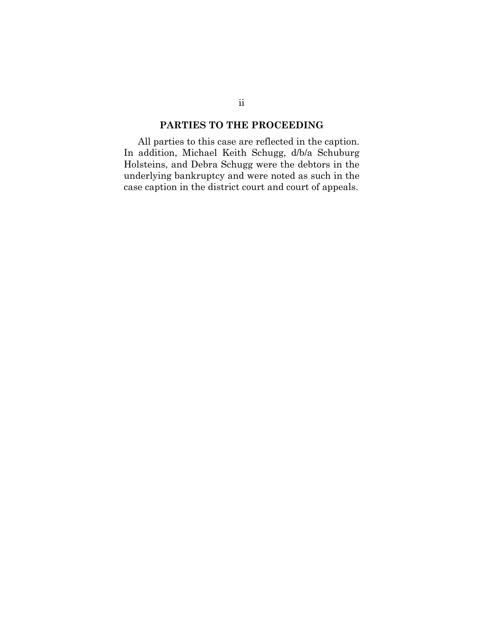## **PARTIES TO THE PROCEEDING**

All parties to this case are reflected in the caption. In addition, Michael Keith Schugg, d/b/a Schuburg Holsteins, and Debra Schugg were the debtors in the underlying bankruptcy and were noted as such in the case caption in the district court and court of appeals.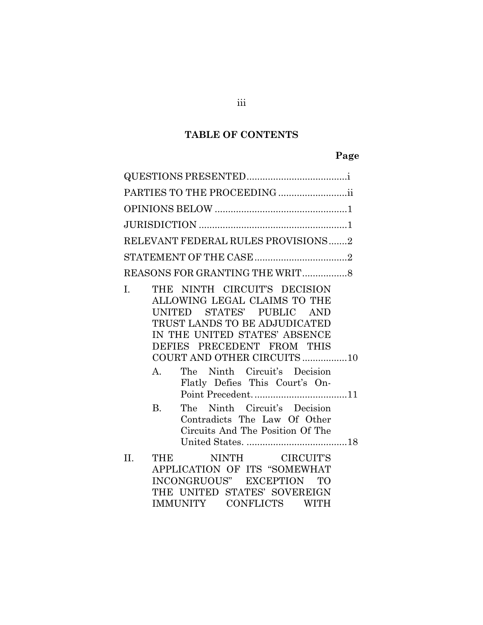## **TABLE OF CONTENTS**

# **Page**

| PARTIES TO THE PROCEEDING                                                                                                                                                                                                                                                                                                                                                                                                                 |
|-------------------------------------------------------------------------------------------------------------------------------------------------------------------------------------------------------------------------------------------------------------------------------------------------------------------------------------------------------------------------------------------------------------------------------------------|
|                                                                                                                                                                                                                                                                                                                                                                                                                                           |
|                                                                                                                                                                                                                                                                                                                                                                                                                                           |
| RELEVANT FEDERAL RULES PROVISIONS2                                                                                                                                                                                                                                                                                                                                                                                                        |
|                                                                                                                                                                                                                                                                                                                                                                                                                                           |
|                                                                                                                                                                                                                                                                                                                                                                                                                                           |
| THE NINTH CIRCUIT'S DECISION<br>$\mathbf{I}$ .<br>ALLOWING LEGAL CLAIMS TO THE<br>UNITED STATES' PUBLIC AND<br>TRUST LANDS TO BE ADJUDICATED<br>IN THE UNITED STATES' ABSENCE<br>DEFIES PRECEDENT FROM THIS<br>COURT AND OTHER CIRCUITS10<br>The Ninth Circuit's Decision<br>$A_{1}$<br>Flatly Defies This Court's On-<br>The Ninth Circuit's Decision<br>$B_{\cdot}$<br>Contradicts The Law Of Other<br>Circuits And The Position Of The |
| NINTH CIRCUIT'S<br>II.<br><b>THE</b><br>APPLICATION OF ITS "SOMEWHAT<br>INCONGRUOUS" EXCEPTION TO<br>THE UNITED STATES' SOVEREIGN<br>IMMUNITY CONFLICTS WITH                                                                                                                                                                                                                                                                              |

iii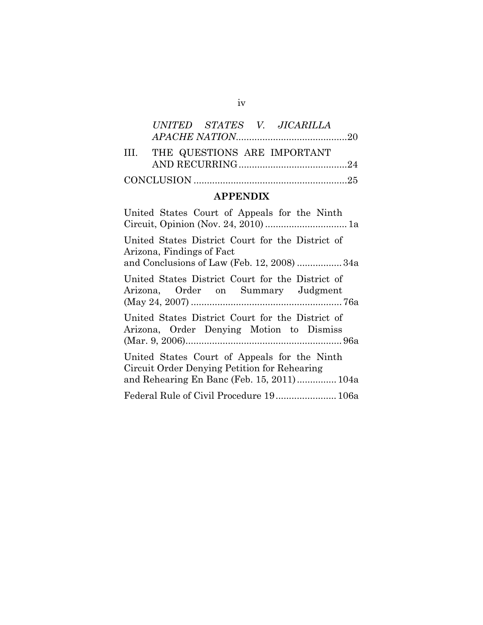|  |  | UNITED STATES V. JICARILLA       |  |
|--|--|----------------------------------|--|
|  |  |                                  |  |
|  |  | III. THE QUESTIONS ARE IMPORTANT |  |
|  |  |                                  |  |
|  |  |                                  |  |

# **APPENDIX**

| United States Court of Appeals for the Ninth                                                                                               |
|--------------------------------------------------------------------------------------------------------------------------------------------|
| United States District Court for the District of<br>Arizona, Findings of Fact<br>and Conclusions of Law (Feb. 12, 2008) 34a                |
| United States District Court for the District of<br>Arizona, Order on Summary Judgment                                                     |
| United States District Court for the District of<br>Arizona, Order Denying Motion to Dismiss                                               |
| United States Court of Appeals for the Ninth<br>Circuit Order Denying Petition for Rehearing<br>and Rehearing En Banc (Feb. 15, 2011) 104a |
| Federal Rule of Civil Procedure 19 106a                                                                                                    |

iv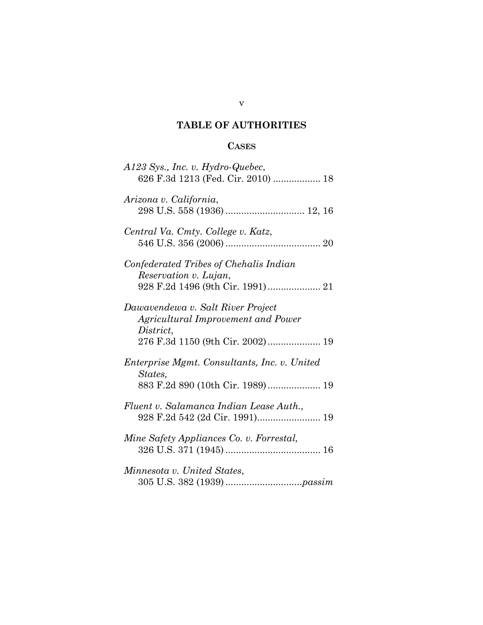## **TABLE OF AUTHORITIES**

## **CASES**

| A123 Sys., Inc. v. Hydro-Quebec,<br>626 F.3d 1213 (Fed. Cir. 2010)  18                                                   |
|--------------------------------------------------------------------------------------------------------------------------|
| Arizona v. California,                                                                                                   |
| Central Va. Cmty. College v. Katz,                                                                                       |
| Confederated Tribes of Chehalis Indian<br>Reservation v. Lujan,                                                          |
| Dawavendewa v. Salt River Project<br>Agricultural Improvement and Power<br>District,<br>276 F.3d 1150 (9th Cir. 2002) 19 |
| Enterprise Mgmt. Consultants, Inc. v. United<br>States,<br>883 F.2d 890 (10th Cir. 1989) 19                              |
| Fluent v. Salamanca Indian Lease Auth.,<br>928 F.2d 542 (2d Cir. 1991) 19                                                |
| Mine Safety Appliances Co. v. Forrestal,                                                                                 |
| Minnesota v. United States,                                                                                              |

### v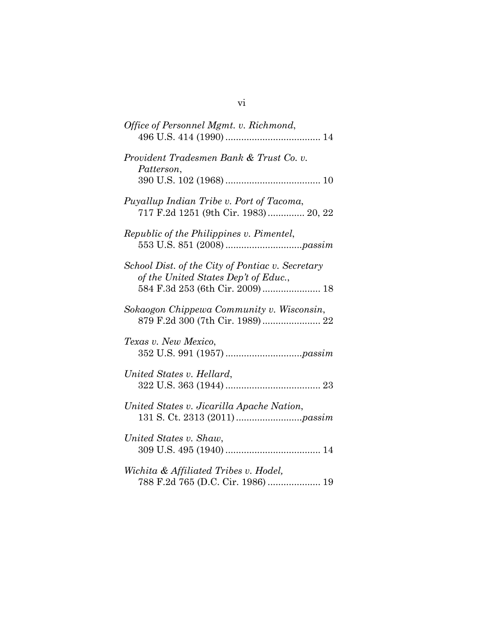| Office of Personnel Mgmt. v. Richmond,                                                                                      |
|-----------------------------------------------------------------------------------------------------------------------------|
| Provident Tradesmen Bank & Trust Co. v.<br>Patterson,                                                                       |
| Puyallup Indian Tribe v. Port of Tacoma,<br>717 F.2d 1251 (9th Cir. 1983) 20, 22                                            |
| Republic of the Philippines v. Pimentel,                                                                                    |
| School Dist. of the City of Pontiac v. Secretary<br>of the United States Dep't of Educ.,<br>584 F.3d 253 (6th Cir. 2009) 18 |
| Sokaogon Chippewa Community v. Wisconsin,                                                                                   |
| Texas v. New Mexico,                                                                                                        |
| United States v. Hellard,                                                                                                   |
| United States v. Jicarilla Apache Nation,                                                                                   |
| United States v. Shaw,                                                                                                      |
| Wichita & Affiliated Tribes v. Hodel,<br>788 F.2d 765 (D.C. Cir. 1986)  19                                                  |

vi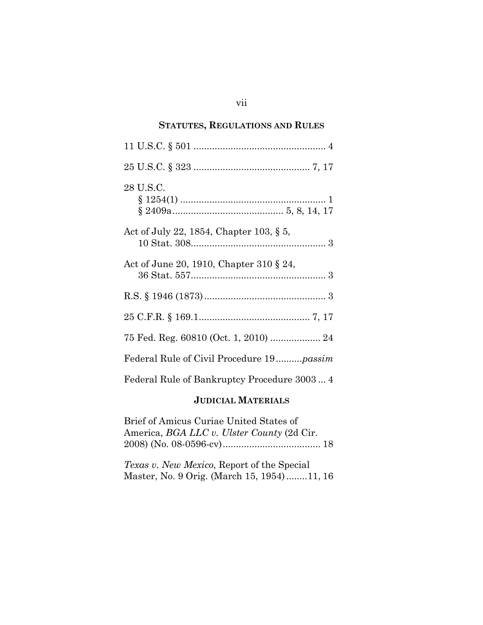## **STATUTES, REGULATIONS AND RULES**

| 28 U.S.C.                                        |
|--------------------------------------------------|
| Act of July 22, 1854, Chapter 103, $\S 5$ ,      |
| Act of June 20, 1910, Chapter 310 § 24,          |
|                                                  |
|                                                  |
|                                                  |
| Federal Rule of Civil Procedure 19 <i>passim</i> |
| Federal Rule of Bankruptcy Procedure 3003 4      |

#### **JUDICIAL MATERIALS**

Brief of Amicus Curiae United States of America, *BGA LLC v. Ulster County* (2d Cir. 2008) (No. 08-0596-cv) ..................................... 18

*Texas v. New Mexico*, Report of the Special Master, No. 9 Orig. (March 15, 1954) ........ 11, 16

#### vii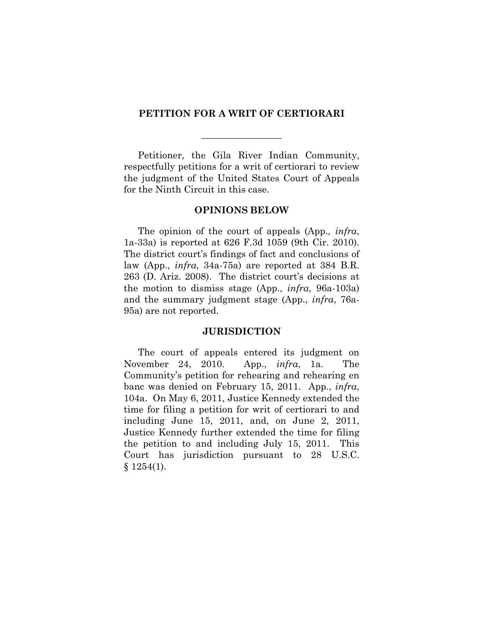#### **PETITION FOR A WRIT OF CERTIORARI**

 $\overline{\phantom{a}}$  , where  $\overline{\phantom{a}}$ 

Petitioner, the Gila River Indian Community, respectfully petitions for a writ of certiorari to review the judgment of the United States Court of Appeals for the Ninth Circuit in this case.

#### **OPINIONS BELOW**

The opinion of the court of appeals (App., *infra*, 1a-33a) is reported at 626 F.3d 1059 (9th Cir. 2010). The district court's findings of fact and conclusions of law (App., *infra*, 34a-75a) are reported at 384 B.R. 263 (D. Ariz. 2008). The district court's decisions at the motion to dismiss stage (App., *infra*, 96a-103a) and the summary judgment stage (App., *infra*, 76a-95a) are not reported.

#### **JURISDICTION**

The court of appeals entered its judgment on November 24, 2010. App., *infra*, 1a. The Community's petition for rehearing and rehearing en banc was denied on February 15, 2011. App., *infra*, 104a. On May 6, 2011, Justice Kennedy extended the time for filing a petition for writ of certiorari to and including June 15, 2011, and, on June 2, 2011, Justice Kennedy further extended the time for filing the petition to and including July 15, 2011. This Court has jurisdiction pursuant to 28 U.S.C.  $§ 1254(1).$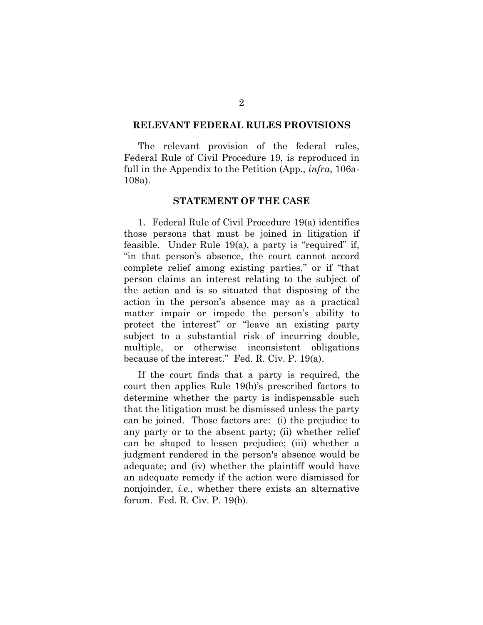#### **RELEVANT FEDERAL RULES PROVISIONS**

The relevant provision of the federal rules, Federal Rule of Civil Procedure 19, is reproduced in full in the Appendix to the Petition (App., *infra*, 106a-108a).

#### **STATEMENT OF THE CASE**

1. Federal Rule of Civil Procedure 19(a) identifies those persons that must be joined in litigation if feasible. Under Rule 19(a), a party is "required" if, "in that person's absence, the court cannot accord complete relief among existing parties," or if "that person claims an interest relating to the subject of the action and is so situated that disposing of the action in the person's absence may as a practical matter impair or impede the person's ability to protect the interest" or "leave an existing party subject to a substantial risk of incurring double, multiple, or otherwise inconsistent obligations because of the interest." Fed. R. Civ. P. 19(a).

If the court finds that a party is required, the court then applies Rule 19(b)'s prescribed factors to determine whether the party is indispensable such that the litigation must be dismissed unless the party can be joined. Those factors are: (i) the prejudice to any party or to the absent party; (ii) whether relief can be shaped to lessen prejudice; (iii) whether a judgment rendered in the person's absence would be adequate; and (iv) whether the plaintiff would have an adequate remedy if the action were dismissed for nonjoinder, *i.e.*, whether there exists an alternative forum. Fed. R. Civ. P. 19(b).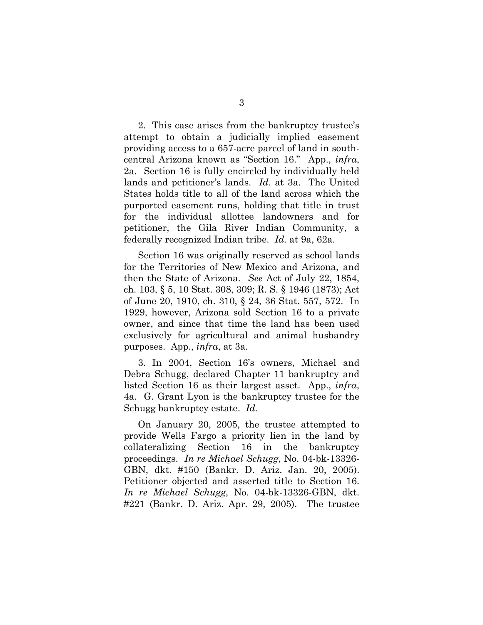2. This case arises from the bankruptcy trustee's attempt to obtain a judicially implied easement providing access to a 657-acre parcel of land in southcentral Arizona known as "Section 16." App., *infra*, 2a. Section 16 is fully encircled by individually held lands and petitioner's lands. *Id*. at 3a. The United States holds title to all of the land across which the purported easement runs, holding that title in trust for the individual allottee landowners and for petitioner, the Gila River Indian Community, a federally recognized Indian tribe. *Id.* at 9a, 62a.

Section 16 was originally reserved as school lands for the Territories of New Mexico and Arizona, and then the State of Arizona. *See* Act of July 22, 1854, ch. 103, § 5, 10 Stat. 308, 309; R. S. § 1946 (1873); Act of June 20, 1910, ch. 310, § 24, 36 Stat. 557, 572. In 1929, however, Arizona sold Section 16 to a private owner, and since that time the land has been used exclusively for agricultural and animal husbandry purposes. App., *infra*, at 3a.

3. In 2004, Section 16's owners, Michael and Debra Schugg, declared Chapter 11 bankruptcy and listed Section 16 as their largest asset. App., *infra*, 4a. G. Grant Lyon is the bankruptcy trustee for the Schugg bankruptcy estate. *Id.*

On January 20, 2005, the trustee attempted to provide Wells Fargo a priority lien in the land by collateralizing Section 16 in the bankruptcy proceedings. *In re Michael Schugg*, No. 04-bk-13326- GBN, dkt. #150 (Bankr. D. Ariz. Jan. 20, 2005). Petitioner objected and asserted title to Section 16. *In re Michael Schugg*, No. 04-bk-13326-GBN, dkt. #221 (Bankr. D. Ariz. Apr. 29, 2005). The trustee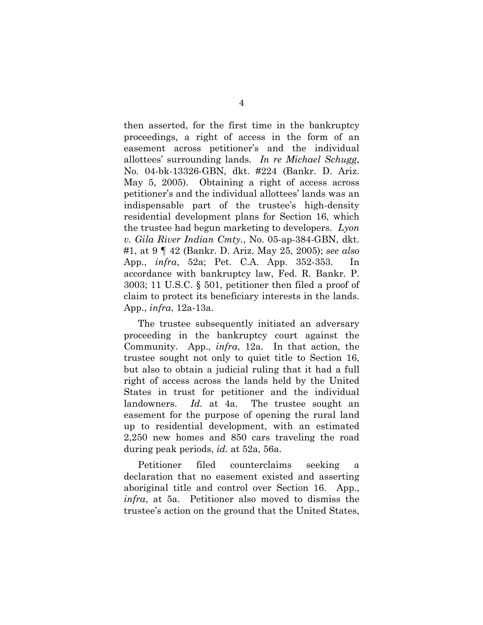then asserted, for the first time in the bankruptcy proceedings, a right of access in the form of an easement across petitioner's and the individual allottees' surrounding lands. *In re Michael Schugg*, No. 04-bk-13326-GBN, dkt. #224 (Bankr. D. Ariz. May 5, 2005). Obtaining a right of access across petitioner's and the individual allottees' lands was an indispensable part of the trustee's high-density residential development plans for Section 16, which the trustee had begun marketing to developers. *Lyon v. Gila River Indian Cmty.*, No. 05-ap-384-GBN, dkt. #1, at 9 ¶ 42 (Bankr. D. Ariz. May 25, 2005); *see also* App., *infra*, 52a; Pet. C.A. App. 352-353. In accordance with bankruptcy law, Fed. R. Bankr. P. 3003; 11 U.S.C. § 501, petitioner then filed a proof of claim to protect its beneficiary interests in the lands. App., *infra*, 12a-13a.

The trustee subsequently initiated an adversary proceeding in the bankruptcy court against the Community. App., *infra*, 12a. In that action, the trustee sought not only to quiet title to Section 16, but also to obtain a judicial ruling that it had a full right of access across the lands held by the United States in trust for petitioner and the individual landowners. *Id.* at 4a. The trustee sought an easement for the purpose of opening the rural land up to residential development, with an estimated 2,250 new homes and 850 cars traveling the road during peak periods, *id.* at 52a, 56a.

Petitioner filed counterclaims seeking a declaration that no easement existed and asserting aboriginal title and control over Section 16. App., *infra*, at 5a. Petitioner also moved to dismiss the trustee's action on the ground that the United States,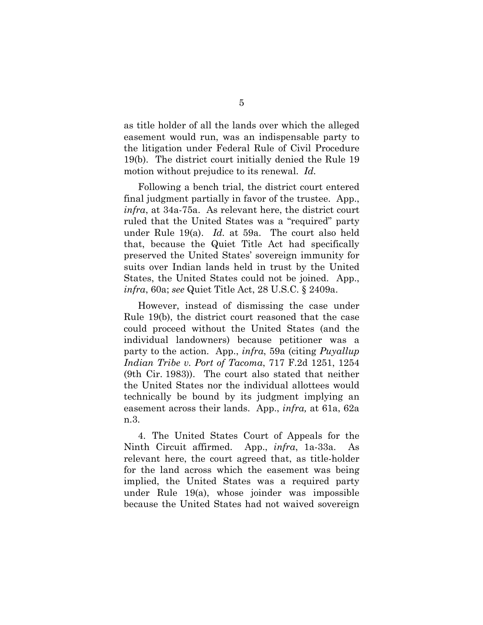as title holder of all the lands over which the alleged easement would run, was an indispensable party to the litigation under Federal Rule of Civil Procedure 19(b). The district court initially denied the Rule 19 motion without prejudice to its renewal. *Id.*

Following a bench trial, the district court entered final judgment partially in favor of the trustee. App., *infra*, at 34a-75a. As relevant here, the district court ruled that the United States was a "required" party under Rule 19(a). *Id.* at 59a. The court also held that, because the Quiet Title Act had specifically preserved the United States' sovereign immunity for suits over Indian lands held in trust by the United States, the United States could not be joined. App., *infra*, 60a; *see* Quiet Title Act, 28 U.S.C. § 2409a.

However, instead of dismissing the case under Rule 19(b), the district court reasoned that the case could proceed without the United States (and the individual landowners) because petitioner was a party to the action. App., *infra*, 59a (citing *Puyallup Indian Tribe v. Port of Tacoma*, 717 F.2d 1251, 1254 (9th Cir. 1983)). The court also stated that neither the United States nor the individual allottees would technically be bound by its judgment implying an easement across their lands. App., *infra,* at 61a, 62a n.3.

4. The United States Court of Appeals for the Ninth Circuit affirmed. App., *infra*, 1a-33a. As relevant here, the court agreed that, as title-holder for the land across which the easement was being implied, the United States was a required party under Rule 19(a), whose joinder was impossible because the United States had not waived sovereign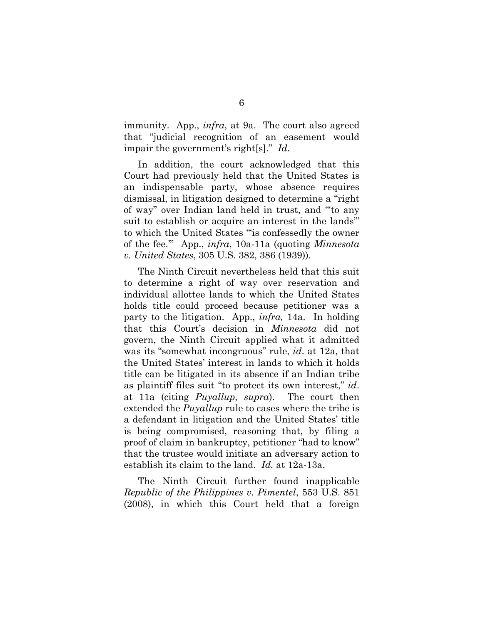immunity. App., *infra*, at 9a. The court also agreed that "judicial recognition of an easement would impair the government's right[s]." *Id*.

In addition, the court acknowledged that this Court had previously held that the United States is an indispensable party, whose absence requires dismissal, in litigation designed to determine a "right of way" over Indian land held in trust, and "'to any suit to establish or acquire an interest in the lands'" to which the United States "'is confessedly the owner of the fee.'" App., *infra*, 10a-11a (quoting *Minnesota v. United States*, 305 U.S. 382, 386 (1939)).

The Ninth Circuit nevertheless held that this suit to determine a right of way over reservation and individual allottee lands to which the United States holds title could proceed because petitioner was a party to the litigation. App., *infra,* 14a. In holding that this Court's decision in *Minnesota* did not govern, the Ninth Circuit applied what it admitted was its "somewhat incongruous" rule, *id*. at 12a, that the United States' interest in lands to which it holds title can be litigated in its absence if an Indian tribe as plaintiff files suit "to protect its own interest," *id*. at 11a (citing *Puyallup, supra*). The court then extended the *Puyallup* rule to cases where the tribe is a defendant in litigation and the United States' title is being compromised, reasoning that, by filing a proof of claim in bankruptcy, petitioner "had to know" that the trustee would initiate an adversary action to establish its claim to the land. *Id.* at 12a-13a.

The Ninth Circuit further found inapplicable *Republic of the Philippines v. Pimentel*, 553 U.S. 851 (2008), in which this Court held that a foreign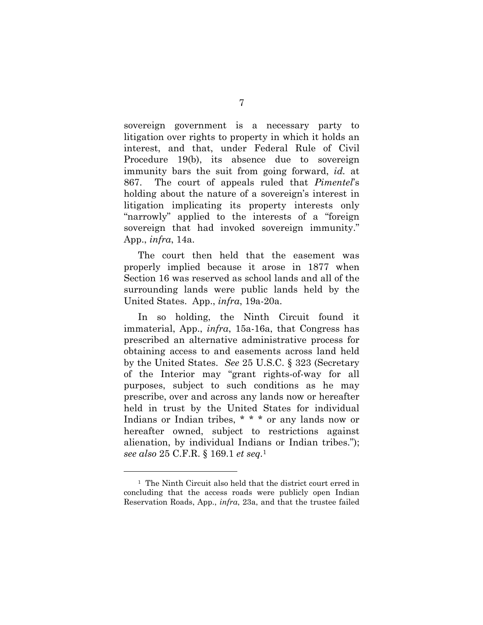sovereign government is a necessary party to litigation over rights to property in which it holds an interest, and that, under Federal Rule of Civil Procedure 19(b), its absence due to sovereign immunity bars the suit from going forward, *id.* at 867. The court of appeals ruled that *Pimentel*'s holding about the nature of a sovereign's interest in litigation implicating its property interests only "narrowly" applied to the interests of a "foreign sovereign that had invoked sovereign immunity." App., *infra*, 14a.

The court then held that the easement was properly implied because it arose in 1877 when Section 16 was reserved as school lands and all of the surrounding lands were public lands held by the United States. App., *infra*, 19a-20a.

In so holding, the Ninth Circuit found it immaterial, App., *infra*, 15a-16a, that Congress has prescribed an alternative administrative process for obtaining access to and easements across land held by the United States. *See* 25 U.S.C. § 323 (Secretary of the Interior may "grant rights-of-way for all purposes, subject to such conditions as he may prescribe, over and across any lands now or hereafter held in trust by the United States for individual Indians or Indian tribes, \* \* \* or any lands now or hereafter owned, subject to restrictions against alienation, by individual Indians or Indian tribes."); *see also* 25 C.F.R. § 169.1 *et seq.*<sup>1</sup>

1

<sup>1</sup> The Ninth Circuit also held that the district court erred in concluding that the access roads were publicly open Indian Reservation Roads, App., *infra*, 23a, and that the trustee failed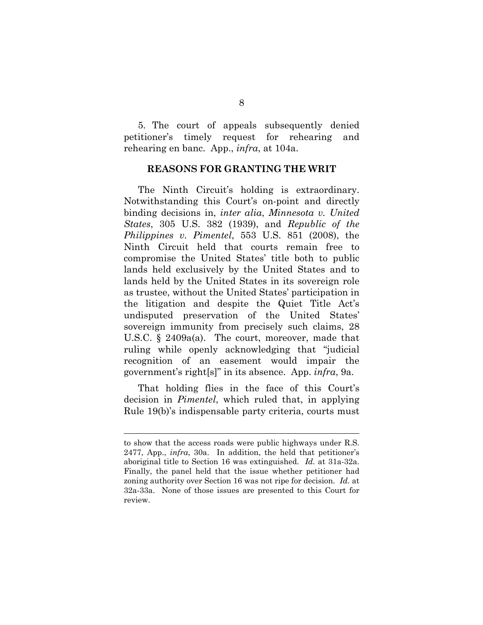5. The court of appeals subsequently denied petitioner's timely request for rehearing and rehearing en banc. App., *infra*, at 104a.

#### **REASONS FOR GRANTING THE WRIT**

The Ninth Circuit's holding is extraordinary. Notwithstanding this Court's on-point and directly binding decisions in, *inter alia*, *Minnesota v. United States*, 305 U.S. 382 (1939), and *Republic of the Philippines v. Pimentel*, 553 U.S. 851 (2008), the Ninth Circuit held that courts remain free to compromise the United States' title both to public lands held exclusively by the United States and to lands held by the United States in its sovereign role as trustee, without the United States' participation in the litigation and despite the Quiet Title Act's undisputed preservation of the United States' sovereign immunity from precisely such claims, 28 U.S.C. § 2409a(a). The court, moreover, made that ruling while openly acknowledging that "judicial recognition of an easement would impair the government's right[s]" in its absence. App. *infra*, 9a.

That holding flies in the face of this Court's decision in *Pimentel*, which ruled that, in applying Rule 19(b)'s indispensable party criteria, courts must

 $\overline{a}$ 

to show that the access roads were public highways under R.S. 2477, App., *infra*, 30a. In addition, the held that petitioner's aboriginal title to Section 16 was extinguished. *Id.* at 31a-32a. Finally, the panel held that the issue whether petitioner had zoning authority over Section 16 was not ripe for decision. *Id.* at 32a-33a. None of those issues are presented to this Court for review.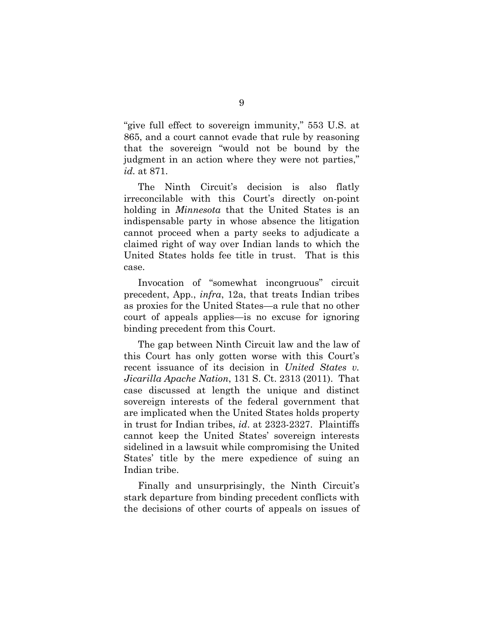"give full effect to sovereign immunity," 553 U.S. at 865, and a court cannot evade that rule by reasoning that the sovereign "would not be bound by the judgment in an action where they were not parties," *id.* at 871.

The Ninth Circuit's decision is also flatly irreconcilable with this Court's directly on-point holding in *Minnesota* that the United States is an indispensable party in whose absence the litigation cannot proceed when a party seeks to adjudicate a claimed right of way over Indian lands to which the United States holds fee title in trust. That is this case.

Invocation of "somewhat incongruous" circuit precedent, App., *infra*, 12a, that treats Indian tribes as proxies for the United States—a rule that no other court of appeals applies—is no excuse for ignoring binding precedent from this Court.

The gap between Ninth Circuit law and the law of this Court has only gotten worse with this Court's recent issuance of its decision in *United States v. Jicarilla Apache Nation*, 131 S. Ct. 2313 (2011). That case discussed at length the unique and distinct sovereign interests of the federal government that are implicated when the United States holds property in trust for Indian tribes, *id*. at 2323-2327. Plaintiffs cannot keep the United States' sovereign interests sidelined in a lawsuit while compromising the United States' title by the mere expedience of suing an Indian tribe.

Finally and unsurprisingly, the Ninth Circuit's stark departure from binding precedent conflicts with the decisions of other courts of appeals on issues of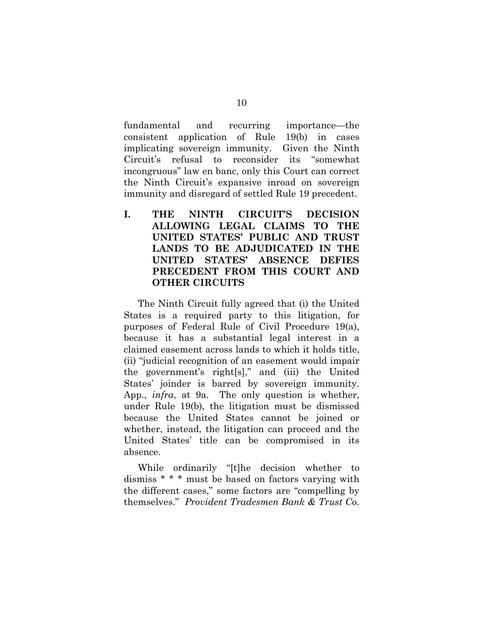fundamental and recurring importance—the consistent application of Rule 19(b) in cases implicating sovereign immunity. Given the Ninth Circuit's refusal to reconsider its "somewhat incongruous" law en banc, only this Court can correct the Ninth Circuit's expansive inroad on sovereign immunity and disregard of settled Rule 19 precedent.

**I. THE NINTH CIRCUIT'S DECISION ALLOWING LEGAL CLAIMS TO THE UNITED STATES' PUBLIC AND TRUST LANDS TO BE ADJUDICATED IN THE UNITED STATES' ABSENCE DEFIES PRECEDENT FROM THIS COURT AND OTHER CIRCUITS** 

The Ninth Circuit fully agreed that (i) the United States is a required party to this litigation, for purposes of Federal Rule of Civil Procedure 19(a), because it has a substantial legal interest in a claimed easement across lands to which it holds title, (ii) "judicial recognition of an easement would impair the government's right[s]," and (iii) the United States' joinder is barred by sovereign immunity. App., *infra*, at 9a. The only question is whether, under Rule 19(b), the litigation must be dismissed because the United States cannot be joined or whether, instead, the litigation can proceed and the United States' title can be compromised in its absence.

While ordinarily "[t]he decision whether to dismiss \* \* \* must be based on factors varying with the different cases," some factors are "compelling by themselves." *Provident Tradesmen Bank & Trust Co.*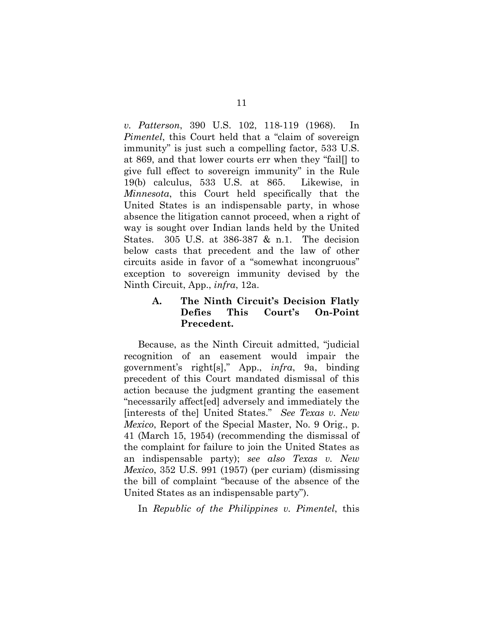*v. Patterson*, 390 U.S. 102, 118-119 (1968). In *Pimentel*, this Court held that a "claim of sovereign immunity" is just such a compelling factor, 533 U.S. at 869, and that lower courts err when they "fail[] to give full effect to sovereign immunity" in the Rule 19(b) calculus, 533 U.S. at 865. Likewise, in *Minnesota*, this Court held specifically that the United States is an indispensable party, in whose absence the litigation cannot proceed, when a right of way is sought over Indian lands held by the United States. 305 U.S. at 386-387 & n.1. The decision below casts that precedent and the law of other circuits aside in favor of a "somewhat incongruous" exception to sovereign immunity devised by the Ninth Circuit, App., *infra*, 12a.

### **A. The Ninth Circuit's Decision Flatly Defies This Court's On-Point Precedent.**

Because, as the Ninth Circuit admitted, "judicial recognition of an easement would impair the government's right[s]," App., *infra*, 9a, binding precedent of this Court mandated dismissal of this action because the judgment granting the easement "necessarily affect[ed] adversely and immediately the [interests of the] United States." *See Texas v. New Mexico*, Report of the Special Master, No. 9 Orig., p. 41 (March 15, 1954) (recommending the dismissal of the complaint for failure to join the United States as an indispensable party); *see also Texas v. New Mexico*, 352 U.S. 991 (1957) (per curiam) (dismissing the bill of complaint "because of the absence of the United States as an indispensable party").

In *Republic of the Philippines v. Pimentel*, this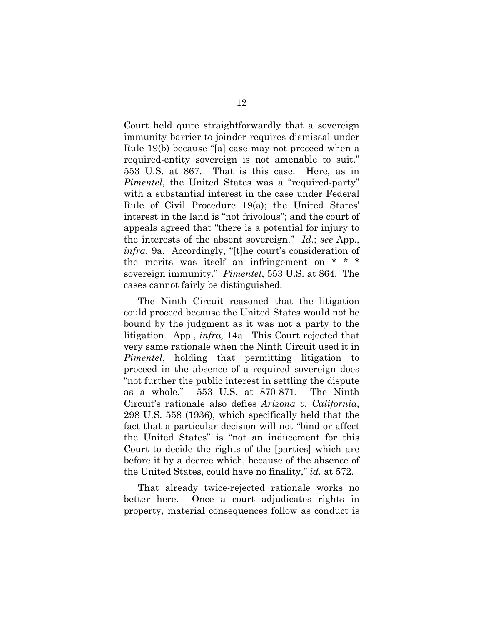Court held quite straightforwardly that a sovereign immunity barrier to joinder requires dismissal under Rule 19(b) because "[a] case may not proceed when a required-entity sovereign is not amenable to suit." 553 U.S. at 867. That is this case. Here, as in *Pimentel*, the United States was a "required-party" with a substantial interest in the case under Federal Rule of Civil Procedure 19(a); the United States' interest in the land is "not frivolous"; and the court of appeals agreed that "there is a potential for injury to the interests of the absent sovereign." *Id*.; *see* App., *infra*, 9a. Accordingly, "[t]he court's consideration of the merits was itself an infringement on \* \* \* sovereign immunity." *Pimentel*, 553 U.S. at 864. The cases cannot fairly be distinguished.

The Ninth Circuit reasoned that the litigation could proceed because the United States would not be bound by the judgment as it was not a party to the litigation. App., *infra,* 14a. This Court rejected that very same rationale when the Ninth Circuit used it in *Pimentel*, holding that permitting litigation to proceed in the absence of a required sovereign does "not further the public interest in settling the dispute as a whole." 553 U.S. at 870-871. The Ninth Circuit's rationale also defies *Arizona v. California*, 298 U.S. 558 (1936), which specifically held that the fact that a particular decision will not "bind or affect the United States" is "not an inducement for this Court to decide the rights of the [parties] which are before it by a decree which, because of the absence of the United States, could have no finality," *id.* at 572.

That already twice-rejected rationale works no better here. Once a court adjudicates rights in property, material consequences follow as conduct is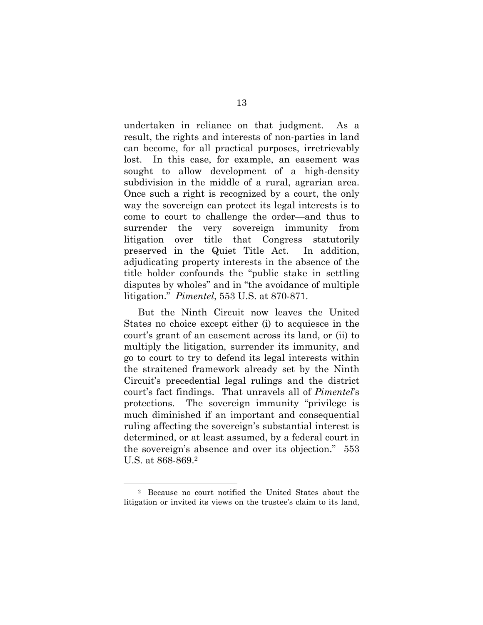undertaken in reliance on that judgment. As a result, the rights and interests of non-parties in land can become, for all practical purposes, irretrievably lost. In this case, for example, an easement was sought to allow development of a high-density subdivision in the middle of a rural, agrarian area. Once such a right is recognized by a court, the only way the sovereign can protect its legal interests is to come to court to challenge the order—and thus to surrender the very sovereign immunity from litigation over title that Congress statutorily preserved in the Quiet Title Act. In addition, adjudicating property interests in the absence of the title holder confounds the "public stake in settling disputes by wholes" and in "the avoidance of multiple litigation." *Pimentel*, 553 U.S. at 870-871.

But the Ninth Circuit now leaves the United States no choice except either (i) to acquiesce in the court's grant of an easement across its land, or (ii) to multiply the litigation, surrender its immunity, and go to court to try to defend its legal interests within the straitened framework already set by the Ninth Circuit's precedential legal rulings and the district court's fact findings. That unravels all of *Pimentel*'s protections. The sovereign immunity "privilege is much diminished if an important and consequential ruling affecting the sovereign's substantial interest is determined, or at least assumed, by a federal court in the sovereign's absence and over its objection." 553 U.S. at 868-869.2

1

<sup>2</sup> Because no court notified the United States about the litigation or invited its views on the trustee's claim to its land,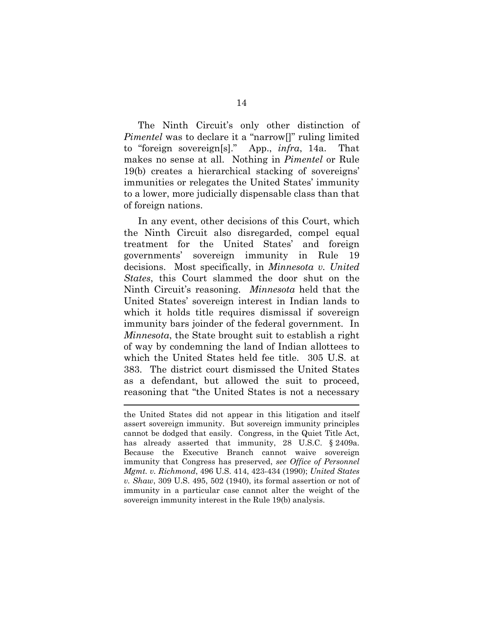The Ninth Circuit's only other distinction of *Pimentel* was to declare it a "narrow<sup>[]"</sup> ruling limited to "foreign sovereign[s]." App., *infra*, 14a. That makes no sense at all. Nothing in *Pimentel* or Rule 19(b) creates a hierarchical stacking of sovereigns' immunities or relegates the United States' immunity to a lower, more judicially dispensable class than that of foreign nations.

In any event, other decisions of this Court, which the Ninth Circuit also disregarded, compel equal treatment for the United States' and foreign governments' sovereign immunity in Rule 19 decisions. Most specifically, in *Minnesota v. United States*, this Court slammed the door shut on the Ninth Circuit's reasoning. *Minnesota* held that the United States' sovereign interest in Indian lands to which it holds title requires dismissal if sovereign immunity bars joinder of the federal government. In *Minnesota*, the State brought suit to establish a right of way by condemning the land of Indian allottees to which the United States held fee title. 305 U.S. at 383. The district court dismissed the United States as a defendant, but allowed the suit to proceed, reasoning that "the United States is not a necessary

 $\overline{a}$ 

the United States did not appear in this litigation and itself assert sovereign immunity. But sovereign immunity principles cannot be dodged that easily. Congress, in the Quiet Title Act, has already asserted that immunity, 28 U.S.C. § 2409a. Because the Executive Branch cannot waive sovereign immunity that Congress has preserved, *see Office of Personnel Mgmt. v. Richmond*, 496 U.S. 414, 423-434 (1990); *United States v. Shaw*, 309 U.S. 495, 502 (1940), its formal assertion or not of immunity in a particular case cannot alter the weight of the sovereign immunity interest in the Rule 19(b) analysis.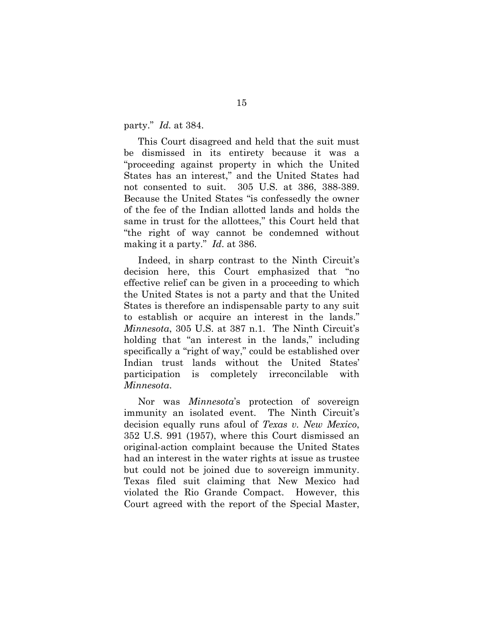party." *Id.* at 384.

This Court disagreed and held that the suit must be dismissed in its entirety because it was a "proceeding against property in which the United States has an interest," and the United States had not consented to suit. 305 U.S. at 386, 388-389. Because the United States "is confessedly the owner of the fee of the Indian allotted lands and holds the same in trust for the allottees," this Court held that "the right of way cannot be condemned without making it a party." *Id*. at 386.

Indeed, in sharp contrast to the Ninth Circuit's decision here, this Court emphasized that "no effective relief can be given in a proceeding to which the United States is not a party and that the United States is therefore an indispensable party to any suit to establish or acquire an interest in the lands." *Minnesota*, 305 U.S. at 387 n.1. The Ninth Circuit's holding that "an interest in the lands," including specifically a "right of way," could be established over Indian trust lands without the United States' participation is completely irreconcilable with *Minnesota*.

Nor was *Minnesota*'s protection of sovereign immunity an isolated event. The Ninth Circuit's decision equally runs afoul of *Texas v. New Mexico*, 352 U.S. 991 (1957), where this Court dismissed an original-action complaint because the United States had an interest in the water rights at issue as trustee but could not be joined due to sovereign immunity. Texas filed suit claiming that New Mexico had violated the Rio Grande Compact. However, this Court agreed with the report of the Special Master,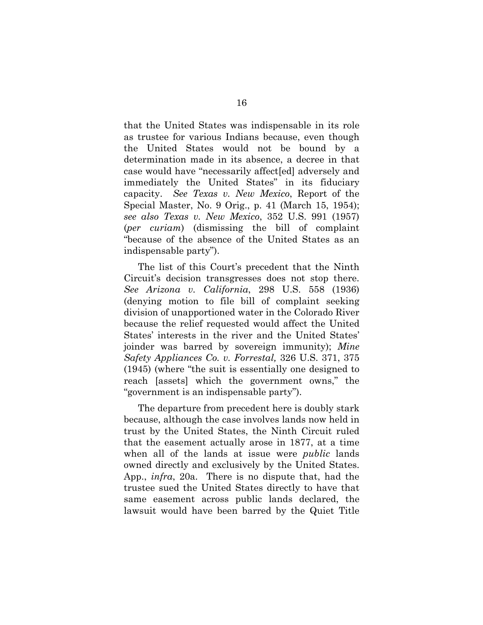that the United States was indispensable in its role as trustee for various Indians because, even though the United States would not be bound by a determination made in its absence, a decree in that case would have "necessarily affect[ed] adversely and immediately the United States" in its fiduciary capacity. *See Texas v. New Mexico*, Report of the Special Master, No. 9 Orig., p. 41 (March 15, 1954); *see also Texas v. New Mexico*, 352 U.S. 991 (1957) (*per curiam*) (dismissing the bill of complaint "because of the absence of the United States as an indispensable party").

The list of this Court's precedent that the Ninth Circuit's decision transgresses does not stop there. *See Arizona v. California*, 298 U.S. 558 (1936) (denying motion to file bill of complaint seeking division of unapportioned water in the Colorado River because the relief requested would affect the United States' interests in the river and the United States' joinder was barred by sovereign immunity); *Mine Safety Appliances Co. v. Forrestal,* 326 U.S. 371, 375 (1945) (where "the suit is essentially one designed to reach [assets] which the government owns," the "government is an indispensable party").

The departure from precedent here is doubly stark because, although the case involves lands now held in trust by the United States, the Ninth Circuit ruled that the easement actually arose in 1877, at a time when all of the lands at issue were *public* lands owned directly and exclusively by the United States. App., *infra*, 20a. There is no dispute that, had the trustee sued the United States directly to have that same easement across public lands declared, the lawsuit would have been barred by the Quiet Title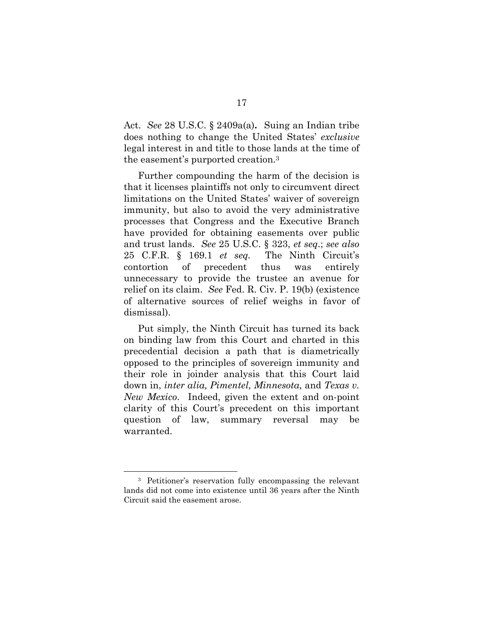Act. *See* 28 U.S.C. § 2409a(a)**.** Suing an Indian tribe does nothing to change the United States' *exclusive*  legal interest in and title to those lands at the time of the easement's purported creation.3

Further compounding the harm of the decision is that it licenses plaintiffs not only to circumvent direct limitations on the United States' waiver of sovereign immunity, but also to avoid the very administrative processes that Congress and the Executive Branch have provided for obtaining easements over public and trust lands. *See* 25 U.S.C. § 323, *et seq*.; *see also* 25 C.F.R. § 169.1 *et seq.* The Ninth Circuit's contortion of precedent thus was entirely unnecessary to provide the trustee an avenue for relief on its claim. *See* Fed. R. Civ. P. 19(b) (existence of alternative sources of relief weighs in favor of dismissal).

Put simply, the Ninth Circuit has turned its back on binding law from this Court and charted in this precedential decision a path that is diametrically opposed to the principles of sovereign immunity and their role in joinder analysis that this Court laid down in, *inter alia, Pimentel, Minnesota,* and *Texas v. New Mexico*. Indeed, given the extent and on-point clarity of this Court's precedent on this important question of law, summary reversal may be warranted.

1

<sup>3</sup> Petitioner's reservation fully encompassing the relevant lands did not come into existence until 36 years after the Ninth Circuit said the easement arose.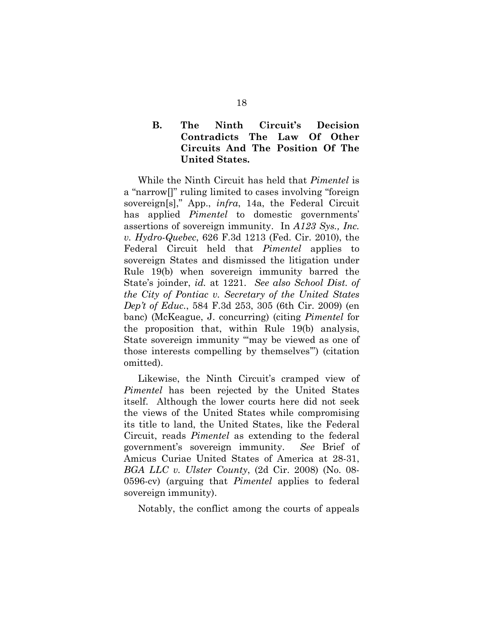### **B. The Ninth Circuit's Decision Contradicts The Law Of Other Circuits And The Position Of The United States.**

While the Ninth Circuit has held that *Pimentel* is a "narrow[]" ruling limited to cases involving "foreign sovereign[s]," App., *infra*, 14a, the Federal Circuit has applied *Pimentel* to domestic governments' assertions of sovereign immunity. In *A123 Sys., Inc. v. Hydro-Quebec*, 626 F.3d 1213 (Fed. Cir. 2010), the Federal Circuit held that *Pimentel* applies to sovereign States and dismissed the litigation under Rule 19(b) when sovereign immunity barred the State's joinder, *id.* at 1221. *See also School Dist. of the City of Pontiac v. Secretary of the United States Dep't of Educ.*, 584 F.3d 253, 305 (6th Cir. 2009) (en banc) (McKeague, J. concurring) (citing *Pimentel* for the proposition that, within Rule 19(b) analysis, State sovereign immunity "may be viewed as one of those interests compelling by themselves'") (citation omitted).

Likewise, the Ninth Circuit's cramped view of *Pimentel* has been rejected by the United States itself. Although the lower courts here did not seek the views of the United States while compromising its title to land, the United States, like the Federal Circuit, reads *Pimentel* as extending to the federal government's sovereign immunity. *See* Brief of Amicus Curiae United States of America at 28-31, *BGA LLC v. Ulster County*, (2d Cir. 2008) (No. 08- 0596-cv) (arguing that *Pimentel* applies to federal sovereign immunity).

Notably, the conflict among the courts of appeals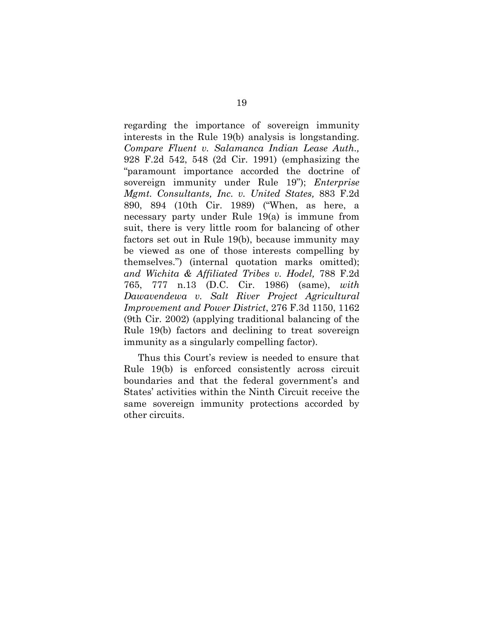regarding the importance of sovereign immunity interests in the Rule 19(b) analysis is longstanding. *Compare Fluent v. Salamanca Indian Lease Auth.,* 928 F.2d 542, 548 (2d Cir. 1991) (emphasizing the "paramount importance accorded the doctrine of sovereign immunity under Rule 19"); *Enterprise Mgmt. Consultants, Inc. v. United States,* 883 F.2d 890, 894 (10th Cir. 1989) ("When, as here, a necessary party under Rule 19(a) is immune from suit, there is very little room for balancing of other factors set out in Rule 19(b), because immunity may be viewed as one of those interests compelling by themselves.") (internal quotation marks omitted); *and Wichita & Affiliated Tribes v. Hodel,* 788 F.2d 765, 777 n.13 (D.C. Cir. 1986) (same), *with Dawavendewa v. Salt River Project Agricultural Improvement and Power District*, 276 F.3d 1150, 1162 (9th Cir. 2002) (applying traditional balancing of the Rule 19(b) factors and declining to treat sovereign immunity as a singularly compelling factor).

Thus this Court's review is needed to ensure that Rule 19(b) is enforced consistently across circuit boundaries and that the federal government's and States' activities within the Ninth Circuit receive the same sovereign immunity protections accorded by other circuits.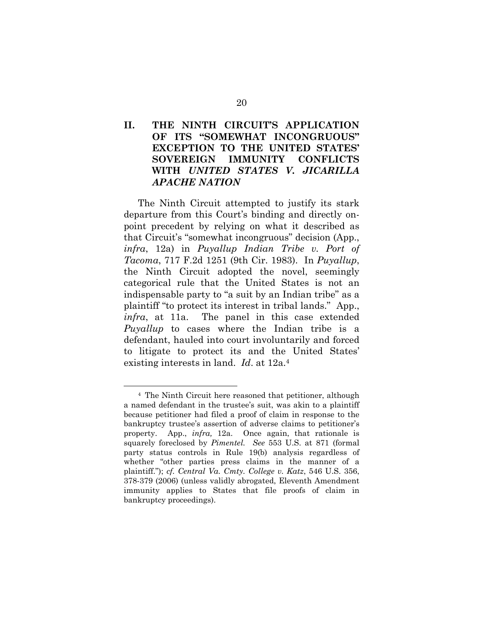## **II. THE NINTH CIRCUIT'S APPLICATION OF ITS "SOMEWHAT INCONGRUOUS" EXCEPTION TO THE UNITED STATES' SOVEREIGN IMMUNITY CONFLICTS WITH** *UNITED STATES V. JICARILLA APACHE NATION*

The Ninth Circuit attempted to justify its stark departure from this Court's binding and directly onpoint precedent by relying on what it described as that Circuit's "somewhat incongruous" decision (App., *infra*, 12a) in *Puyallup Indian Tribe v. Port of Tacoma*, 717 F.2d 1251 (9th Cir. 1983). In *Puyallup*, the Ninth Circuit adopted the novel, seemingly categorical rule that the United States is not an indispensable party to "a suit by an Indian tribe" as a plaintiff "to protect its interest in tribal lands." App., *infra*, at 11a. The panel in this case extended *Puyallup* to cases where the Indian tribe is a defendant, hauled into court involuntarily and forced to litigate to protect its and the United States' existing interests in land. *Id*. at 12a.4

<u>.</u>

<sup>4</sup> The Ninth Circuit here reasoned that petitioner, although a named defendant in the trustee's suit, was akin to a plaintiff because petitioner had filed a proof of claim in response to the bankruptcy trustee's assertion of adverse claims to petitioner's property. App., *infra,* 12a. Once again, that rationale is squarely foreclosed by *Pimentel. See* 553 U.S. at 871 (formal party status controls in Rule 19(b) analysis regardless of whether "other parties press claims in the manner of a plaintiff."); *cf. Central Va. Cmty. College v. Katz*, 546 U.S. 356, 378-379 (2006) (unless validly abrogated, Eleventh Amendment immunity applies to States that file proofs of claim in bankruptcy proceedings).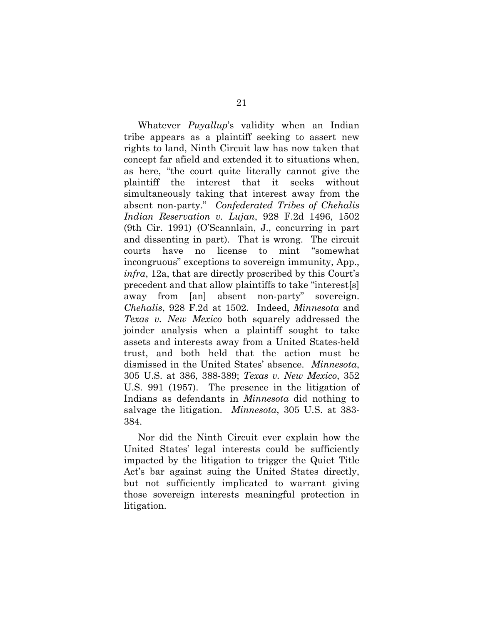Whatever *Puyallup*'s validity when an Indian tribe appears as a plaintiff seeking to assert new rights to land, Ninth Circuit law has now taken that concept far afield and extended it to situations when, as here, "the court quite literally cannot give the plaintiff the interest that it seeks without simultaneously taking that interest away from the absent non-party." *Confederated Tribes of Chehalis Indian Reservation v. Lujan*, 928 F.2d 1496, 1502 (9th Cir. 1991) (O'Scannlain, J., concurring in part and dissenting in part). That is wrong. The circuit courts have no license to mint "somewhat incongruous" exceptions to sovereign immunity, App., *infra*, 12a, that are directly proscribed by this Court's precedent and that allow plaintiffs to take "interest[s] away from [an] absent non-party" sovereign. *Chehalis*, 928 F.2d at 1502. Indeed, *Minnesota* and *Texas v. New Mexico* both squarely addressed the joinder analysis when a plaintiff sought to take assets and interests away from a United States-held trust, and both held that the action must be dismissed in the United States' absence. *Minnesota*, 305 U.S. at 386, 388-389; *Texas v. New Mexico*, 352 U.S. 991 (1957). The presence in the litigation of Indians as defendants in *Minnesota* did nothing to salvage the litigation. *Minnesota*, 305 U.S. at 383- 384.

Nor did the Ninth Circuit ever explain how the United States' legal interests could be sufficiently impacted by the litigation to trigger the Quiet Title Act's bar against suing the United States directly, but not sufficiently implicated to warrant giving those sovereign interests meaningful protection in litigation.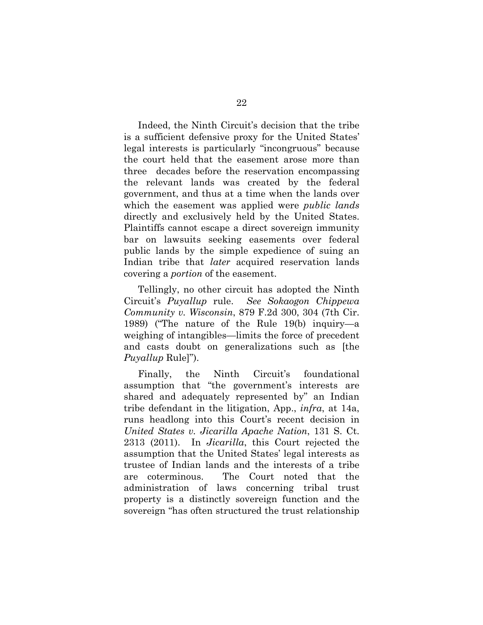Indeed, the Ninth Circuit's decision that the tribe is a sufficient defensive proxy for the United States' legal interests is particularly "incongruous" because the court held that the easement arose more than three decades before the reservation encompassing the relevant lands was created by the federal government, and thus at a time when the lands over which the easement was applied were *public lands*  directly and exclusively held by the United States. Plaintiffs cannot escape a direct sovereign immunity bar on lawsuits seeking easements over federal public lands by the simple expedience of suing an Indian tribe that *later* acquired reservation lands covering a *portion* of the easement.

Tellingly, no other circuit has adopted the Ninth Circuit's *Puyallup* rule. *See Sokaogon Chippewa Community v. Wisconsin*, 879 F.2d 300, 304 (7th Cir. 1989) ("The nature of the Rule 19(b) inquiry—a weighing of intangibles—limits the force of precedent and casts doubt on generalizations such as [the *Puyallup* Rule]").

Finally, the Ninth Circuit's foundational assumption that "the government's interests are shared and adequately represented by" an Indian tribe defendant in the litigation, App., *infra*, at 14a, runs headlong into this Court's recent decision in *United States v. Jicarilla Apache Nation*, 131 S. Ct. 2313 (2011). In *Jicarilla*, this Court rejected the assumption that the United States' legal interests as trustee of Indian lands and the interests of a tribe are coterminous. The Court noted that the administration of laws concerning tribal trust property is a distinctly sovereign function and the sovereign "has often structured the trust relationship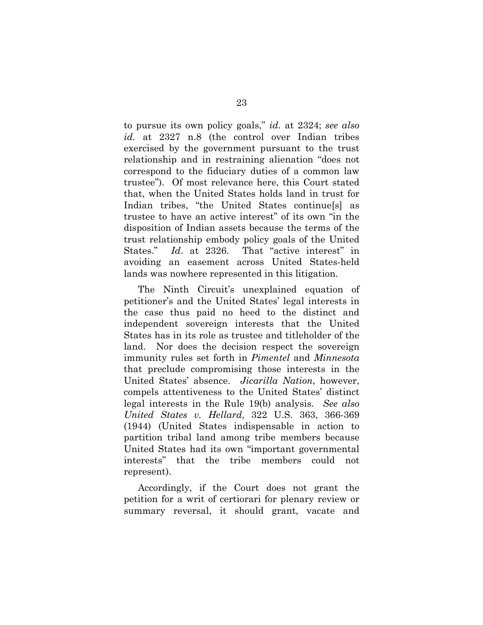to pursue its own policy goals," *id.* at 2324; *see also id.* at 2327 n.8 (the control over Indian tribes exercised by the government pursuant to the trust relationship and in restraining alienation "does not correspond to the fiduciary duties of a common law trustee"). Of most relevance here, this Court stated that, when the United States holds land in trust for Indian tribes, "the United States continue[s] as trustee to have an active interest" of its own "in the disposition of Indian assets because the terms of the trust relationship embody policy goals of the United States." *Id*. at 2326. That "active interest" in avoiding an easement across United States-held lands was nowhere represented in this litigation.

The Ninth Circuit's unexplained equation of petitioner's and the United States' legal interests in the case thus paid no heed to the distinct and independent sovereign interests that the United States has in its role as trustee and titleholder of the land. Nor does the decision respect the sovereign immunity rules set forth in *Pimentel* and *Minnesota*  that preclude compromising those interests in the United States' absence. *Jicarilla Nation*, however, compels attentiveness to the United States' distinct legal interests in the Rule 19(b) analysis. *See also United States v. Hellard*, 322 U.S. 363, 366-369 (1944) (United States indispensable in action to partition tribal land among tribe members because United States had its own "important governmental interests" that the tribe members could not represent).

Accordingly, if the Court does not grant the petition for a writ of certiorari for plenary review or summary reversal, it should grant, vacate and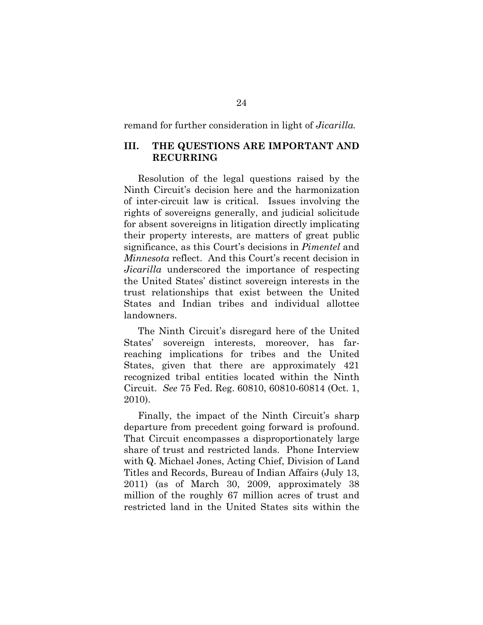remand for further consideration in light of *Jicarilla.*

#### **III. THE QUESTIONS ARE IMPORTANT AND RECURRING**

Resolution of the legal questions raised by the Ninth Circuit's decision here and the harmonization of inter-circuit law is critical. Issues involving the rights of sovereigns generally, and judicial solicitude for absent sovereigns in litigation directly implicating their property interests, are matters of great public significance, as this Court's decisions in *Pimentel* and *Minnesota* reflect. And this Court's recent decision in *Jicarilla* underscored the importance of respecting the United States' distinct sovereign interests in the trust relationships that exist between the United States and Indian tribes and individual allottee landowners.

The Ninth Circuit's disregard here of the United States' sovereign interests, moreover, has farreaching implications for tribes and the United States, given that there are approximately 421 recognized tribal entities located within the Ninth Circuit. *See* 75 Fed. Reg. 60810, 60810-60814 (Oct. 1, 2010).

Finally, the impact of the Ninth Circuit's sharp departure from precedent going forward is profound. That Circuit encompasses a disproportionately large share of trust and restricted lands. Phone Interview with Q. Michael Jones, Acting Chief, Division of Land Titles and Records, Bureau of Indian Affairs (July 13, 2011) (as of March 30, 2009, approximately 38 million of the roughly 67 million acres of trust and restricted land in the United States sits within the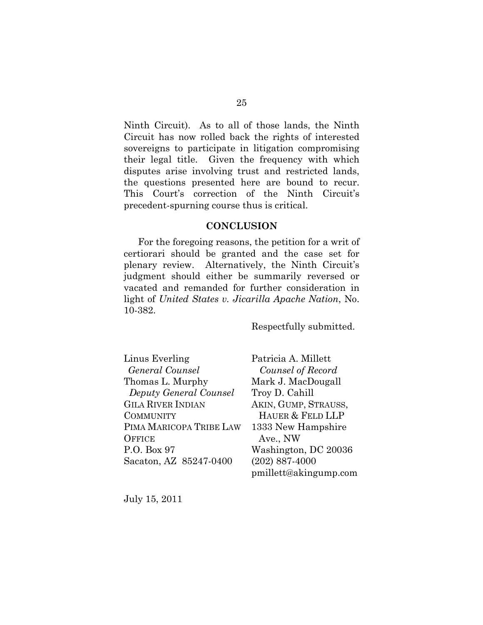Ninth Circuit). As to all of those lands, the Ninth Circuit has now rolled back the rights of interested sovereigns to participate in litigation compromising their legal title. Given the frequency with which disputes arise involving trust and restricted lands, the questions presented here are bound to recur. This Court's correction of the Ninth Circuit's precedent-spurning course thus is critical.

#### **CONCLUSION**

For the foregoing reasons, the petition for a writ of certiorari should be granted and the case set for plenary review. Alternatively, the Ninth Circuit's judgment should either be summarily reversed or vacated and remanded for further consideration in light of *United States v. Jicarilla Apache Nation*, No. 10-382.

Respectfully submitted.

| Linus Everling           |
|--------------------------|
| General Counsel          |
| Thomas L. Murphy         |
| Deputy General Counsel   |
| <b>GILA RIVER INDIAN</b> |
| <b>COMMUNITY</b>         |
| PIMA MARICOPA TRIBE LAW  |
| OFFICE                   |
| P.O. Box 97              |
| Sacaton, AZ 85247-0400   |

Patricia A. Millett *Counsel of Record*  Mark J. MacDougall Troy D. Cahill AKIN, GUMP, STRAUSS, HAUER & FELD LLP 1333 New Hampshire Ave., NW Washington, DC 20036 (202) 887-4000 pmillett@akingump.com

July 15, 2011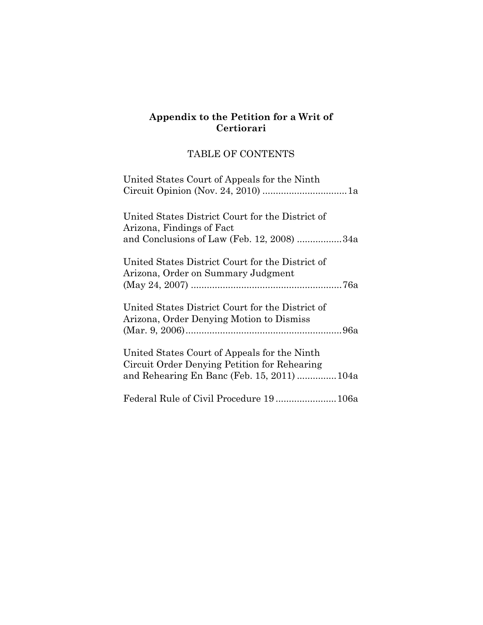### **Appendix to the Petition for a Writ of Certiorari**

## TABLE OF CONTENTS

| United States Court of Appeals for the Ninth                                                                                              |
|-------------------------------------------------------------------------------------------------------------------------------------------|
| United States District Court for the District of<br>Arizona, Findings of Fact<br>and Conclusions of Law (Feb. 12, 2008) 34a               |
| United States District Court for the District of<br>Arizona, Order on Summary Judgment                                                    |
| United States District Court for the District of<br>Arizona, Order Denying Motion to Dismiss                                              |
| United States Court of Appeals for the Ninth<br>Circuit Order Denying Petition for Rehearing<br>and Rehearing En Banc (Feb. 15, 2011)104a |
|                                                                                                                                           |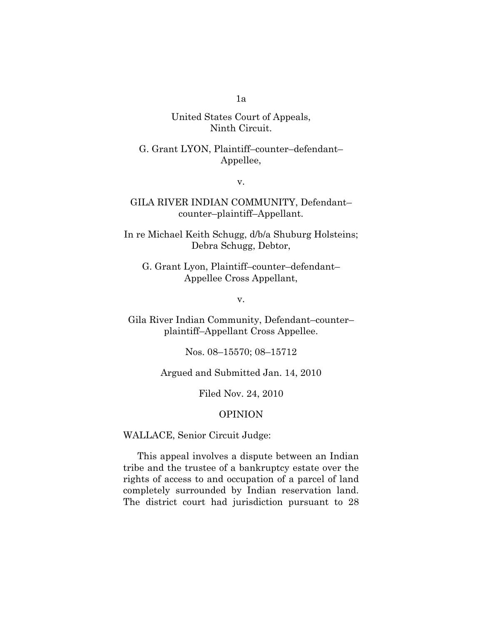United States Court of Appeals, Ninth Circuit.

G. Grant LYON, Plaintiff–counter–defendant– Appellee,

v.

GILA RIVER INDIAN COMMUNITY, Defendant– counter–plaintiff–Appellant.

In re Michael Keith Schugg, d/b/a Shuburg Holsteins; Debra Schugg, Debtor,

G. Grant Lyon, Plaintiff–counter–defendant– Appellee Cross Appellant,

v.

Gila River Indian Community, Defendant–counter– plaintiff–Appellant Cross Appellee.

Nos. 08–15570; 08–15712

Argued and Submitted Jan. 14, 2010

Filed Nov. 24, 2010

#### OPINION

WALLACE, Senior Circuit Judge:

This appeal involves a dispute between an Indian tribe and the trustee of a bankruptcy estate over the rights of access to and occupation of a parcel of land completely surrounded by Indian reservation land. The district court had jurisdiction pursuant to 28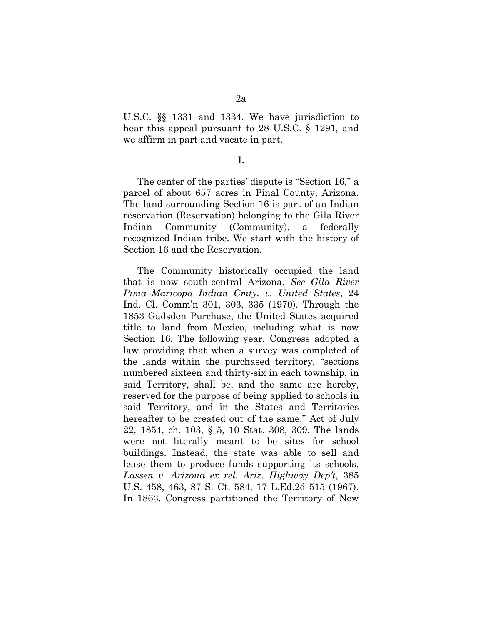U.S.C. §§ 1331 and 1334. We have jurisdiction to hear this appeal pursuant to 28 U.S.C. § 1291, and we affirm in part and vacate in part.

**I.** 

The center of the parties' dispute is "Section 16," a parcel of about 657 acres in Pinal County, Arizona. The land surrounding Section 16 is part of an Indian reservation (Reservation) belonging to the Gila River Indian Community (Community), a federally recognized Indian tribe. We start with the history of Section 16 and the Reservation.

The Community historically occupied the land that is now south-central Arizona. *See Gila River Pima–Maricopa Indian Cmty. v. United States*, 24 Ind. Cl. Comm'n 301, 303, 335 (1970). Through the 1853 Gadsden Purchase, the United States acquired title to land from Mexico, including what is now Section 16. The following year, Congress adopted a law providing that when a survey was completed of the lands within the purchased territory, "sections numbered sixteen and thirty-six in each township, in said Territory, shall be, and the same are hereby, reserved for the purpose of being applied to schools in said Territory, and in the States and Territories hereafter to be created out of the same." Act of July 22, 1854, ch. 103, § 5, 10 Stat. 308, 309. The lands were not literally meant to be sites for school buildings. Instead, the state was able to sell and lease them to produce funds supporting its schools. *Lassen v. Arizona ex rel. Ariz. Highway Dep't*, 385 U.S. 458, 463, 87 S. Ct. 584, 17 L.Ed.2d 515 (1967). In 1863, Congress partitioned the Territory of New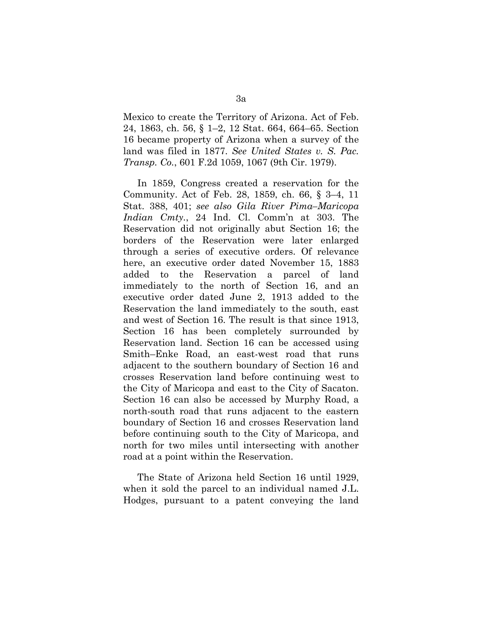Mexico to create the Territory of Arizona. Act of Feb. 24, 1863, ch. 56, § 1–2, 12 Stat. 664, 664–65. Section 16 became property of Arizona when a survey of the land was filed in 1877. *See United States v. S. Pac. Transp. Co.*, 601 F.2d 1059, 1067 (9th Cir. 1979).

In 1859, Congress created a reservation for the Community. Act of Feb. 28, 1859, ch. 66, § 3–4, 11 Stat. 388, 401; *see also Gila River Pima–Maricopa Indian Cmty.*, 24 Ind. Cl. Comm'n at 303. The Reservation did not originally abut Section 16; the borders of the Reservation were later enlarged through a series of executive orders. Of relevance here, an executive order dated November 15, 1883 added to the Reservation a parcel of land immediately to the north of Section 16, and an executive order dated June 2, 1913 added to the Reservation the land immediately to the south, east and west of Section 16. The result is that since 1913, Section 16 has been completely surrounded by Reservation land. Section 16 can be accessed using Smith–Enke Road, an east-west road that runs adjacent to the southern boundary of Section 16 and crosses Reservation land before continuing west to the City of Maricopa and east to the City of Sacaton. Section 16 can also be accessed by Murphy Road, a north-south road that runs adjacent to the eastern boundary of Section 16 and crosses Reservation land before continuing south to the City of Maricopa, and north for two miles until intersecting with another road at a point within the Reservation.

The State of Arizona held Section 16 until 1929, when it sold the parcel to an individual named J.L. Hodges, pursuant to a patent conveying the land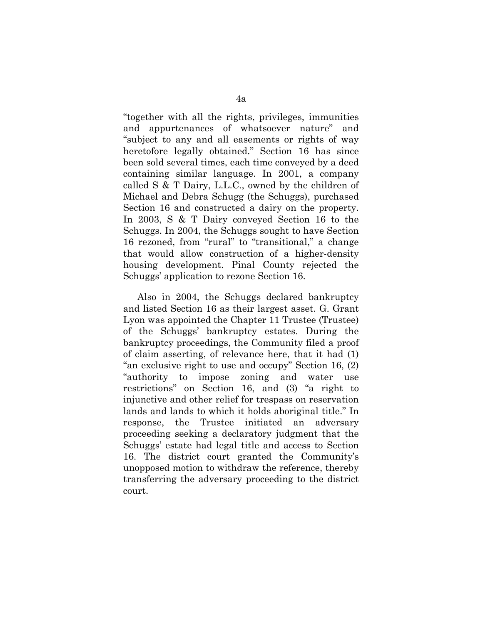"together with all the rights, privileges, immunities and appurtenances of whatsoever nature" and "subject to any and all easements or rights of way heretofore legally obtained." Section 16 has since been sold several times, each time conveyed by a deed containing similar language. In 2001, a company called S & T Dairy, L.L.C., owned by the children of Michael and Debra Schugg (the Schuggs), purchased Section 16 and constructed a dairy on the property. In 2003, S & T Dairy conveyed Section 16 to the Schuggs. In 2004, the Schuggs sought to have Section 16 rezoned, from "rural" to "transitional," a change that would allow construction of a higher-density housing development. Pinal County rejected the Schuggs' application to rezone Section 16.

Also in 2004, the Schuggs declared bankruptcy and listed Section 16 as their largest asset. G. Grant Lyon was appointed the Chapter 11 Trustee (Trustee) of the Schuggs' bankruptcy estates. During the bankruptcy proceedings, the Community filed a proof of claim asserting, of relevance here, that it had (1) "an exclusive right to use and occupy" Section 16, (2) "authority to impose zoning and water use restrictions" on Section 16, and (3) "a right to injunctive and other relief for trespass on reservation lands and lands to which it holds aboriginal title." In response, the Trustee initiated an adversary proceeding seeking a declaratory judgment that the Schuggs' estate had legal title and access to Section 16. The district court granted the Community's unopposed motion to withdraw the reference, thereby transferring the adversary proceeding to the district court.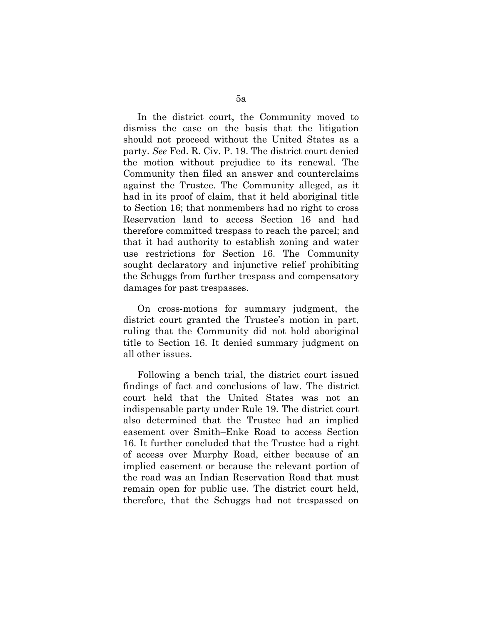In the district court, the Community moved to dismiss the case on the basis that the litigation should not proceed without the United States as a party. *See* Fed. R. Civ. P. 19. The district court denied the motion without prejudice to its renewal. The Community then filed an answer and counterclaims against the Trustee. The Community alleged, as it had in its proof of claim, that it held aboriginal title to Section 16; that nonmembers had no right to cross Reservation land to access Section 16 and had therefore committed trespass to reach the parcel; and that it had authority to establish zoning and water use restrictions for Section 16. The Community sought declaratory and injunctive relief prohibiting the Schuggs from further trespass and compensatory damages for past trespasses.

On cross-motions for summary judgment, the district court granted the Trustee's motion in part, ruling that the Community did not hold aboriginal title to Section 16. It denied summary judgment on all other issues.

Following a bench trial, the district court issued findings of fact and conclusions of law. The district court held that the United States was not an indispensable party under Rule 19. The district court also determined that the Trustee had an implied easement over Smith–Enke Road to access Section 16. It further concluded that the Trustee had a right of access over Murphy Road, either because of an implied easement or because the relevant portion of the road was an Indian Reservation Road that must remain open for public use. The district court held, therefore, that the Schuggs had not trespassed on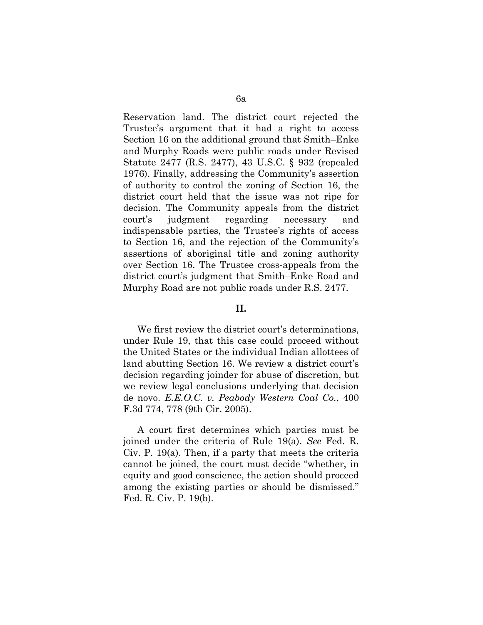Reservation land. The district court rejected the Trustee's argument that it had a right to access Section 16 on the additional ground that Smith–Enke and Murphy Roads were public roads under Revised Statute 2477 (R.S. 2477), 43 U.S.C. § 932 (repealed 1976). Finally, addressing the Community's assertion of authority to control the zoning of Section 16, the district court held that the issue was not ripe for decision. The Community appeals from the district court's judgment regarding necessary and indispensable parties, the Trustee's rights of access to Section 16, and the rejection of the Community's assertions of aboriginal title and zoning authority over Section 16. The Trustee cross-appeals from the district court's judgment that Smith–Enke Road and Murphy Road are not public roads under R.S. 2477.

## **II.**

We first review the district court's determinations, under Rule 19, that this case could proceed without the United States or the individual Indian allottees of land abutting Section 16. We review a district court's decision regarding joinder for abuse of discretion, but we review legal conclusions underlying that decision de novo. *E.E.O.C. v. Peabody Western Coal Co.*, 400 F.3d 774, 778 (9th Cir. 2005).

A court first determines which parties must be joined under the criteria of Rule 19(a). *See* Fed. R. Civ. P. 19(a). Then, if a party that meets the criteria cannot be joined, the court must decide "whether, in equity and good conscience, the action should proceed among the existing parties or should be dismissed." Fed. R. Civ. P. 19(b).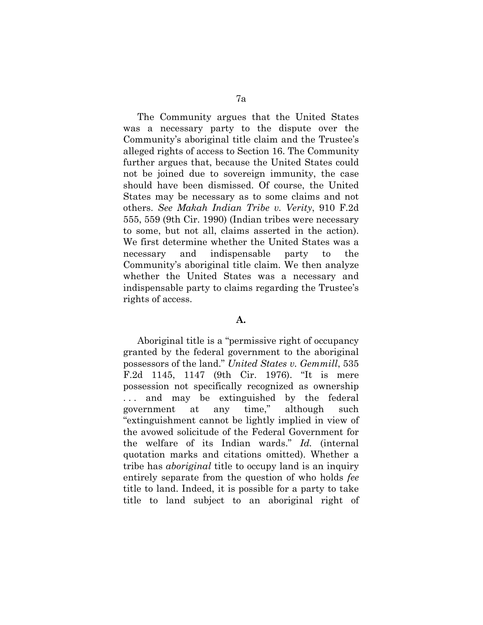The Community argues that the United States was a necessary party to the dispute over the Community's aboriginal title claim and the Trustee's alleged rights of access to Section 16. The Community further argues that, because the United States could not be joined due to sovereign immunity, the case should have been dismissed. Of course, the United States may be necessary as to some claims and not others. *See Makah Indian Tribe v. Verity*, 910 F.2d 555, 559 (9th Cir. 1990) (Indian tribes were necessary to some, but not all, claims asserted in the action). We first determine whether the United States was a necessary and indispensable party to the Community's aboriginal title claim. We then analyze whether the United States was a necessary and indispensable party to claims regarding the Trustee's rights of access.

#### **A.**

Aboriginal title is a "permissive right of occupancy granted by the federal government to the aboriginal possessors of the land." *United States v. Gemmill*, 535 F.2d 1145, 1147 (9th Cir. 1976). "It is mere possession not specifically recognized as ownership ... and may be extinguished by the federal government at any time," although such "extinguishment cannot be lightly implied in view of the avowed solicitude of the Federal Government for the welfare of its Indian wards." *Id.* (internal quotation marks and citations omitted). Whether a tribe has *aboriginal* title to occupy land is an inquiry entirely separate from the question of who holds *fee* title to land. Indeed, it is possible for a party to take title to land subject to an aboriginal right of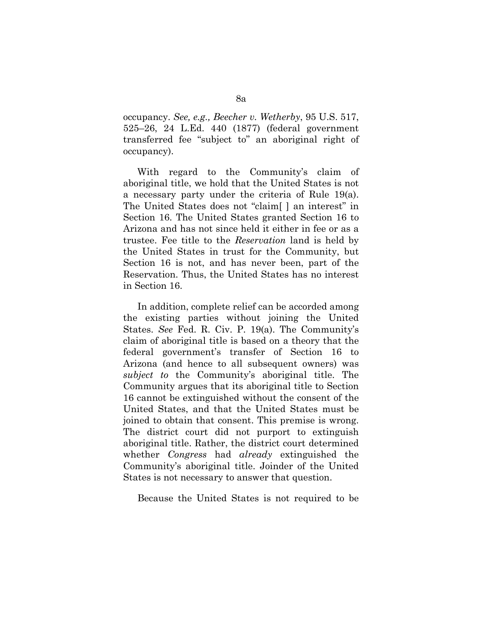occupancy. *See, e.g., Beecher v. Wetherby*, 95 U.S. 517, 525–26, 24 L.Ed. 440 (1877) (federal government transferred fee "subject to" an aboriginal right of occupancy).

With regard to the Community's claim of aboriginal title, we hold that the United States is not a necessary party under the criteria of Rule 19(a). The United States does not "claim[ ] an interest" in Section 16. The United States granted Section 16 to Arizona and has not since held it either in fee or as a trustee. Fee title to the *Reservation* land is held by the United States in trust for the Community, but Section 16 is not, and has never been, part of the Reservation. Thus, the United States has no interest in Section 16.

In addition, complete relief can be accorded among the existing parties without joining the United States. *See* Fed. R. Civ. P. 19(a). The Community's claim of aboriginal title is based on a theory that the federal government's transfer of Section 16 to Arizona (and hence to all subsequent owners) was *subject to* the Community's aboriginal title. The Community argues that its aboriginal title to Section 16 cannot be extinguished without the consent of the United States, and that the United States must be joined to obtain that consent. This premise is wrong. The district court did not purport to extinguish aboriginal title. Rather, the district court determined whether *Congress* had *already* extinguished the Community's aboriginal title. Joinder of the United States is not necessary to answer that question.

Because the United States is not required to be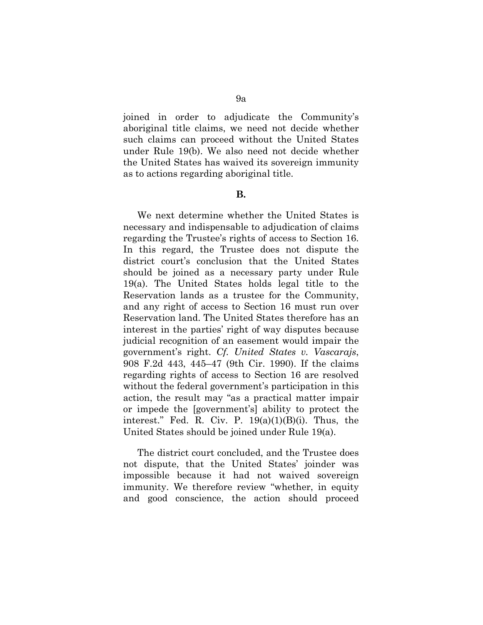joined in order to adjudicate the Community's aboriginal title claims, we need not decide whether such claims can proceed without the United States under Rule 19(b). We also need not decide whether the United States has waived its sovereign immunity as to actions regarding aboriginal title.

#### **B.**

We next determine whether the United States is necessary and indispensable to adjudication of claims regarding the Trustee's rights of access to Section 16. In this regard, the Trustee does not dispute the district court's conclusion that the United States should be joined as a necessary party under Rule 19(a). The United States holds legal title to the Reservation lands as a trustee for the Community, and any right of access to Section 16 must run over Reservation land. The United States therefore has an interest in the parties' right of way disputes because judicial recognition of an easement would impair the government's right. *Cf. United States v. Vascarajs*, 908 F.2d 443, 445–47 (9th Cir. 1990). If the claims regarding rights of access to Section 16 are resolved without the federal government's participation in this action, the result may "as a practical matter impair or impede the [government's] ability to protect the interest." Fed. R. Civ. P.  $19(a)(1)(B)(i)$ . Thus, the United States should be joined under Rule 19(a).

The district court concluded, and the Trustee does not dispute, that the United States' joinder was impossible because it had not waived sovereign immunity. We therefore review "whether, in equity and good conscience, the action should proceed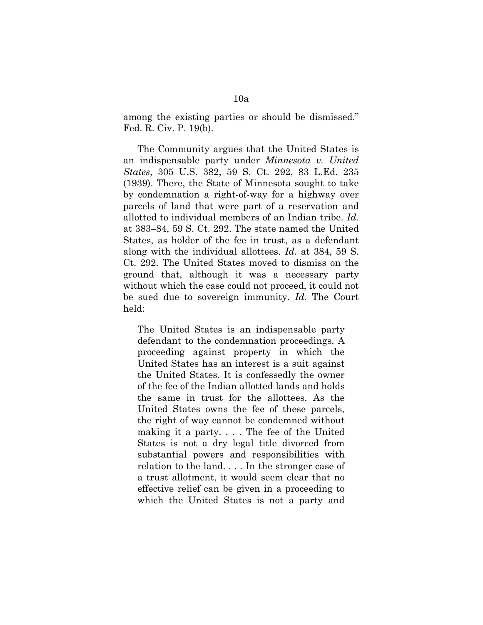among the existing parties or should be dismissed." Fed. R. Civ. P. 19(b).

The Community argues that the United States is an indispensable party under *Minnesota v. United States*, 305 U.S. 382, 59 S. Ct. 292, 83 L.Ed. 235 (1939). There, the State of Minnesota sought to take by condemnation a right-of-way for a highway over parcels of land that were part of a reservation and allotted to individual members of an Indian tribe. *Id.* at 383–84, 59 S. Ct. 292. The state named the United States, as holder of the fee in trust, as a defendant along with the individual allottees. *Id.* at 384, 59 S. Ct. 292. The United States moved to dismiss on the ground that, although it was a necessary party without which the case could not proceed, it could not be sued due to sovereign immunity. *Id.* The Court held:

The United States is an indispensable party defendant to the condemnation proceedings. A proceeding against property in which the United States has an interest is a suit against the United States. It is confessedly the owner of the fee of the Indian allotted lands and holds the same in trust for the allottees. As the United States owns the fee of these parcels, the right of way cannot be condemned without making it a party. . . . The fee of the United States is not a dry legal title divorced from substantial powers and responsibilities with relation to the land. . . . In the stronger case of a trust allotment, it would seem clear that no effective relief can be given in a proceeding to which the United States is not a party and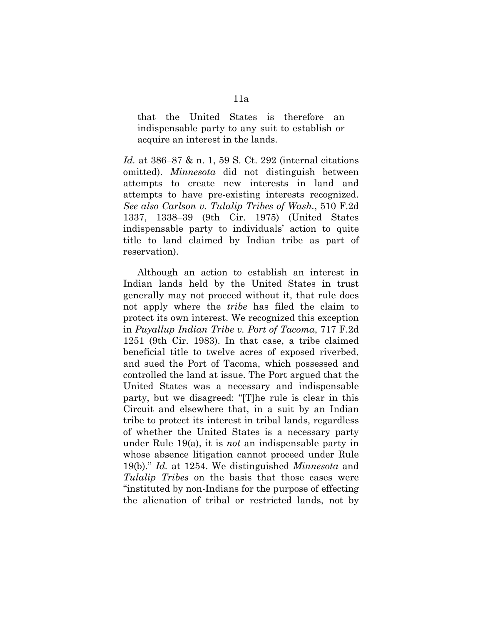that the United States is therefore an indispensable party to any suit to establish or acquire an interest in the lands.

*Id.* at 386–87 & n. 1, 59 S. Ct. 292 (internal citations omitted). *Minnesota* did not distinguish between attempts to create new interests in land and attempts to have pre-existing interests recognized. *See also Carlson v. Tulalip Tribes of Wash.*, 510 F.2d 1337, 1338–39 (9th Cir. 1975) (United States indispensable party to individuals' action to quite title to land claimed by Indian tribe as part of reservation).

Although an action to establish an interest in Indian lands held by the United States in trust generally may not proceed without it, that rule does not apply where the *tribe* has filed the claim to protect its own interest. We recognized this exception in *Puyallup Indian Tribe v. Port of Tacoma*, 717 F.2d 1251 (9th Cir. 1983). In that case, a tribe claimed beneficial title to twelve acres of exposed riverbed, and sued the Port of Tacoma, which possessed and controlled the land at issue. The Port argued that the United States was a necessary and indispensable party, but we disagreed: "[T]he rule is clear in this Circuit and elsewhere that, in a suit by an Indian tribe to protect its interest in tribal lands, regardless of whether the United States is a necessary party under Rule 19(a), it is *not* an indispensable party in whose absence litigation cannot proceed under Rule 19(b)." *Id.* at 1254. We distinguished *Minnesota* and *Tulalip Tribes* on the basis that those cases were "instituted by non-Indians for the purpose of effecting the alienation of tribal or restricted lands, not by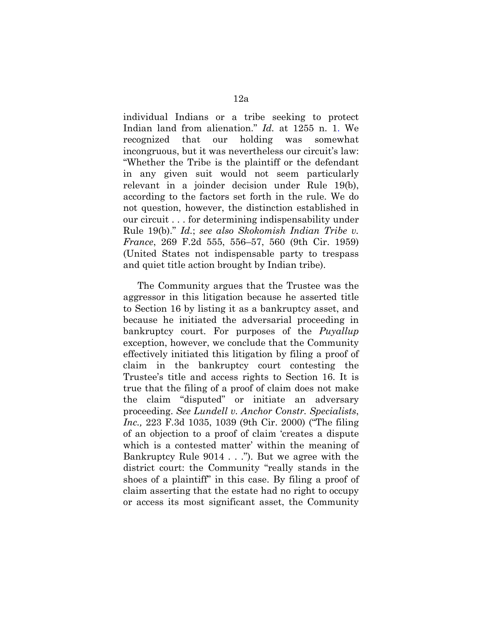individual Indians or a tribe seeking to protect Indian land from alienation." *Id.* at 1255 n. 1. We recognized that our holding was somewhat incongruous, but it was nevertheless our circuit's law: "Whether the Tribe is the plaintiff or the defendant in any given suit would not seem particularly relevant in a joinder decision under Rule 19(b), according to the factors set forth in the rule. We do not question, however, the distinction established in our circuit . . . for determining indispensability under Rule 19(b)." *Id.*; *see also Skokomish Indian Tribe v. France*, 269 F.2d 555, 556–57, 560 (9th Cir. 1959) (United States not indispensable party to trespass and quiet title action brought by Indian tribe).

The Community argues that the Trustee was the aggressor in this litigation because he asserted title to Section 16 by listing it as a bankruptcy asset, and because he initiated the adversarial proceeding in bankruptcy court. For purposes of the *Puyallup* exception, however, we conclude that the Community effectively initiated this litigation by filing a proof of claim in the bankruptcy court contesting the Trustee's title and access rights to Section 16. It is true that the filing of a proof of claim does not make the claim "disputed" or initiate an adversary proceeding. *See Lundell v. Anchor Constr. Specialists*, *Inc.,* 223 F.3d 1035, 1039 (9th Cir. 2000) ("The filing of an objection to a proof of claim 'creates a dispute which is a contested matter' within the meaning of Bankruptcy Rule 9014 . . ."). But we agree with the district court: the Community "really stands in the shoes of a plaintiff" in this case. By filing a proof of claim asserting that the estate had no right to occupy or access its most significant asset, the Community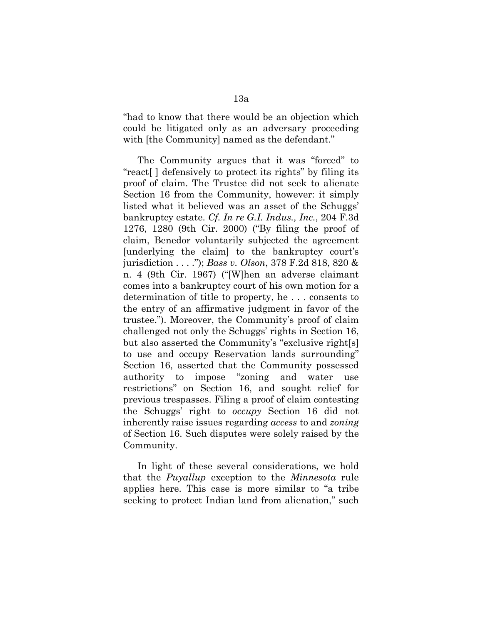"had to know that there would be an objection which could be litigated only as an adversary proceeding with [the Community] named as the defendant."

The Community argues that it was "forced" to "react[ ] defensively to protect its rights" by filing its proof of claim. The Trustee did not seek to alienate Section 16 from the Community, however: it simply listed what it believed was an asset of the Schuggs' bankruptcy estate. *Cf. In re G.I. Indus., Inc.*, 204 F.3d 1276, 1280 (9th Cir. 2000) ("By filing the proof of claim, Benedor voluntarily subjected the agreement [underlying the claim] to the bankruptcy court's jurisdiction . . . ."); *Bass v. Olson*, 378 F.2d 818, 820 & n. 4 (9th Cir. 1967) ("[W]hen an adverse claimant comes into a bankruptcy court of his own motion for a determination of title to property, he . . . consents to the entry of an affirmative judgment in favor of the trustee."). Moreover, the Community's proof of claim challenged not only the Schuggs' rights in Section 16, but also asserted the Community's "exclusive right[s] to use and occupy Reservation lands surrounding" Section 16, asserted that the Community possessed authority to impose "zoning and water use restrictions" on Section 16, and sought relief for previous trespasses. Filing a proof of claim contesting the Schuggs' right to *occupy* Section 16 did not inherently raise issues regarding *access* to and *zoning* of Section 16. Such disputes were solely raised by the Community.

In light of these several considerations, we hold that the *Puyallup* exception to the *Minnesota* rule applies here. This case is more similar to "a tribe seeking to protect Indian land from alienation," such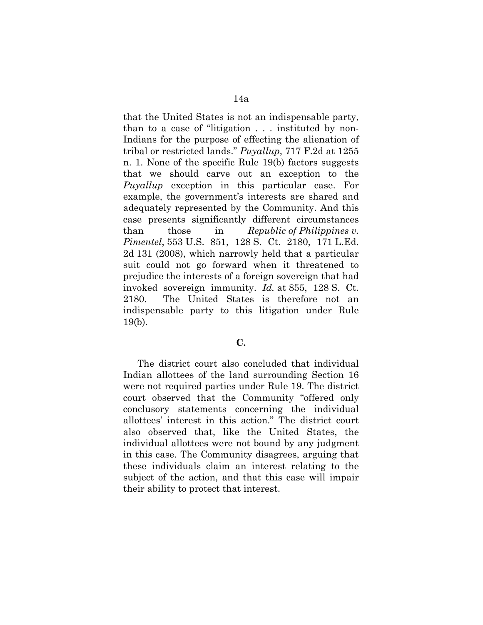that the United States is not an indispensable party, than to a case of "litigation . . . instituted by non-Indians for the purpose of effecting the alienation of tribal or restricted lands." *Puyallup*, 717 F.2d at 1255 n. 1. None of the specific Rule 19(b) factors suggests that we should carve out an exception to the *Puyallup* exception in this particular case. For example, the government's interests are shared and adequately represented by the Community. And this case presents significantly different circumstances than those in *Republic of Philippines v. Pimentel*, 553 U.S. 851, 128 S. Ct. 2180, 171 L.Ed. 2d 131 (2008), which narrowly held that a particular suit could not go forward when it threatened to prejudice the interests of a foreign sovereign that had invoked sovereign immunity. *Id.* at 855, 128 S. Ct. 2180. The United States is therefore not an indispensable party to this litigation under Rule 19(b).

## **C.**

The district court also concluded that individual Indian allottees of the land surrounding Section 16 were not required parties under Rule 19. The district court observed that the Community "offered only conclusory statements concerning the individual allottees' interest in this action." The district court also observed that, like the United States, the individual allottees were not bound by any judgment in this case. The Community disagrees, arguing that these individuals claim an interest relating to the subject of the action, and that this case will impair their ability to protect that interest.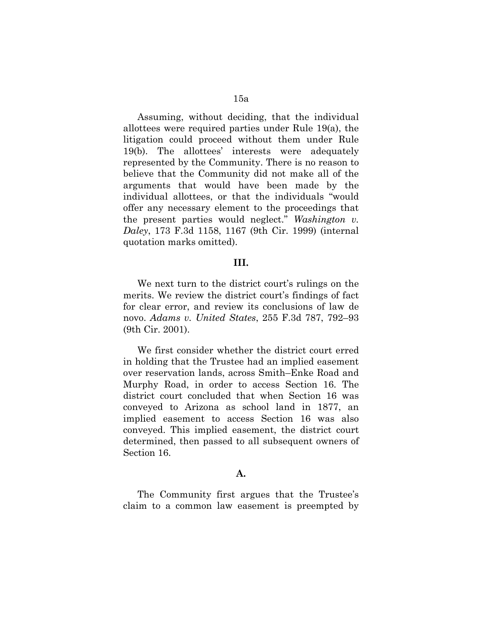Assuming, without deciding, that the individual allottees were required parties under Rule 19(a), the litigation could proceed without them under Rule 19(b). The allottees' interests were adequately represented by the Community. There is no reason to believe that the Community did not make all of the arguments that would have been made by the individual allottees, or that the individuals "would offer any necessary element to the proceedings that the present parties would neglect." *Washington v. Daley*, 173 F.3d 1158, 1167 (9th Cir. 1999) (internal quotation marks omitted).

#### **III.**

We next turn to the district court's rulings on the merits. We review the district court's findings of fact for clear error, and review its conclusions of law de novo. *Adams v. United States*, 255 F.3d 787, 792–93 (9th Cir. 2001).

We first consider whether the district court erred in holding that the Trustee had an implied easement over reservation lands, across Smith–Enke Road and Murphy Road, in order to access Section 16. The district court concluded that when Section 16 was conveyed to Arizona as school land in 1877, an implied easement to access Section 16 was also conveyed. This implied easement, the district court determined, then passed to all subsequent owners of Section 16.

## **A.**

The Community first argues that the Trustee's claim to a common law easement is preempted by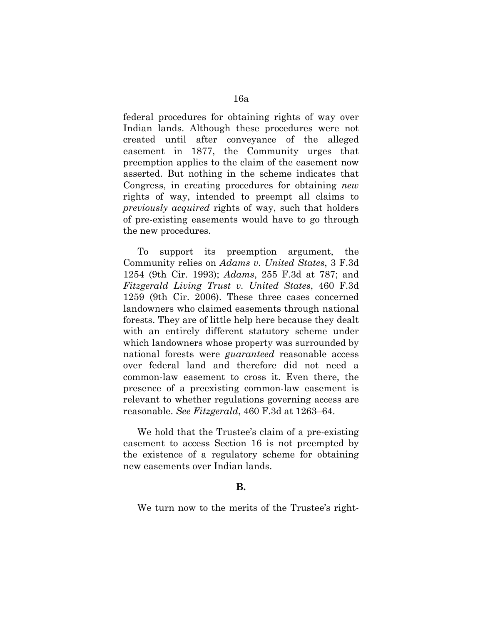federal procedures for obtaining rights of way over Indian lands. Although these procedures were not created until after conveyance of the alleged easement in 1877, the Community urges that preemption applies to the claim of the easement now asserted. But nothing in the scheme indicates that Congress, in creating procedures for obtaining *new* rights of way, intended to preempt all claims to *previously acquired* rights of way, such that holders of pre-existing easements would have to go through the new procedures.

To support its preemption argument, the Community relies on *Adams v. United States*, 3 F.3d 1254 (9th Cir. 1993); *Adams*, 255 F.3d at 787; and *Fitzgerald Living Trust v. United States*, 460 F.3d 1259 (9th Cir. 2006). These three cases concerned landowners who claimed easements through national forests. They are of little help here because they dealt with an entirely different statutory scheme under which landowners whose property was surrounded by national forests were *guaranteed* reasonable access over federal land and therefore did not need a common-law easement to cross it. Even there, the presence of a preexisting common-law easement is relevant to whether regulations governing access are reasonable. *See Fitzgerald*, 460 F.3d at 1263–64.

We hold that the Trustee's claim of a pre-existing easement to access Section 16 is not preempted by the existence of a regulatory scheme for obtaining new easements over Indian lands.

# **B.**

We turn now to the merits of the Trustee's right-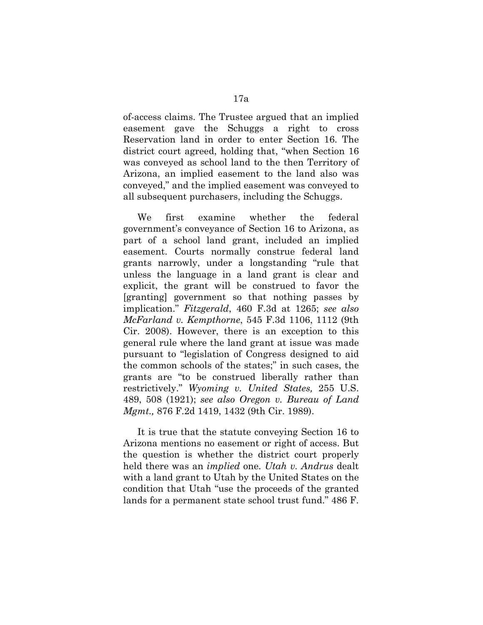of-access claims. The Trustee argued that an implied easement gave the Schuggs a right to cross Reservation land in order to enter Section 16. The district court agreed, holding that, "when Section 16 was conveyed as school land to the then Territory of Arizona, an implied easement to the land also was conveyed," and the implied easement was conveyed to all subsequent purchasers, including the Schuggs.

We first examine whether the federal government's conveyance of Section 16 to Arizona, as part of a school land grant, included an implied easement. Courts normally construe federal land grants narrowly, under a longstanding "rule that unless the language in a land grant is clear and explicit, the grant will be construed to favor the [granting] government so that nothing passes by implication." *Fitzgerald*, 460 F.3d at 1265; *see also McFarland v. Kempthorne*, 545 F.3d 1106, 1112 (9th Cir. 2008). However, there is an exception to this general rule where the land grant at issue was made pursuant to "legislation of Congress designed to aid the common schools of the states;" in such cases, the grants are "to be construed liberally rather than restrictively." *Wyoming v. United States,* 255 U.S. 489, 508 (1921); *see also Oregon v. Bureau of Land Mgmt.,* 876 F.2d 1419, 1432 (9th Cir. 1989).

It is true that the statute conveying Section 16 to Arizona mentions no easement or right of access. But the question is whether the district court properly held there was an *implied* one. *Utah v. Andrus* dealt with a land grant to Utah by the United States on the condition that Utah "use the proceeds of the granted lands for a permanent state school trust fund." 486 F.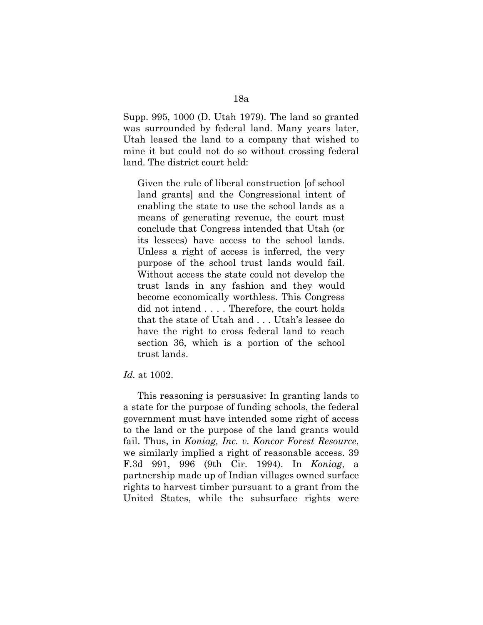Supp. 995, 1000 (D. Utah 1979). The land so granted was surrounded by federal land. Many years later, Utah leased the land to a company that wished to mine it but could not do so without crossing federal land. The district court held:

Given the rule of liberal construction [of school land grants] and the Congressional intent of enabling the state to use the school lands as a means of generating revenue, the court must conclude that Congress intended that Utah (or its lessees) have access to the school lands. Unless a right of access is inferred, the very purpose of the school trust lands would fail. Without access the state could not develop the trust lands in any fashion and they would become economically worthless. This Congress did not intend . . . . Therefore, the court holds that the state of Utah and . . . Utah's lessee do have the right to cross federal land to reach section 36, which is a portion of the school trust lands.

## *Id.* at 1002.

This reasoning is persuasive: In granting lands to a state for the purpose of funding schools, the federal government must have intended some right of access to the land or the purpose of the land grants would fail. Thus, in *Koniag, Inc. v. Koncor Forest Resource*, we similarly implied a right of reasonable access. 39 F.3d 991, 996 (9th Cir. 1994). In *Koniag*, a partnership made up of Indian villages owned surface rights to harvest timber pursuant to a grant from the United States, while the subsurface rights were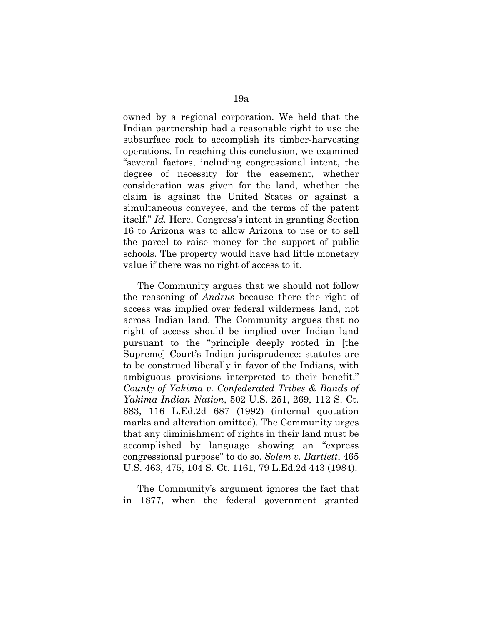owned by a regional corporation. We held that the Indian partnership had a reasonable right to use the subsurface rock to accomplish its timber-harvesting operations. In reaching this conclusion, we examined "several factors, including congressional intent, the degree of necessity for the easement, whether consideration was given for the land, whether the claim is against the United States or against a simultaneous conveyee, and the terms of the patent itself." *Id.* Here, Congress's intent in granting Section 16 to Arizona was to allow Arizona to use or to sell the parcel to raise money for the support of public schools. The property would have had little monetary value if there was no right of access to it.

The Community argues that we should not follow the reasoning of *Andrus* because there the right of access was implied over federal wilderness land, not across Indian land. The Community argues that no right of access should be implied over Indian land pursuant to the "principle deeply rooted in [the Supreme] Court's Indian jurisprudence: statutes are to be construed liberally in favor of the Indians, with ambiguous provisions interpreted to their benefit." *County of Yakima v. Confederated Tribes & Bands of Yakima Indian Nation*, 502 U.S. 251, 269, 112 S. Ct. 683, 116 L.Ed.2d 687 (1992) (internal quotation marks and alteration omitted). The Community urges that any diminishment of rights in their land must be accomplished by language showing an "express congressional purpose" to do so. *Solem v. Bartlett*, 465 U.S. 463, 475, 104 S. Ct. 1161, 79 L.Ed.2d 443 (1984).

The Community's argument ignores the fact that in 1877, when the federal government granted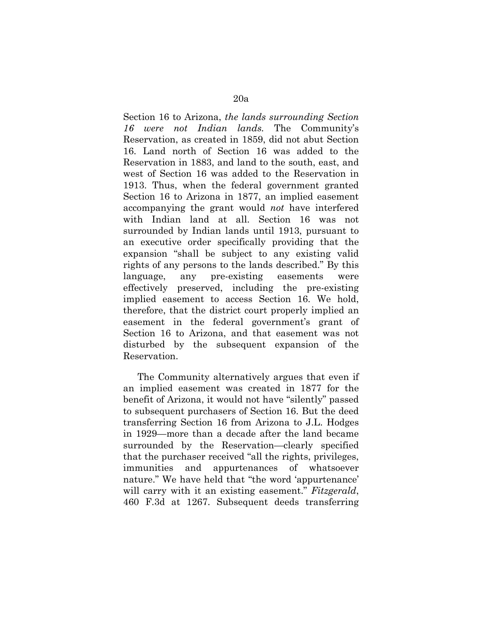Section 16 to Arizona, *the lands surrounding Section 16 were not Indian lands.* The Community's Reservation, as created in 1859, did not abut Section 16. Land north of Section 16 was added to the Reservation in 1883, and land to the south, east, and west of Section 16 was added to the Reservation in 1913. Thus, when the federal government granted Section 16 to Arizona in 1877, an implied easement accompanying the grant would *not* have interfered with Indian land at all. Section 16 was not surrounded by Indian lands until 1913, pursuant to an executive order specifically providing that the expansion "shall be subject to any existing valid rights of any persons to the lands described." By this language, any pre-existing easements were effectively preserved, including the pre-existing implied easement to access Section 16. We hold, therefore, that the district court properly implied an easement in the federal government's grant of Section 16 to Arizona, and that easement was not disturbed by the subsequent expansion of the Reservation.

The Community alternatively argues that even if an implied easement was created in 1877 for the benefit of Arizona, it would not have "silently" passed to subsequent purchasers of Section 16. But the deed transferring Section 16 from Arizona to J.L. Hodges in 1929—more than a decade after the land became surrounded by the Reservation—clearly specified that the purchaser received "all the rights, privileges, immunities and appurtenances of whatsoever nature." We have held that "the word 'appurtenance' will carry with it an existing easement." *Fitzgerald*, 460 F.3d at 1267. Subsequent deeds transferring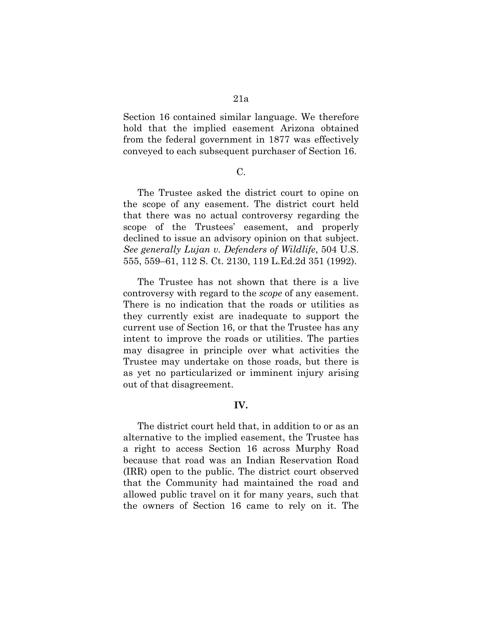Section 16 contained similar language. We therefore hold that the implied easement Arizona obtained from the federal government in 1877 was effectively conveyed to each subsequent purchaser of Section 16.

#### C.

The Trustee asked the district court to opine on the scope of any easement. The district court held that there was no actual controversy regarding the scope of the Trustees' easement, and properly declined to issue an advisory opinion on that subject. *See generally Lujan v. Defenders of Wildlife*, 504 U.S. 555, 559–61, 112 S. Ct. 2130, 119 L.Ed.2d 351 (1992).

The Trustee has not shown that there is a live controversy with regard to the *scope* of any easement. There is no indication that the roads or utilities as they currently exist are inadequate to support the current use of Section 16, or that the Trustee has any intent to improve the roads or utilities. The parties may disagree in principle over what activities the Trustee may undertake on those roads, but there is as yet no particularized or imminent injury arising out of that disagreement.

# **IV.**

The district court held that, in addition to or as an alternative to the implied easement, the Trustee has a right to access Section 16 across Murphy Road because that road was an Indian Reservation Road (IRR) open to the public. The district court observed that the Community had maintained the road and allowed public travel on it for many years, such that the owners of Section 16 came to rely on it. The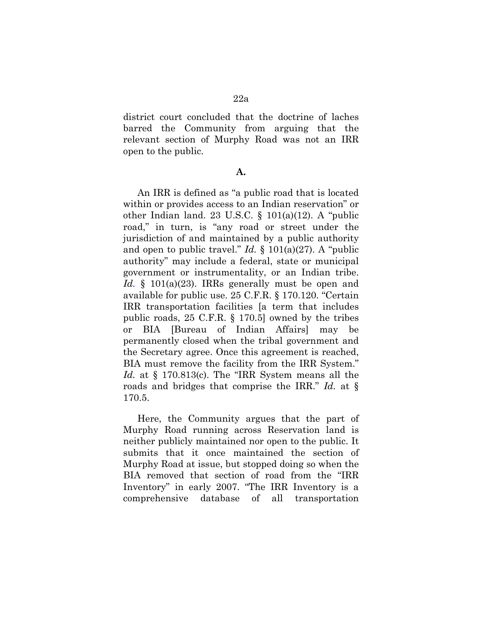district court concluded that the doctrine of laches barred the Community from arguing that the relevant section of Murphy Road was not an IRR open to the public.

#### **A.**

An IRR is defined as "a public road that is located within or provides access to an Indian reservation" or other Indian land. 23 U.S.C. § 101(a)(12). A "public road," in turn, is "any road or street under the jurisdiction of and maintained by a public authority and open to public travel." *Id.* § 101(a)(27). A "public authority" may include a federal, state or municipal government or instrumentality, or an Indian tribe. *Id.* § 101(a)(23). IRRs generally must be open and available for public use. 25 C.F.R. § 170.120. "Certain IRR transportation facilities [a term that includes public roads, 25 C.F.R. § 170.5] owned by the tribes or BIA [Bureau of Indian Affairs] may be permanently closed when the tribal government and the Secretary agree. Once this agreement is reached, BIA must remove the facility from the IRR System." *Id.* at § 170.813(c). The "IRR System means all the roads and bridges that comprise the IRR." *Id.* at § 170.5.

Here, the Community argues that the part of Murphy Road running across Reservation land is neither publicly maintained nor open to the public. It submits that it once maintained the section of Murphy Road at issue, but stopped doing so when the BIA removed that section of road from the "IRR Inventory" in early 2007. "The IRR Inventory is a comprehensive database of all transportation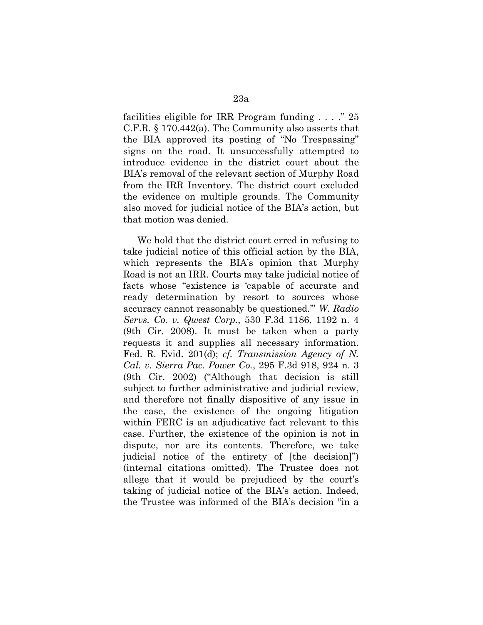facilities eligible for IRR Program funding . . . ." 25 C.F.R. § 170.442(a). The Community also asserts that the BIA approved its posting of "No Trespassing" signs on the road. It unsuccessfully attempted to introduce evidence in the district court about the BIA's removal of the relevant section of Murphy Road from the IRR Inventory. The district court excluded the evidence on multiple grounds. The Community also moved for judicial notice of the BIA's action, but that motion was denied.

We hold that the district court erred in refusing to take judicial notice of this official action by the BIA, which represents the BIA's opinion that Murphy Road is not an IRR. Courts may take judicial notice of facts whose "existence is 'capable of accurate and ready determination by resort to sources whose accuracy cannot reasonably be questioned.'" *W. Radio Servs. Co. v. Qwest Corp.*, 530 F.3d 1186, 1192 n. 4 (9th Cir. 2008). It must be taken when a party requests it and supplies all necessary information. Fed. R. Evid. 201(d); *cf. Transmission Agency of N. Cal. v. Sierra Pac. Power Co.*, 295 F.3d 918, 924 n. 3 (9th Cir. 2002) ("Although that decision is still subject to further administrative and judicial review, and therefore not finally dispositive of any issue in the case, the existence of the ongoing litigation within FERC is an adjudicative fact relevant to this case. Further, the existence of the opinion is not in dispute, nor are its contents. Therefore, we take judicial notice of the entirety of [the decision]") (internal citations omitted). The Trustee does not allege that it would be prejudiced by the court's taking of judicial notice of the BIA's action. Indeed, the Trustee was informed of the BIA's decision "in a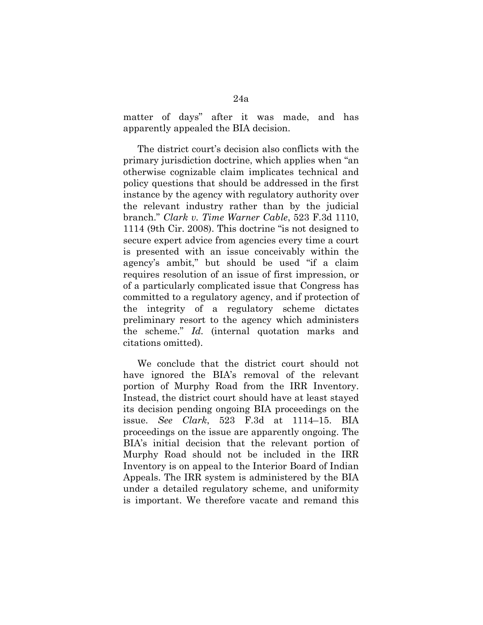matter of days" after it was made, and has apparently appealed the BIA decision.

The district court's decision also conflicts with the primary jurisdiction doctrine, which applies when "an otherwise cognizable claim implicates technical and policy questions that should be addressed in the first instance by the agency with regulatory authority over the relevant industry rather than by the judicial branch." *Clark v. Time Warner Cable*, 523 F.3d 1110, 1114 (9th Cir. 2008). This doctrine "is not designed to secure expert advice from agencies every time a court is presented with an issue conceivably within the agency's ambit," but should be used "if a claim requires resolution of an issue of first impression, or of a particularly complicated issue that Congress has committed to a regulatory agency, and if protection of the integrity of a regulatory scheme dictates preliminary resort to the agency which administers the scheme." *Id.* (internal quotation marks and citations omitted).

We conclude that the district court should not have ignored the BIA's removal of the relevant portion of Murphy Road from the IRR Inventory. Instead, the district court should have at least stayed its decision pending ongoing BIA proceedings on the issue. *See Clark*, 523 F.3d at 1114–15. BIA proceedings on the issue are apparently ongoing. The BIA's initial decision that the relevant portion of Murphy Road should not be included in the IRR Inventory is on appeal to the Interior Board of Indian Appeals. The IRR system is administered by the BIA under a detailed regulatory scheme, and uniformity is important. We therefore vacate and remand this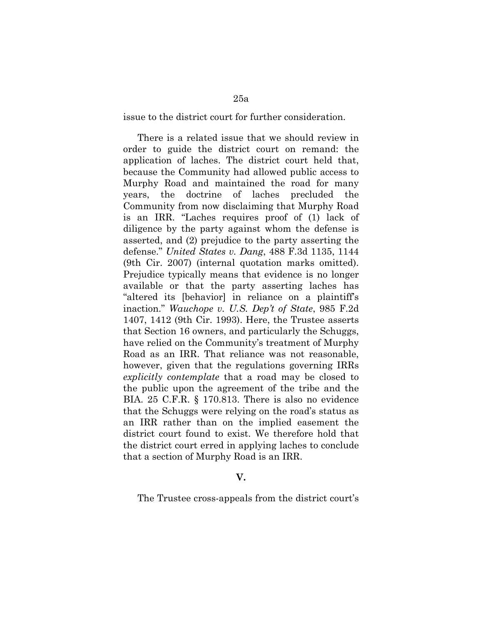issue to the district court for further consideration.

There is a related issue that we should review in order to guide the district court on remand: the application of laches. The district court held that, because the Community had allowed public access to Murphy Road and maintained the road for many years, the doctrine of laches precluded the Community from now disclaiming that Murphy Road is an IRR. "Laches requires proof of (1) lack of diligence by the party against whom the defense is asserted, and (2) prejudice to the party asserting the defense." *United States v. Dang*, 488 F.3d 1135, 1144 (9th Cir. 2007) (internal quotation marks omitted). Prejudice typically means that evidence is no longer available or that the party asserting laches has "altered its [behavior] in reliance on a plaintiff's inaction." *Wauchope v. U.S. Dep't of State*, 985 F.2d 1407, 1412 (9th Cir. 1993). Here, the Trustee asserts that Section 16 owners, and particularly the Schuggs, have relied on the Community's treatment of Murphy Road as an IRR. That reliance was not reasonable, however, given that the regulations governing IRRs *explicitly contemplate* that a road may be closed to the public upon the agreement of the tribe and the BIA. 25 C.F.R. § 170.813. There is also no evidence that the Schuggs were relying on the road's status as an IRR rather than on the implied easement the district court found to exist. We therefore hold that the district court erred in applying laches to conclude that a section of Murphy Road is an IRR.

#### **V.**

The Trustee cross-appeals from the district court's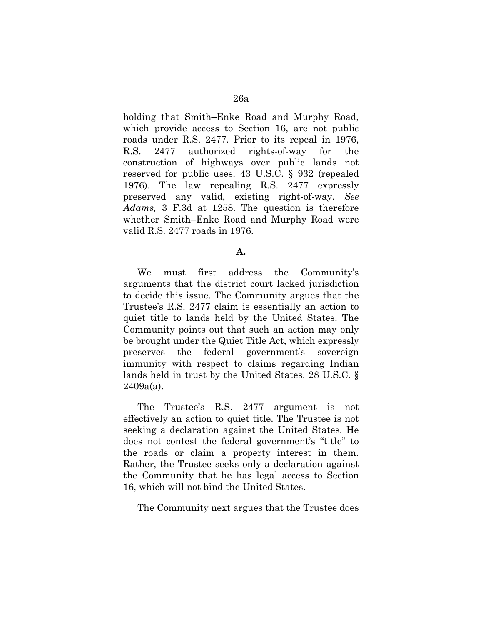holding that Smith–Enke Road and Murphy Road, which provide access to Section 16, are not public roads under R.S. 2477. Prior to its repeal in 1976, R.S. 2477 authorized rights-of-way for the construction of highways over public lands not reserved for public uses. 43 U.S.C. § 932 (repealed 1976). The law repealing R.S. 2477 expressly preserved any valid, existing right-of-way. *See Adams,* 3 F.3d at 1258. The question is therefore whether Smith–Enke Road and Murphy Road were valid R.S. 2477 roads in 1976.

#### **A.**

We must first address the Community's arguments that the district court lacked jurisdiction to decide this issue. The Community argues that the Trustee's R.S. 2477 claim is essentially an action to quiet title to lands held by the United States. The Community points out that such an action may only be brought under the Quiet Title Act, which expressly preserves the federal government's sovereign immunity with respect to claims regarding Indian lands held in trust by the United States. 28 U.S.C. § 2409a(a).

The Trustee's R.S. 2477 argument is not effectively an action to quiet title. The Trustee is not seeking a declaration against the United States. He does not contest the federal government's "title" to the roads or claim a property interest in them. Rather, the Trustee seeks only a declaration against the Community that he has legal access to Section 16, which will not bind the United States.

The Community next argues that the Trustee does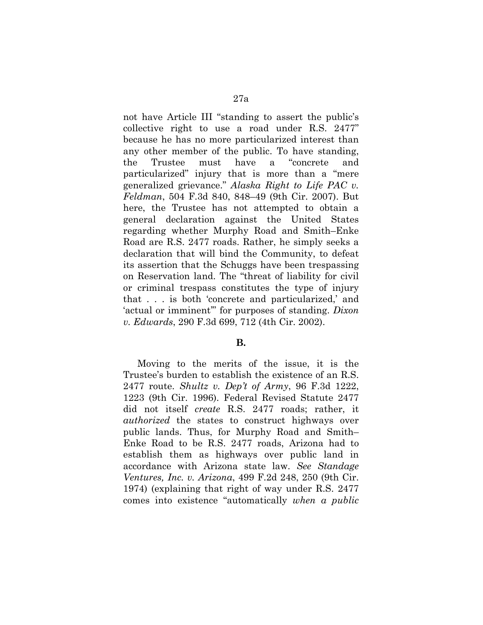not have Article III "standing to assert the public's collective right to use a road under R.S. 2477" because he has no more particularized interest than any other member of the public. To have standing, the Trustee must have a "concrete and particularized" injury that is more than a "mere generalized grievance." *Alaska Right to Life PAC v. Feldman*, 504 F.3d 840, 848–49 (9th Cir. 2007). But here, the Trustee has not attempted to obtain a general declaration against the United States regarding whether Murphy Road and Smith–Enke Road are R.S. 2477 roads. Rather, he simply seeks a declaration that will bind the Community, to defeat its assertion that the Schuggs have been trespassing on Reservation land. The "threat of liability for civil or criminal trespass constitutes the type of injury that . . . is both 'concrete and particularized,' and 'actual or imminent'" for purposes of standing. *Dixon v. Edwards*, 290 F.3d 699, 712 (4th Cir. 2002).

## **B.**

Moving to the merits of the issue, it is the Trustee's burden to establish the existence of an R.S. 2477 route. *Shultz v. Dep't of Army*, 96 F.3d 1222, 1223 (9th Cir. 1996). Federal Revised Statute 2477 did not itself *create* R.S. 2477 roads; rather, it *authorized* the states to construct highways over public lands. Thus, for Murphy Road and Smith– Enke Road to be R.S. 2477 roads, Arizona had to establish them as highways over public land in accordance with Arizona state law. *See Standage Ventures, Inc. v. Arizona*, 499 F.2d 248, 250 (9th Cir. 1974) (explaining that right of way under R.S. 2477 comes into existence "automatically *when a public*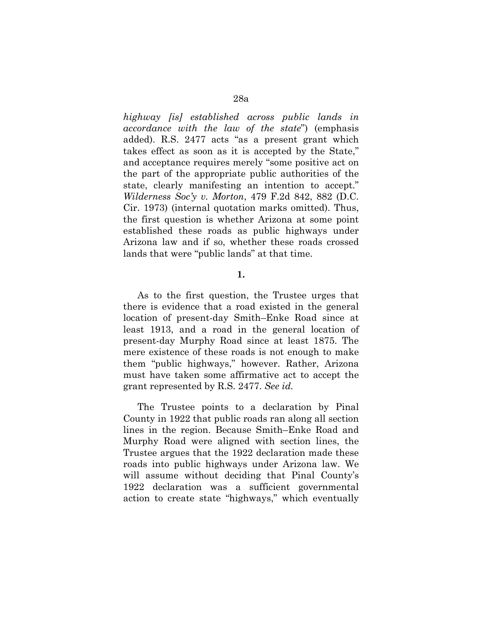*highway [is] established across public lands in accordance with the law of the state*") (emphasis added). R.S. 2477 acts "as a present grant which takes effect as soon as it is accepted by the State," and acceptance requires merely "some positive act on the part of the appropriate public authorities of the state, clearly manifesting an intention to accept." *Wilderness Soc'y v. Morton*, 479 F.2d 842, 882 (D.C. Cir. 1973) (internal quotation marks omitted). Thus, the first question is whether Arizona at some point established these roads as public highways under Arizona law and if so, whether these roads crossed lands that were "public lands" at that time.

**1.** 

As to the first question, the Trustee urges that there is evidence that a road existed in the general location of present-day Smith–Enke Road since at least 1913, and a road in the general location of present-day Murphy Road since at least 1875. The mere existence of these roads is not enough to make them "public highways," however. Rather, Arizona must have taken some affirmative act to accept the grant represented by R.S. 2477. *See id.*

The Trustee points to a declaration by Pinal County in 1922 that public roads ran along all section lines in the region. Because Smith–Enke Road and Murphy Road were aligned with section lines, the Trustee argues that the 1922 declaration made these roads into public highways under Arizona law. We will assume without deciding that Pinal County's 1922 declaration was a sufficient governmental action to create state "highways," which eventually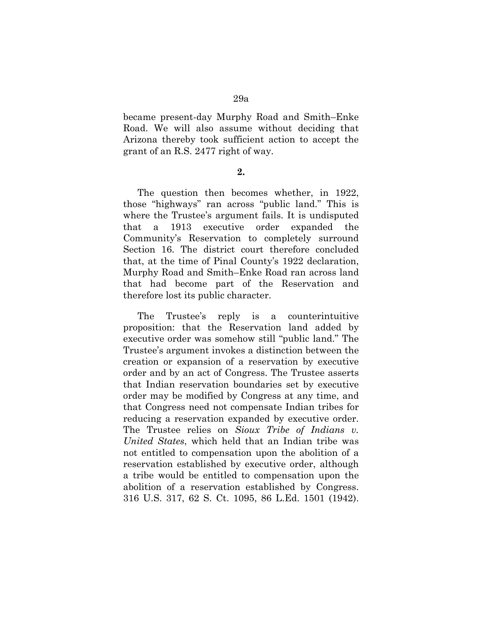became present-day Murphy Road and Smith–Enke Road. We will also assume without deciding that Arizona thereby took sufficient action to accept the grant of an R.S. 2477 right of way.

**2.** 

The question then becomes whether, in 1922, those "highways" ran across "public land." This is where the Trustee's argument fails. It is undisputed that a 1913 executive order expanded the Community's Reservation to completely surround Section 16. The district court therefore concluded that, at the time of Pinal County's 1922 declaration, Murphy Road and Smith–Enke Road ran across land that had become part of the Reservation and therefore lost its public character.

The Trustee's reply is a counterintuitive proposition: that the Reservation land added by executive order was somehow still "public land." The Trustee's argument invokes a distinction between the creation or expansion of a reservation by executive order and by an act of Congress. The Trustee asserts that Indian reservation boundaries set by executive order may be modified by Congress at any time, and that Congress need not compensate Indian tribes for reducing a reservation expanded by executive order. The Trustee relies on *Sioux Tribe of Indians v. United States*, which held that an Indian tribe was not entitled to compensation upon the abolition of a reservation established by executive order, although a tribe would be entitled to compensation upon the abolition of a reservation established by Congress. 316 U.S. 317, 62 S. Ct. 1095, 86 L.Ed. 1501 (1942).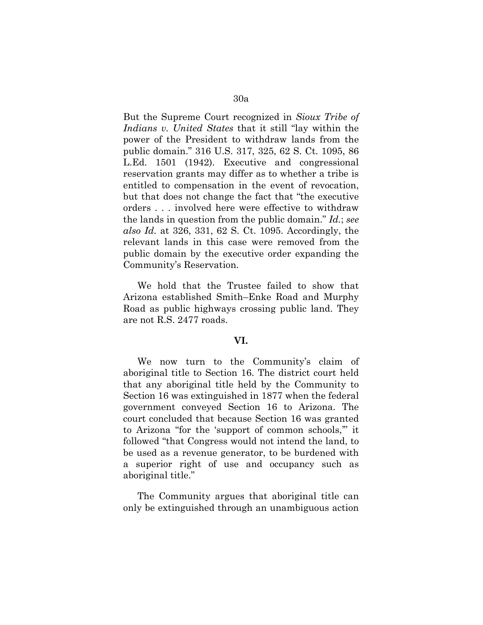But the Supreme Court recognized in *Sioux Tribe of Indians v. United States* that it still "lay within the power of the President to withdraw lands from the public domain." 316 U.S. 317, 325, 62 S. Ct. 1095, 86 L.Ed. 1501 (1942). Executive and congressional reservation grants may differ as to whether a tribe is entitled to compensation in the event of revocation, but that does not change the fact that "the executive orders . . . involved here were effective to withdraw the lands in question from the public domain." *Id.*; *see also Id.* at 326, 331, 62 S. Ct. 1095. Accordingly, the relevant lands in this case were removed from the public domain by the executive order expanding the Community's Reservation.

We hold that the Trustee failed to show that Arizona established Smith–Enke Road and Murphy Road as public highways crossing public land. They are not R.S. 2477 roads.

### **VI.**

We now turn to the Community's claim of aboriginal title to Section 16. The district court held that any aboriginal title held by the Community to Section 16 was extinguished in 1877 when the federal government conveyed Section 16 to Arizona. The court concluded that because Section 16 was granted to Arizona "for the 'support of common schools,'" it followed "that Congress would not intend the land, to be used as a revenue generator, to be burdened with a superior right of use and occupancy such as aboriginal title."

The Community argues that aboriginal title can only be extinguished through an unambiguous action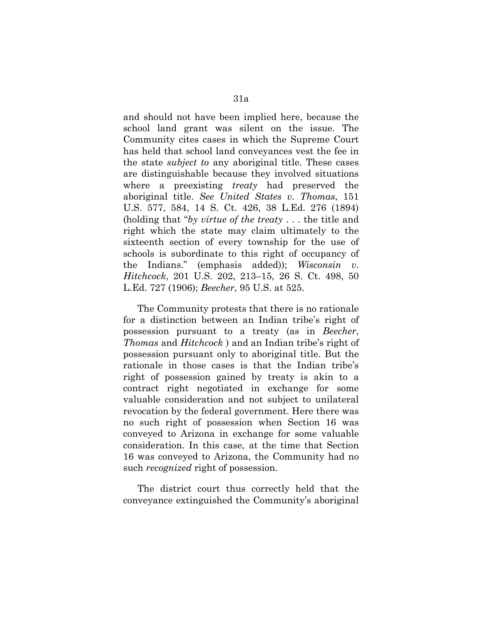and should not have been implied here, because the school land grant was silent on the issue. The Community cites cases in which the Supreme Court has held that school land conveyances vest the fee in the state *subject to* any aboriginal title. These cases are distinguishable because they involved situations where a preexisting *treaty* had preserved the aboriginal title. *See United States v. Thomas*, 151 U.S. 577, 584, 14 S. Ct. 426, 38 L.Ed. 276 (1894) (holding that "*by virtue of the treaty* . . . the title and right which the state may claim ultimately to the sixteenth section of every township for the use of schools is subordinate to this right of occupancy of the Indians." (emphasis added)); *Wisconsin v. Hitchcock*, 201 U.S. 202, 213–15, 26 S. Ct. 498, 50 L.Ed. 727 (1906); *Beecher*, 95 U.S. at 525.

The Community protests that there is no rationale for a distinction between an Indian tribe's right of possession pursuant to a treaty (as in *Beecher*, *Thomas* and *Hitchcock* ) and an Indian tribe's right of possession pursuant only to aboriginal title. But the rationale in those cases is that the Indian tribe's right of possession gained by treaty is akin to a contract right negotiated in exchange for some valuable consideration and not subject to unilateral revocation by the federal government. Here there was no such right of possession when Section 16 was conveyed to Arizona in exchange for some valuable consideration. In this case, at the time that Section 16 was conveyed to Arizona, the Community had no such *recognized* right of possession.

The district court thus correctly held that the conveyance extinguished the Community's aboriginal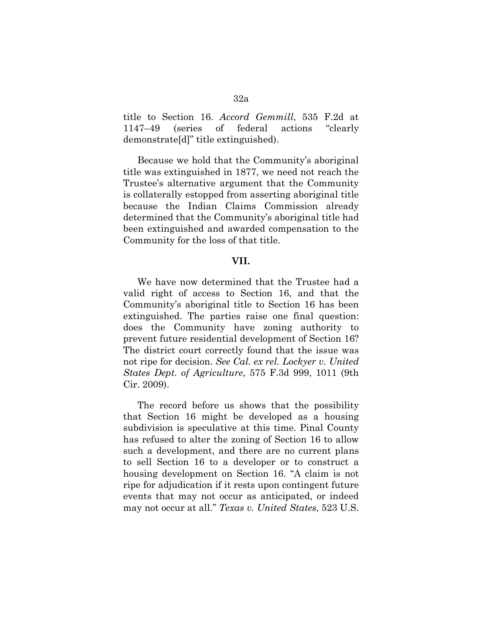title to Section 16. *Accord Gemmill*, 535 F.2d at 1147–49 (series of federal actions "clearly demonstrate[d]" title extinguished).

Because we hold that the Community's aboriginal title was extinguished in 1877, we need not reach the Trustee's alternative argument that the Community is collaterally estopped from asserting aboriginal title because the Indian Claims Commission already determined that the Community's aboriginal title had been extinguished and awarded compensation to the Community for the loss of that title.

# **VII.**

We have now determined that the Trustee had a valid right of access to Section 16, and that the Community's aboriginal title to Section 16 has been extinguished. The parties raise one final question: does the Community have zoning authority to prevent future residential development of Section 16? The district court correctly found that the issue was not ripe for decision. *See Cal. ex rel. Lockyer v. United States Dept. of Agriculture*, 575 F.3d 999, 1011 (9th Cir. 2009).

The record before us shows that the possibility that Section 16 might be developed as a housing subdivision is speculative at this time. Pinal County has refused to alter the zoning of Section 16 to allow such a development, and there are no current plans to sell Section 16 to a developer or to construct a housing development on Section 16. "A claim is not ripe for adjudication if it rests upon contingent future events that may not occur as anticipated, or indeed may not occur at all." *Texas v. United States*, 523 U.S.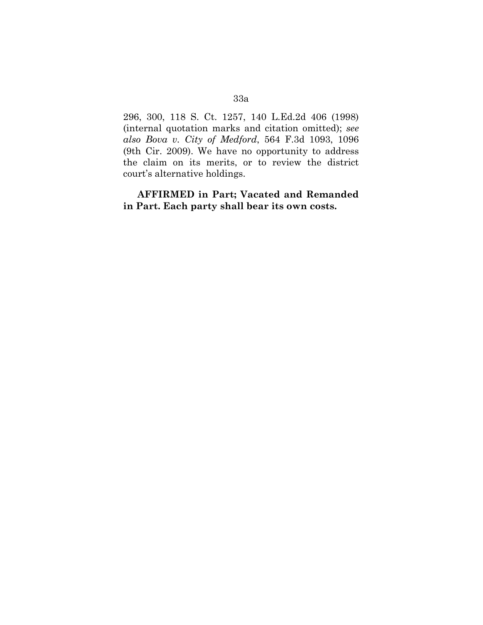296, 300, 118 S. Ct. 1257, 140 L.Ed.2d 406 (1998) (internal quotation marks and citation omitted); *see also Bova v. City of Medford*, 564 F.3d 1093, 1096 (9th Cir. 2009). We have no opportunity to address the claim on its merits, or to review the district court's alternative holdings.

**AFFIRMED in Part; Vacated and Remanded in Part. Each party shall bear its own costs.**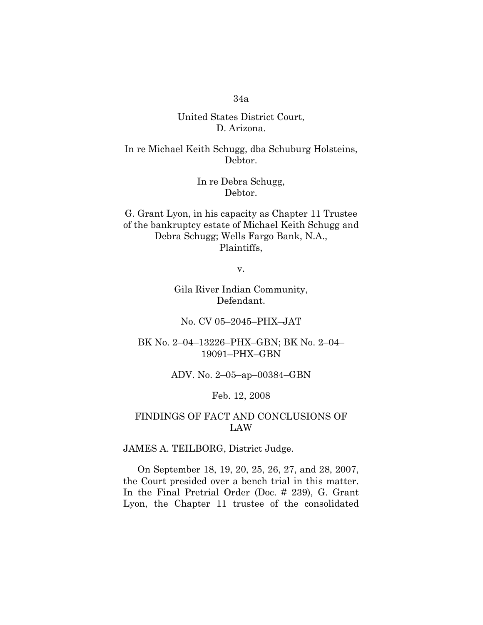# United States District Court, D. Arizona.

In re Michael Keith Schugg, dba Schuburg Holsteins, Debtor.

> In re Debra Schugg, Debtor.

G. Grant Lyon, in his capacity as Chapter 11 Trustee of the bankruptcy estate of Michael Keith Schugg and Debra Schugg; Wells Fargo Bank, N.A., Plaintiffs,

v.

Gila River Indian Community, Defendant.

No. CV 05–2045–PHX–JAT

BK No. 2–04–13226–PHX–GBN; BK No. 2–04– 19091–PHX–GBN

ADV. No. 2–05–ap–00384–GBN

Feb. 12, 2008

# FINDINGS OF FACT AND CONCLUSIONS OF LAW

JAMES A. TEILBORG, District Judge.

On September 18, 19, 20, 25, 26, 27, and 28, 2007, the Court presided over a bench trial in this matter. In the Final Pretrial Order (Doc. # 239), G. Grant Lyon, the Chapter 11 trustee of the consolidated

# 34a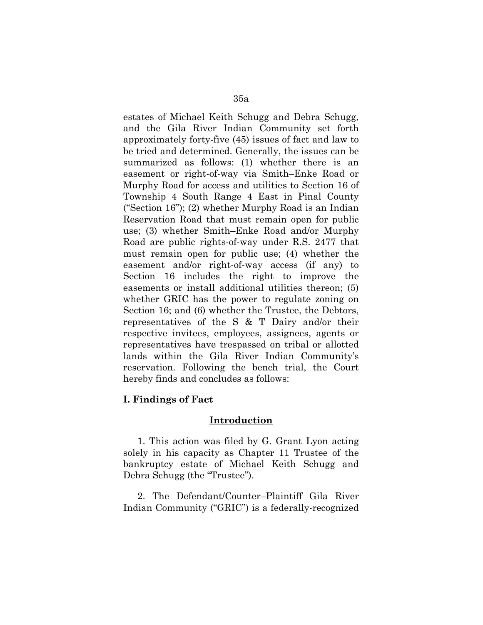estates of Michael Keith Schugg and Debra Schugg, and the Gila River Indian Community set forth approximately forty-five (45) issues of fact and law to be tried and determined. Generally, the issues can be summarized as follows: (1) whether there is an easement or right-of-way via Smith–Enke Road or Murphy Road for access and utilities to Section 16 of Township 4 South Range 4 East in Pinal County ("Section 16"); (2) whether Murphy Road is an Indian Reservation Road that must remain open for public use; (3) whether Smith–Enke Road and/or Murphy Road are public rights-of-way under R.S. 2477 that must remain open for public use; (4) whether the easement and/or right-of-way access (if any) to Section 16 includes the right to improve the easements or install additional utilities thereon; (5) whether GRIC has the power to regulate zoning on Section 16; and (6) whether the Trustee, the Debtors, representatives of the S & T Dairy and/or their respective invitees, employees, assignees, agents or representatives have trespassed on tribal or allotted lands within the Gila River Indian Community's reservation. Following the bench trial, the Court hereby finds and concludes as follows:

# **I. Findings of Fact**

## **Introduction**

1. This action was filed by G. Grant Lyon acting solely in his capacity as Chapter 11 Trustee of the bankruptcy estate of Michael Keith Schugg and Debra Schugg (the "Trustee").

2. The Defendant/Counter–Plaintiff Gila River Indian Community ("GRIC") is a federally-recognized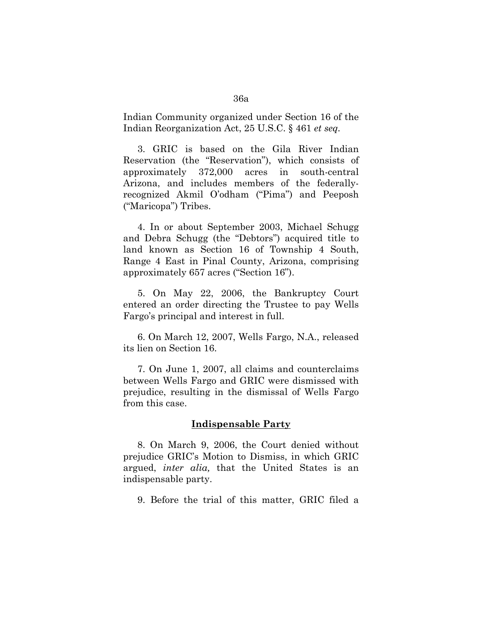Indian Community organized under Section 16 of the Indian Reorganization Act, 25 U.S.C. § 461 *et seq.*

3. GRIC is based on the Gila River Indian Reservation (the "Reservation"), which consists of approximately 372,000 acres in south-central Arizona, and includes members of the federallyrecognized Akmil O'odham ("Pima") and Peeposh ("Maricopa") Tribes.

4. In or about September 2003, Michael Schugg and Debra Schugg (the "Debtors") acquired title to land known as Section 16 of Township 4 South, Range 4 East in Pinal County, Arizona, comprising approximately 657 acres ("Section 16").

5. On May 22, 2006, the Bankruptcy Court entered an order directing the Trustee to pay Wells Fargo's principal and interest in full.

6. On March 12, 2007, Wells Fargo, N.A., released its lien on Section 16.

7. On June 1, 2007, all claims and counterclaims between Wells Fargo and GRIC were dismissed with prejudice, resulting in the dismissal of Wells Fargo from this case.

#### **Indispensable Party**

8. On March 9, 2006, the Court denied without prejudice GRIC's Motion to Dismiss, in which GRIC argued, *inter alia,* that the United States is an indispensable party.

9. Before the trial of this matter, GRIC filed a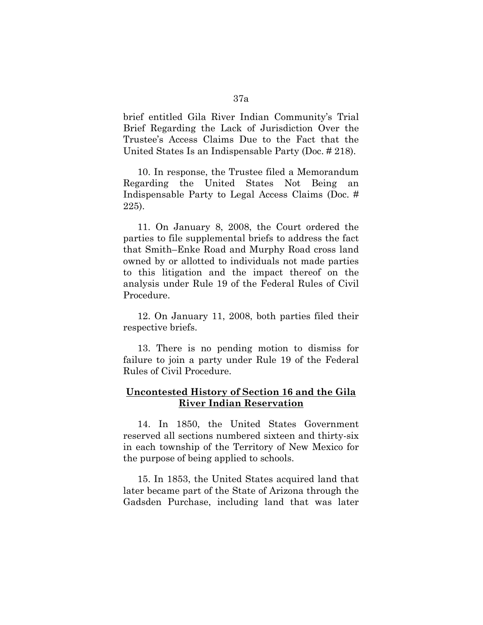brief entitled Gila River Indian Community's Trial Brief Regarding the Lack of Jurisdiction Over the Trustee's Access Claims Due to the Fact that the United States Is an Indispensable Party (Doc. # 218).

10. In response, the Trustee filed a Memorandum Regarding the United States Not Being an Indispensable Party to Legal Access Claims (Doc. # 225).

11. On January 8, 2008, the Court ordered the parties to file supplemental briefs to address the fact that Smith–Enke Road and Murphy Road cross land owned by or allotted to individuals not made parties to this litigation and the impact thereof on the analysis under Rule 19 of the Federal Rules of Civil Procedure.

12. On January 11, 2008, both parties filed their respective briefs.

13. There is no pending motion to dismiss for failure to join a party under Rule 19 of the Federal Rules of Civil Procedure.

# **Uncontested History of Section 16 and the Gila River Indian Reservation**

14. In 1850, the United States Government reserved all sections numbered sixteen and thirty-six in each township of the Territory of New Mexico for the purpose of being applied to schools.

15. In 1853, the United States acquired land that later became part of the State of Arizona through the Gadsden Purchase, including land that was later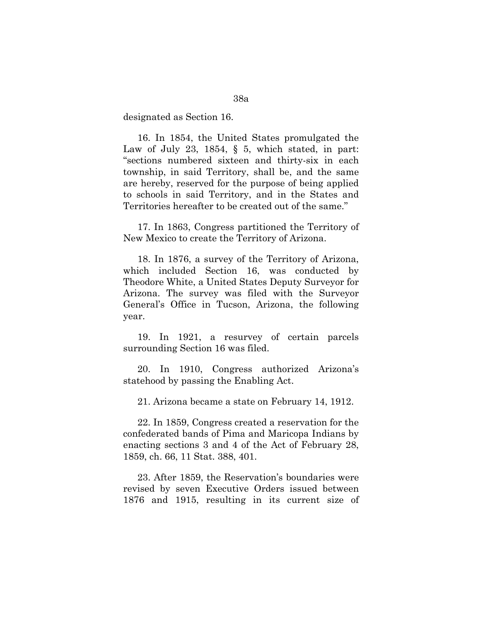designated as Section 16.

16. In 1854, the United States promulgated the Law of July 23, 1854,  $\S$  5, which stated, in part: "sections numbered sixteen and thirty-six in each township, in said Territory, shall be, and the same are hereby, reserved for the purpose of being applied to schools in said Territory, and in the States and Territories hereafter to be created out of the same."

17. In 1863, Congress partitioned the Territory of New Mexico to create the Territory of Arizona.

18. In 1876, a survey of the Territory of Arizona, which included Section 16, was conducted by Theodore White, a United States Deputy Surveyor for Arizona. The survey was filed with the Surveyor General's Office in Tucson, Arizona, the following year.

19. In 1921, a resurvey of certain parcels surrounding Section 16 was filed.

20. In 1910, Congress authorized Arizona's statehood by passing the Enabling Act.

21. Arizona became a state on February 14, 1912.

22. In 1859, Congress created a reservation for the confederated bands of Pima and Maricopa Indians by enacting sections 3 and 4 of the Act of February 28, 1859, ch. 66, 11 Stat. 388, 401.

23. After 1859, the Reservation's boundaries were revised by seven Executive Orders issued between 1876 and 1915, resulting in its current size of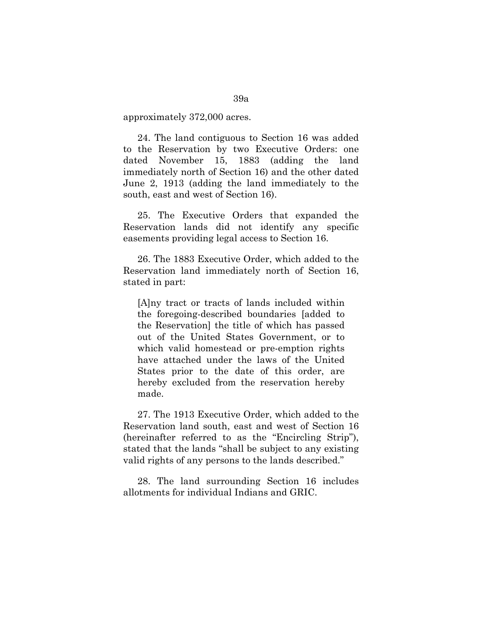approximately 372,000 acres.

24. The land contiguous to Section 16 was added to the Reservation by two Executive Orders: one dated November 15, 1883 (adding the land immediately north of Section 16) and the other dated June 2, 1913 (adding the land immediately to the south, east and west of Section 16).

25. The Executive Orders that expanded the Reservation lands did not identify any specific easements providing legal access to Section 16.

26. The 1883 Executive Order, which added to the Reservation land immediately north of Section 16, stated in part:

[A]ny tract or tracts of lands included within the foregoing-described boundaries [added to the Reservation] the title of which has passed out of the United States Government, or to which valid homestead or pre-emption rights have attached under the laws of the United States prior to the date of this order, are hereby excluded from the reservation hereby made.

27. The 1913 Executive Order, which added to the Reservation land south, east and west of Section 16 (hereinafter referred to as the "Encircling Strip"), stated that the lands "shall be subject to any existing valid rights of any persons to the lands described."

28. The land surrounding Section 16 includes allotments for individual Indians and GRIC.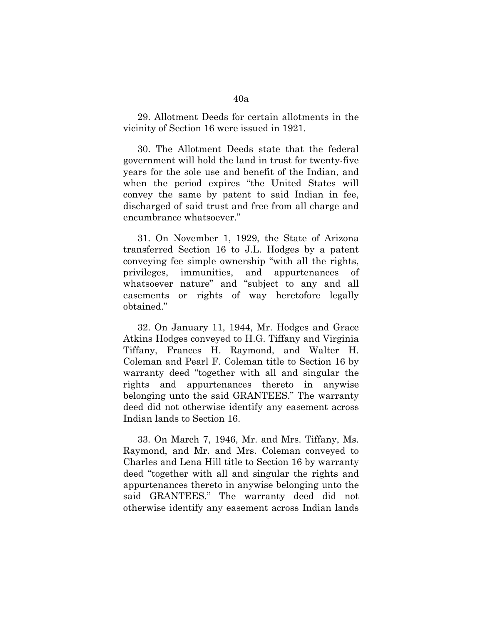29. Allotment Deeds for certain allotments in the vicinity of Section 16 were issued in 1921.

30. The Allotment Deeds state that the federal government will hold the land in trust for twenty-five years for the sole use and benefit of the Indian, and when the period expires "the United States will convey the same by patent to said Indian in fee, discharged of said trust and free from all charge and encumbrance whatsoever."

31. On November 1, 1929, the State of Arizona transferred Section 16 to J.L. Hodges by a patent conveying fee simple ownership "with all the rights, privileges, immunities, and appurtenances of whatsoever nature" and "subject to any and all easements or rights of way heretofore legally obtained."

32. On January 11, 1944, Mr. Hodges and Grace Atkins Hodges conveyed to H.G. Tiffany and Virginia Tiffany, Frances H. Raymond, and Walter H. Coleman and Pearl F. Coleman title to Section 16 by warranty deed "together with all and singular the rights and appurtenances thereto in anywise belonging unto the said GRANTEES." The warranty deed did not otherwise identify any easement across Indian lands to Section 16.

33. On March 7, 1946, Mr. and Mrs. Tiffany, Ms. Raymond, and Mr. and Mrs. Coleman conveyed to Charles and Lena Hill title to Section 16 by warranty deed "together with all and singular the rights and appurtenances thereto in anywise belonging unto the said GRANTEES." The warranty deed did not otherwise identify any easement across Indian lands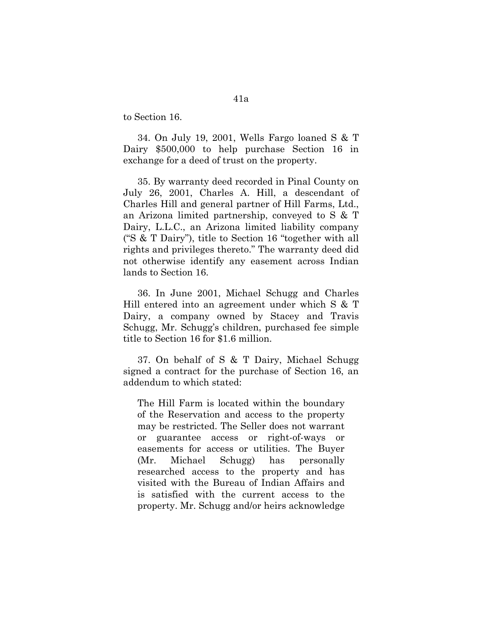to Section 16.

34. On July 19, 2001, Wells Fargo loaned S & T Dairy \$500,000 to help purchase Section 16 in exchange for a deed of trust on the property.

35. By warranty deed recorded in Pinal County on July 26, 2001, Charles A. Hill, a descendant of Charles Hill and general partner of Hill Farms, Ltd., an Arizona limited partnership, conveyed to S & T Dairy, L.L.C., an Arizona limited liability company ("S & T Dairy"), title to Section 16 "together with all rights and privileges thereto." The warranty deed did not otherwise identify any easement across Indian lands to Section 16.

36. In June 2001, Michael Schugg and Charles Hill entered into an agreement under which S & T Dairy, a company owned by Stacey and Travis Schugg, Mr. Schugg's children, purchased fee simple title to Section 16 for \$1.6 million.

37. On behalf of S & T Dairy, Michael Schugg signed a contract for the purchase of Section 16, an addendum to which stated:

The Hill Farm is located within the boundary of the Reservation and access to the property may be restricted. The Seller does not warrant or guarantee access or right-of-ways or easements for access or utilities. The Buyer (Mr. Michael Schugg) has personally researched access to the property and has visited with the Bureau of Indian Affairs and is satisfied with the current access to the property. Mr. Schugg and/or heirs acknowledge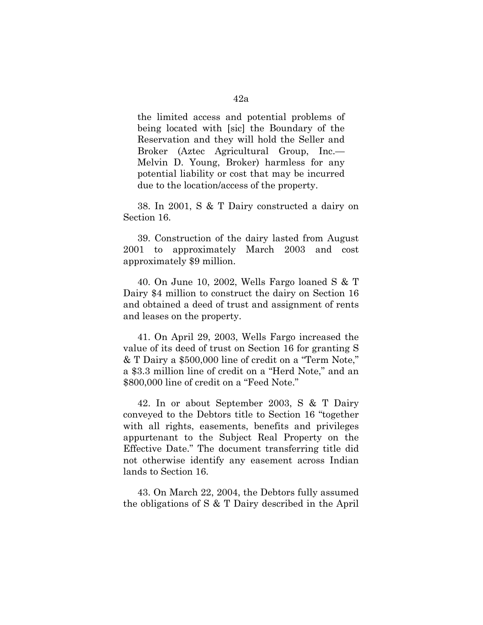the limited access and potential problems of being located with [sic] the Boundary of the Reservation and they will hold the Seller and Broker (Aztec Agricultural Group, Inc.— Melvin D. Young, Broker) harmless for any potential liability or cost that may be incurred due to the location/access of the property.

38. In 2001, S & T Dairy constructed a dairy on Section 16.

39. Construction of the dairy lasted from August 2001 to approximately March 2003 and cost approximately \$9 million.

40. On June 10, 2002, Wells Fargo loaned S & T Dairy \$4 million to construct the dairy on Section 16 and obtained a deed of trust and assignment of rents and leases on the property.

41. On April 29, 2003, Wells Fargo increased the value of its deed of trust on Section 16 for granting S & T Dairy a \$500,000 line of credit on a "Term Note," a \$3.3 million line of credit on a "Herd Note," and an \$800,000 line of credit on a "Feed Note."

42. In or about September 2003, S & T Dairy conveyed to the Debtors title to Section 16 "together with all rights, easements, benefits and privileges appurtenant to the Subject Real Property on the Effective Date." The document transferring title did not otherwise identify any easement across Indian lands to Section 16.

43. On March 22, 2004, the Debtors fully assumed the obligations of S & T Dairy described in the April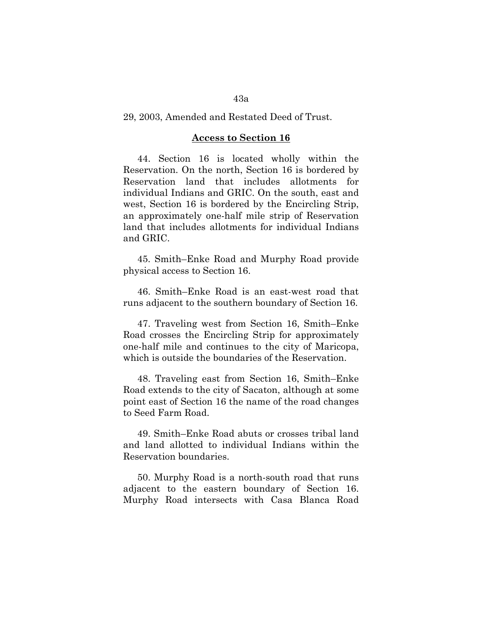### 29, 2003, Amended and Restated Deed of Trust.

#### **Access to Section 16**

44. Section 16 is located wholly within the Reservation. On the north, Section 16 is bordered by Reservation land that includes allotments for individual Indians and GRIC. On the south, east and west, Section 16 is bordered by the Encircling Strip, an approximately one-half mile strip of Reservation land that includes allotments for individual Indians and GRIC.

45. Smith–Enke Road and Murphy Road provide physical access to Section 16.

46. Smith–Enke Road is an east-west road that runs adjacent to the southern boundary of Section 16.

47. Traveling west from Section 16, Smith–Enke Road crosses the Encircling Strip for approximately one-half mile and continues to the city of Maricopa, which is outside the boundaries of the Reservation.

48. Traveling east from Section 16, Smith–Enke Road extends to the city of Sacaton, although at some point east of Section 16 the name of the road changes to Seed Farm Road.

49. Smith–Enke Road abuts or crosses tribal land and land allotted to individual Indians within the Reservation boundaries.

50. Murphy Road is a north-south road that runs adjacent to the eastern boundary of Section 16. Murphy Road intersects with Casa Blanca Road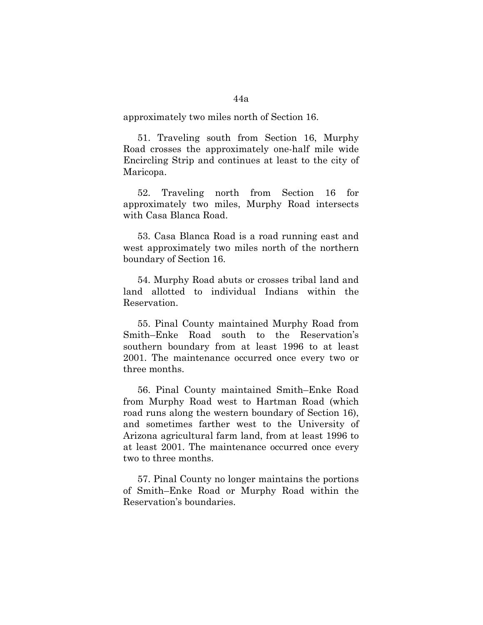approximately two miles north of Section 16.

51. Traveling south from Section 16, Murphy Road crosses the approximately one-half mile wide Encircling Strip and continues at least to the city of Maricopa.

52. Traveling north from Section 16 for approximately two miles, Murphy Road intersects with Casa Blanca Road.

53. Casa Blanca Road is a road running east and west approximately two miles north of the northern boundary of Section 16.

54. Murphy Road abuts or crosses tribal land and land allotted to individual Indians within the Reservation.

55. Pinal County maintained Murphy Road from Smith–Enke Road south to the Reservation's southern boundary from at least 1996 to at least 2001. The maintenance occurred once every two or three months.

56. Pinal County maintained Smith–Enke Road from Murphy Road west to Hartman Road (which road runs along the western boundary of Section 16), and sometimes farther west to the University of Arizona agricultural farm land, from at least 1996 to at least 2001. The maintenance occurred once every two to three months.

57. Pinal County no longer maintains the portions of Smith–Enke Road or Murphy Road within the Reservation's boundaries.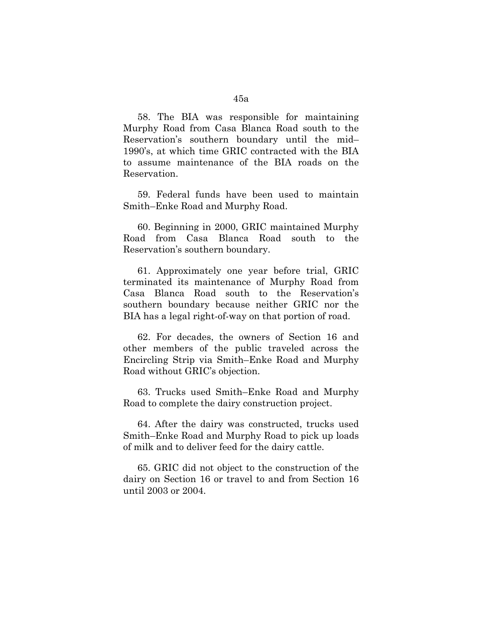58. The BIA was responsible for maintaining Murphy Road from Casa Blanca Road south to the Reservation's southern boundary until the mid– 1990's, at which time GRIC contracted with the BIA to assume maintenance of the BIA roads on the Reservation.

59. Federal funds have been used to maintain Smith–Enke Road and Murphy Road.

60. Beginning in 2000, GRIC maintained Murphy Road from Casa Blanca Road south to the Reservation's southern boundary.

61. Approximately one year before trial, GRIC terminated its maintenance of Murphy Road from Casa Blanca Road south to the Reservation's southern boundary because neither GRIC nor the BIA has a legal right-of-way on that portion of road.

62. For decades, the owners of Section 16 and other members of the public traveled across the Encircling Strip via Smith–Enke Road and Murphy Road without GRIC's objection.

63. Trucks used Smith–Enke Road and Murphy Road to complete the dairy construction project.

64. After the dairy was constructed, trucks used Smith–Enke Road and Murphy Road to pick up loads of milk and to deliver feed for the dairy cattle.

65. GRIC did not object to the construction of the dairy on Section 16 or travel to and from Section 16 until 2003 or 2004.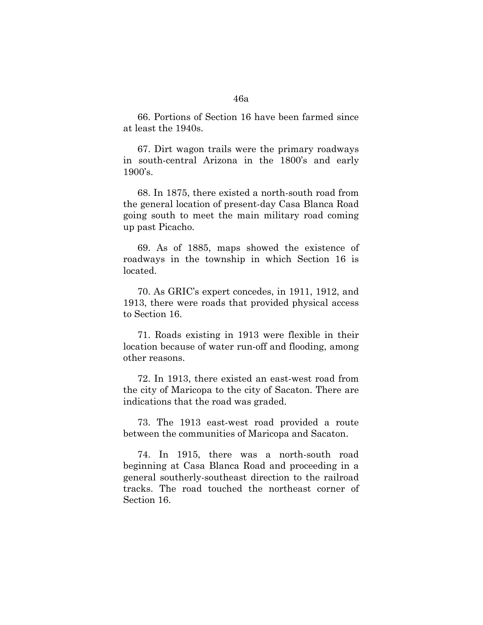66. Portions of Section 16 have been farmed since at least the 1940s.

67. Dirt wagon trails were the primary roadways in south-central Arizona in the 1800's and early 1900's.

68. In 1875, there existed a north-south road from the general location of present-day Casa Blanca Road going south to meet the main military road coming up past Picacho.

69. As of 1885, maps showed the existence of roadways in the township in which Section 16 is located.

70. As GRIC's expert concedes, in 1911, 1912, and 1913, there were roads that provided physical access to Section 16.

71. Roads existing in 1913 were flexible in their location because of water run-off and flooding, among other reasons.

72. In 1913, there existed an east-west road from the city of Maricopa to the city of Sacaton. There are indications that the road was graded.

73. The 1913 east-west road provided a route between the communities of Maricopa and Sacaton.

74. In 1915, there was a north-south road beginning at Casa Blanca Road and proceeding in a general southerly-southeast direction to the railroad tracks. The road touched the northeast corner of Section 16.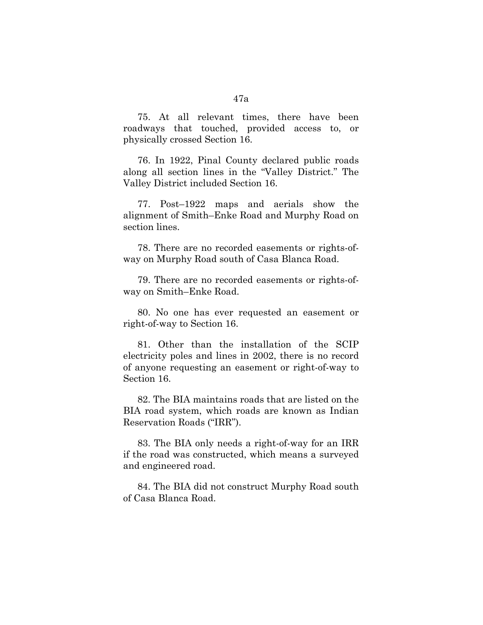75. At all relevant times, there have been roadways that touched, provided access to, or physically crossed Section 16.

76. In 1922, Pinal County declared public roads along all section lines in the "Valley District." The Valley District included Section 16.

77. Post–1922 maps and aerials show the alignment of Smith–Enke Road and Murphy Road on section lines.

78. There are no recorded easements or rights-ofway on Murphy Road south of Casa Blanca Road.

79. There are no recorded easements or rights-ofway on Smith–Enke Road.

80. No one has ever requested an easement or right-of-way to Section 16.

81. Other than the installation of the SCIP electricity poles and lines in 2002, there is no record of anyone requesting an easement or right-of-way to Section 16.

82. The BIA maintains roads that are listed on the BIA road system, which roads are known as Indian Reservation Roads ("IRR").

83. The BIA only needs a right-of-way for an IRR if the road was constructed, which means a surveyed and engineered road.

84. The BIA did not construct Murphy Road south of Casa Blanca Road.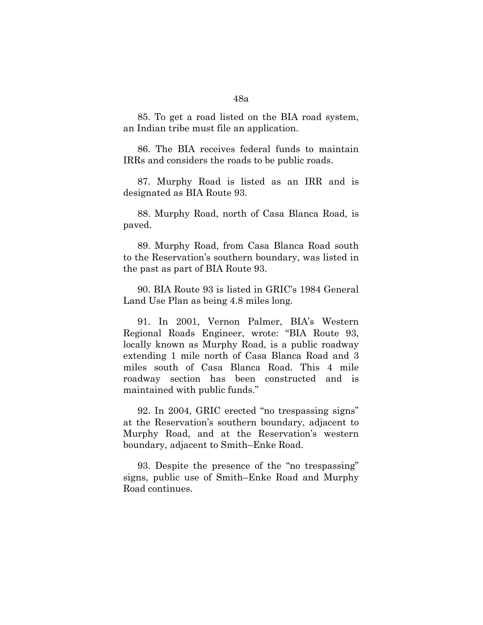85. To get a road listed on the BIA road system, an Indian tribe must file an application.

86. The BIA receives federal funds to maintain IRRs and considers the roads to be public roads.

87. Murphy Road is listed as an IRR and is designated as BIA Route 93.

88. Murphy Road, north of Casa Blanca Road, is paved.

89. Murphy Road, from Casa Blanca Road south to the Reservation's southern boundary, was listed in the past as part of BIA Route 93.

90. BIA Route 93 is listed in GRIC's 1984 General Land Use Plan as being 4.8 miles long.

91. In 2001, Vernon Palmer, BIA's Western Regional Roads Engineer, wrote: "BIA Route 93, locally known as Murphy Road, is a public roadway extending 1 mile north of Casa Blanca Road and 3 miles south of Casa Blanca Road. This 4 mile roadway section has been constructed and is maintained with public funds."

92. In 2004, GRIC erected "no trespassing signs" at the Reservation's southern boundary, adjacent to Murphy Road, and at the Reservation's western boundary, adjacent to Smith–Enke Road.

93. Despite the presence of the "no trespassing" signs, public use of Smith–Enke Road and Murphy Road continues.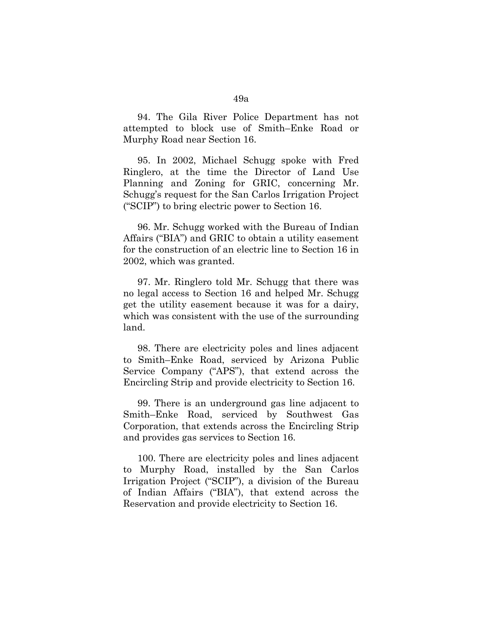94. The Gila River Police Department has not attempted to block use of Smith–Enke Road or Murphy Road near Section 16.

95. In 2002, Michael Schugg spoke with Fred Ringlero, at the time the Director of Land Use Planning and Zoning for GRIC, concerning Mr. Schugg's request for the San Carlos Irrigation Project ("SCIP") to bring electric power to Section 16.

96. Mr. Schugg worked with the Bureau of Indian Affairs ("BIA") and GRIC to obtain a utility easement for the construction of an electric line to Section 16 in 2002, which was granted.

97. Mr. Ringlero told Mr. Schugg that there was no legal access to Section 16 and helped Mr. Schugg get the utility easement because it was for a dairy, which was consistent with the use of the surrounding land.

98. There are electricity poles and lines adjacent to Smith–Enke Road, serviced by Arizona Public Service Company ("APS"), that extend across the Encircling Strip and provide electricity to Section 16.

99. There is an underground gas line adjacent to Smith–Enke Road, serviced by Southwest Gas Corporation, that extends across the Encircling Strip and provides gas services to Section 16.

100. There are electricity poles and lines adjacent to Murphy Road, installed by the San Carlos Irrigation Project ("SCIP"), a division of the Bureau of Indian Affairs ("BIA"), that extend across the Reservation and provide electricity to Section 16.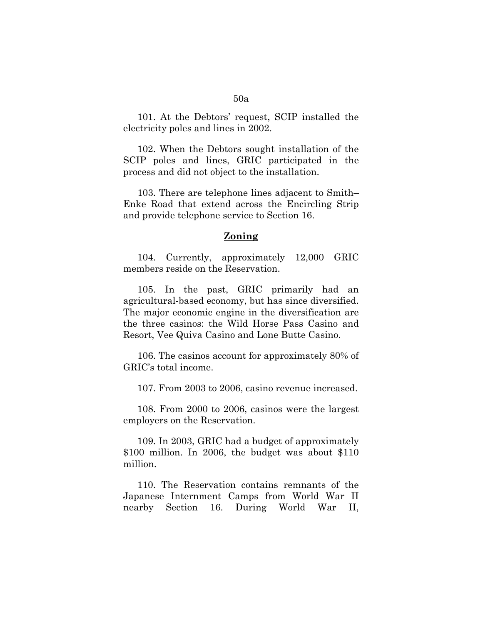101. At the Debtors' request, SCIP installed the electricity poles and lines in 2002.

102. When the Debtors sought installation of the SCIP poles and lines, GRIC participated in the process and did not object to the installation.

103. There are telephone lines adjacent to Smith– Enke Road that extend across the Encircling Strip and provide telephone service to Section 16.

# **Zoning**

104. Currently, approximately 12,000 GRIC members reside on the Reservation.

105. In the past, GRIC primarily had an agricultural-based economy, but has since diversified. The major economic engine in the diversification are the three casinos: the Wild Horse Pass Casino and Resort, Vee Quiva Casino and Lone Butte Casino.

106. The casinos account for approximately 80% of GRIC's total income.

107. From 2003 to 2006, casino revenue increased.

108. From 2000 to 2006, casinos were the largest employers on the Reservation.

109. In 2003, GRIC had a budget of approximately \$100 million. In 2006, the budget was about \$110 million.

110. The Reservation contains remnants of the Japanese Internment Camps from World War II nearby Section 16. During World War II,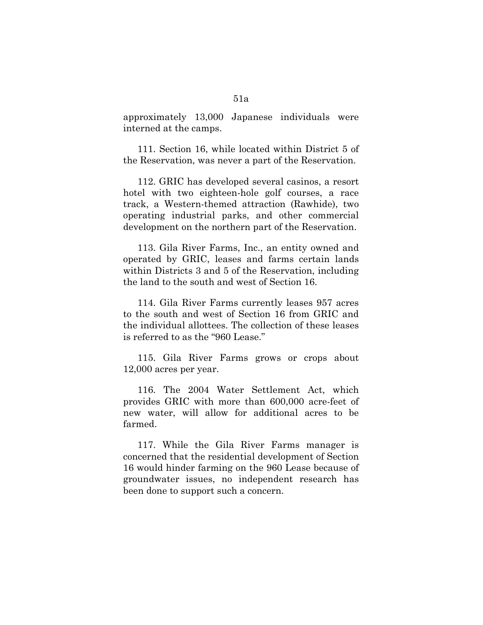approximately 13,000 Japanese individuals were interned at the camps.

111. Section 16, while located within District 5 of the Reservation, was never a part of the Reservation.

112. GRIC has developed several casinos, a resort hotel with two eighteen-hole golf courses, a race track, a Western-themed attraction (Rawhide), two operating industrial parks, and other commercial development on the northern part of the Reservation.

113. Gila River Farms, Inc., an entity owned and operated by GRIC, leases and farms certain lands within Districts 3 and 5 of the Reservation, including the land to the south and west of Section 16.

114. Gila River Farms currently leases 957 acres to the south and west of Section 16 from GRIC and the individual allottees. The collection of these leases is referred to as the "960 Lease."

115. Gila River Farms grows or crops about 12,000 acres per year.

116. The 2004 Water Settlement Act, which provides GRIC with more than 600,000 acre-feet of new water, will allow for additional acres to be farmed.

117. While the Gila River Farms manager is concerned that the residential development of Section 16 would hinder farming on the 960 Lease because of groundwater issues, no independent research has been done to support such a concern.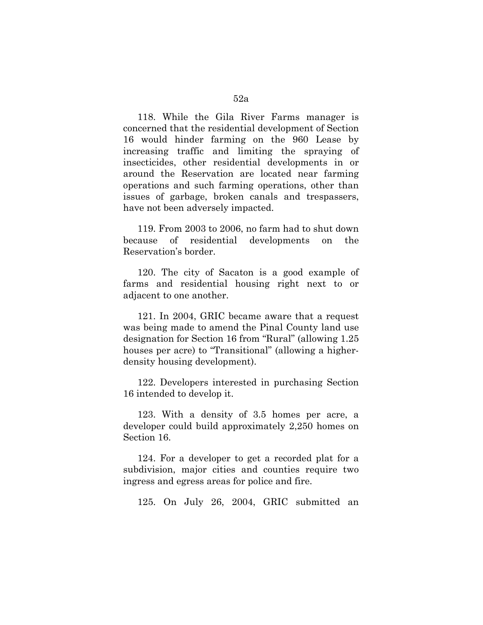118. While the Gila River Farms manager is concerned that the residential development of Section 16 would hinder farming on the 960 Lease by increasing traffic and limiting the spraying of insecticides, other residential developments in or around the Reservation are located near farming operations and such farming operations, other than issues of garbage, broken canals and trespassers, have not been adversely impacted.

119. From 2003 to 2006, no farm had to shut down because of residential developments on the Reservation's border.

120. The city of Sacaton is a good example of farms and residential housing right next to or adjacent to one another.

121. In 2004, GRIC became aware that a request was being made to amend the Pinal County land use designation for Section 16 from "Rural" (allowing 1.25 houses per acre) to "Transitional" (allowing a higherdensity housing development).

122. Developers interested in purchasing Section 16 intended to develop it.

123. With a density of 3.5 homes per acre, a developer could build approximately 2,250 homes on Section 16.

124. For a developer to get a recorded plat for a subdivision, major cities and counties require two ingress and egress areas for police and fire.

125. On July 26, 2004, GRIC submitted an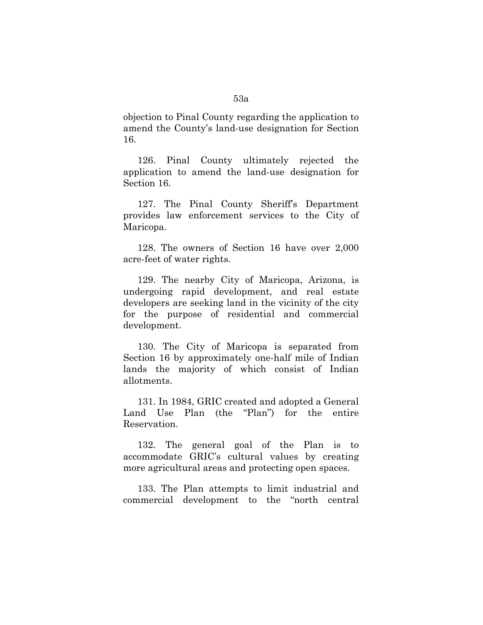objection to Pinal County regarding the application to amend the County's land-use designation for Section 16.

126. Pinal County ultimately rejected the application to amend the land-use designation for Section 16.

127. The Pinal County Sheriff's Department provides law enforcement services to the City of Maricopa.

128. The owners of Section 16 have over 2,000 acre-feet of water rights.

129. The nearby City of Maricopa, Arizona, is undergoing rapid development, and real estate developers are seeking land in the vicinity of the city for the purpose of residential and commercial development.

130. The City of Maricopa is separated from Section 16 by approximately one-half mile of Indian lands the majority of which consist of Indian allotments.

131. In 1984, GRIC created and adopted a General Land Use Plan (the "Plan") for the entire Reservation.

132. The general goal of the Plan is to accommodate GRIC's cultural values by creating more agricultural areas and protecting open spaces.

133. The Plan attempts to limit industrial and commercial development to the "north central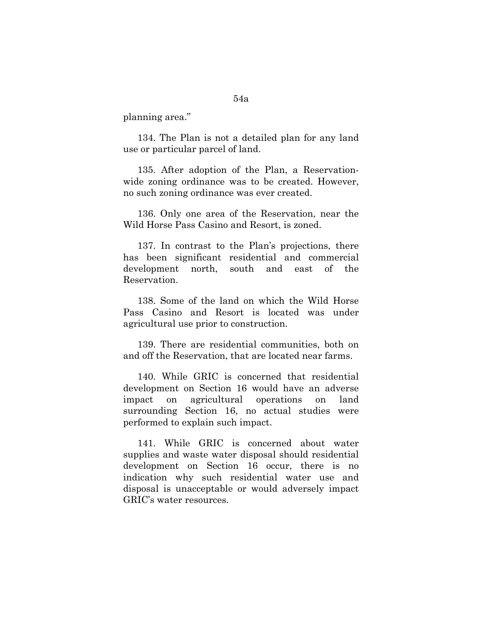planning area."

134. The Plan is not a detailed plan for any land use or particular parcel of land.

135. After adoption of the Plan, a Reservationwide zoning ordinance was to be created. However, no such zoning ordinance was ever created.

136. Only one area of the Reservation, near the Wild Horse Pass Casino and Resort, is zoned.

137. In contrast to the Plan's projections, there has been significant residential and commercial development north, south and east of the Reservation.

138. Some of the land on which the Wild Horse Pass Casino and Resort is located was under agricultural use prior to construction.

139. There are residential communities, both on and off the Reservation, that are located near farms.

140. While GRIC is concerned that residential development on Section 16 would have an adverse impact on agricultural operations on land surrounding Section 16, no actual studies were performed to explain such impact.

141. While GRIC is concerned about water supplies and waste water disposal should residential development on Section 16 occur, there is no indication why such residential water use and disposal is unacceptable or would adversely impact GRIC's water resources.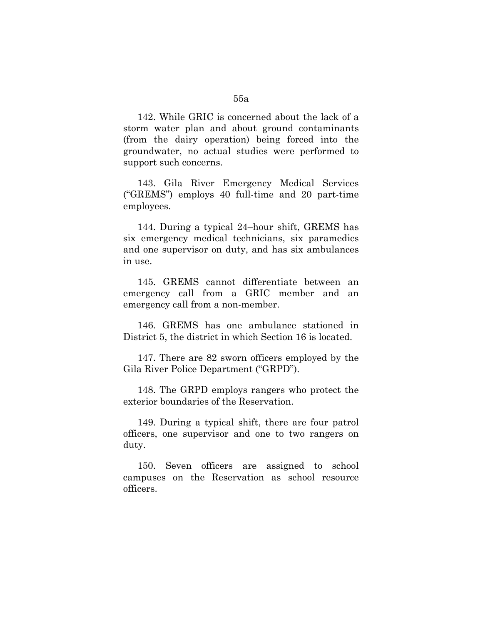142. While GRIC is concerned about the lack of a storm water plan and about ground contaminants (from the dairy operation) being forced into the groundwater, no actual studies were performed to support such concerns.

143. Gila River Emergency Medical Services ("GREMS") employs 40 full-time and 20 part-time employees.

144. During a typical 24–hour shift, GREMS has six emergency medical technicians, six paramedics and one supervisor on duty, and has six ambulances in use.

145. GREMS cannot differentiate between an emergency call from a GRIC member and an emergency call from a non-member.

146. GREMS has one ambulance stationed in District 5, the district in which Section 16 is located.

147. There are 82 sworn officers employed by the Gila River Police Department ("GRPD").

148. The GRPD employs rangers who protect the exterior boundaries of the Reservation.

149. During a typical shift, there are four patrol officers, one supervisor and one to two rangers on duty.

150. Seven officers are assigned to school campuses on the Reservation as school resource officers.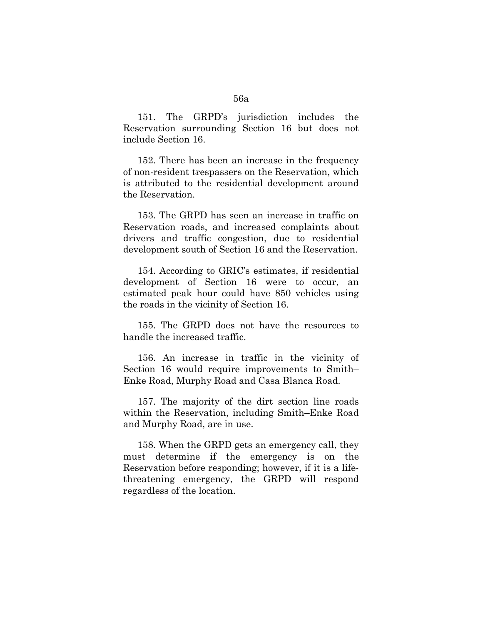151. The GRPD's jurisdiction includes the Reservation surrounding Section 16 but does not include Section 16.

152. There has been an increase in the frequency of non-resident trespassers on the Reservation, which is attributed to the residential development around the Reservation.

153. The GRPD has seen an increase in traffic on Reservation roads, and increased complaints about drivers and traffic congestion, due to residential development south of Section 16 and the Reservation.

154. According to GRIC's estimates, if residential development of Section 16 were to occur, an estimated peak hour could have 850 vehicles using the roads in the vicinity of Section 16.

155. The GRPD does not have the resources to handle the increased traffic.

156. An increase in traffic in the vicinity of Section 16 would require improvements to Smith– Enke Road, Murphy Road and Casa Blanca Road.

157. The majority of the dirt section line roads within the Reservation, including Smith–Enke Road and Murphy Road, are in use.

158. When the GRPD gets an emergency call, they must determine if the emergency is on the Reservation before responding; however, if it is a lifethreatening emergency, the GRPD will respond regardless of the location.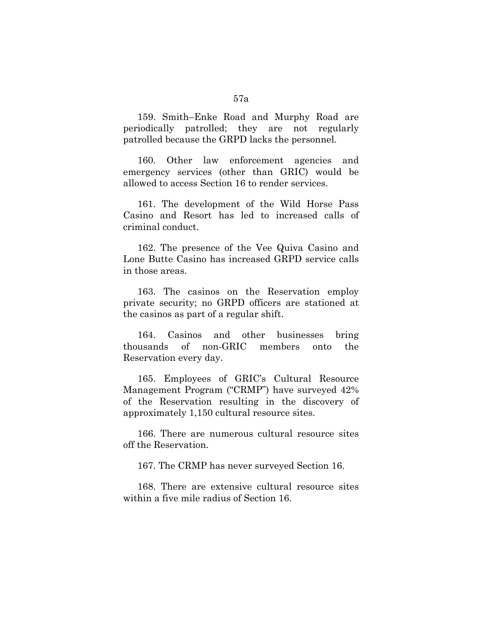159. Smith–Enke Road and Murphy Road are periodically patrolled; they are not regularly patrolled because the GRPD lacks the personnel.

160. Other law enforcement agencies and emergency services (other than GRIC) would be allowed to access Section 16 to render services.

161. The development of the Wild Horse Pass Casino and Resort has led to increased calls of criminal conduct.

162. The presence of the Vee Quiva Casino and Lone Butte Casino has increased GRPD service calls in those areas.

163. The casinos on the Reservation employ private security; no GRPD officers are stationed at the casinos as part of a regular shift.

164. Casinos and other businesses bring thousands of non-GRIC members onto the Reservation every day.

165. Employees of GRIC's Cultural Resource Management Program ("CRMP") have surveyed 42% of the Reservation resulting in the discovery of approximately 1,150 cultural resource sites.

166. There are numerous cultural resource sites off the Reservation.

167. The CRMP has never surveyed Section 16.

168. There are extensive cultural resource sites within a five mile radius of Section 16.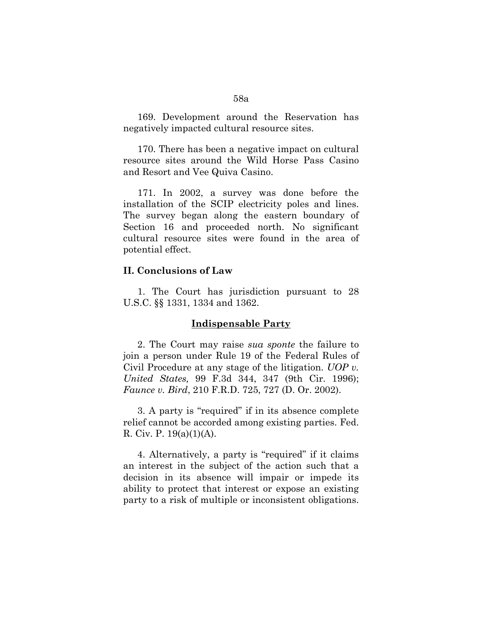169. Development around the Reservation has negatively impacted cultural resource sites.

170. There has been a negative impact on cultural resource sites around the Wild Horse Pass Casino and Resort and Vee Quiva Casino.

171. In 2002, a survey was done before the installation of the SCIP electricity poles and lines. The survey began along the eastern boundary of Section 16 and proceeded north. No significant cultural resource sites were found in the area of potential effect.

# **II. Conclusions of Law**

1. The Court has jurisdiction pursuant to 28 U.S.C. §§ 1331, 1334 and 1362.

# **Indispensable Party**

2. The Court may raise *sua sponte* the failure to join a person under Rule 19 of the Federal Rules of Civil Procedure at any stage of the litigation. *UOP v. United States,* 99 F.3d 344, 347 (9th Cir. 1996); *Faunce v. Bird*, 210 F.R.D. 725, 727 (D. Or. 2002).

3. A party is "required" if in its absence complete relief cannot be accorded among existing parties. Fed. R. Civ. P. 19(a)(1)(A).

4. Alternatively, a party is "required" if it claims an interest in the subject of the action such that a decision in its absence will impair or impede its ability to protect that interest or expose an existing party to a risk of multiple or inconsistent obligations.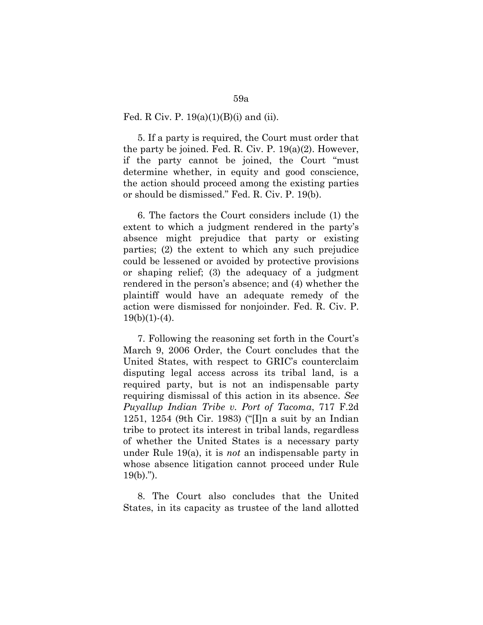### Fed. R Civ. P.  $19(a)(1)(B)(i)$  and (ii).

5. If a party is required, the Court must order that the party be joined. Fed. R. Civ. P. 19(a)(2). However, if the party cannot be joined, the Court "must determine whether, in equity and good conscience, the action should proceed among the existing parties or should be dismissed." Fed. R. Civ. P. 19(b).

6. The factors the Court considers include (1) the extent to which a judgment rendered in the party's absence might prejudice that party or existing parties; (2) the extent to which any such prejudice could be lessened or avoided by protective provisions or shaping relief; (3) the adequacy of a judgment rendered in the person's absence; and (4) whether the plaintiff would have an adequate remedy of the action were dismissed for nonjoinder. Fed. R. Civ. P.  $19(b)(1)-(4)$ .

7. Following the reasoning set forth in the Court's March 9, 2006 Order, the Court concludes that the United States, with respect to GRIC's counterclaim disputing legal access across its tribal land, is a required party, but is not an indispensable party requiring dismissal of this action in its absence. *See Puyallup Indian Tribe v. Port of Tacoma*, 717 F.2d 1251, 1254 (9th Cir. 1983) ("[I]n a suit by an Indian tribe to protect its interest in tribal lands, regardless of whether the United States is a necessary party under Rule 19(a), it is *not* an indispensable party in whose absence litigation cannot proceed under Rule  $19(b)$ .").

8. The Court also concludes that the United States, in its capacity as trustee of the land allotted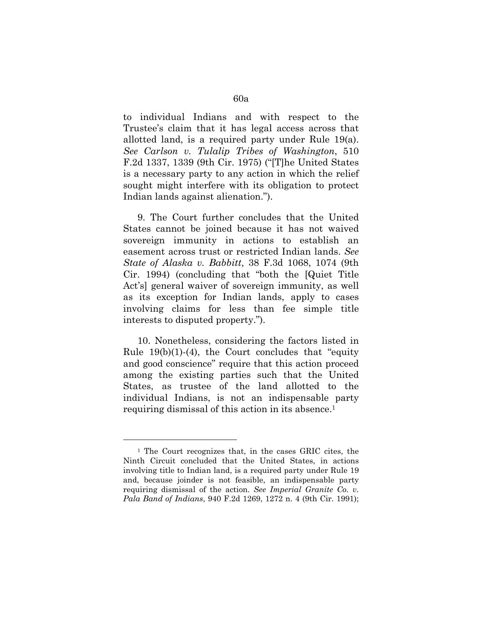to individual Indians and with respect to the Trustee's claim that it has legal access across that allotted land, is a required party under Rule 19(a). *See Carlson v. Tulalip Tribes of Washington*, 510 F.2d 1337, 1339 (9th Cir. 1975) ("[T]he United States is a necessary party to any action in which the relief sought might interfere with its obligation to protect Indian lands against alienation.").

9. The Court further concludes that the United States cannot be joined because it has not waived sovereign immunity in actions to establish an easement across trust or restricted Indian lands. *See State of Alaska v. Babbitt*, 38 F.3d 1068, 1074 (9th Cir. 1994) (concluding that "both the [Quiet Title Act's] general waiver of sovereign immunity, as well as its exception for Indian lands, apply to cases involving claims for less than fee simple title interests to disputed property.").

10. Nonetheless, considering the factors listed in Rule  $19(b)(1)-(4)$ , the Court concludes that "equity" and good conscience" require that this action proceed among the existing parties such that the United States, as trustee of the land allotted to the individual Indians, is not an indispensable party requiring dismissal of this action in its absence.1

 $\overline{a}$ 

<sup>1</sup> The Court recognizes that, in the cases GRIC cites, the Ninth Circuit concluded that the United States, in actions involving title to Indian land, is a required party under Rule 19 and, because joinder is not feasible, an indispensable party requiring dismissal of the action. *See Imperial Granite Co. v. Pala Band of Indians*, 940 F.2d 1269, 1272 n. 4 (9th Cir. 1991);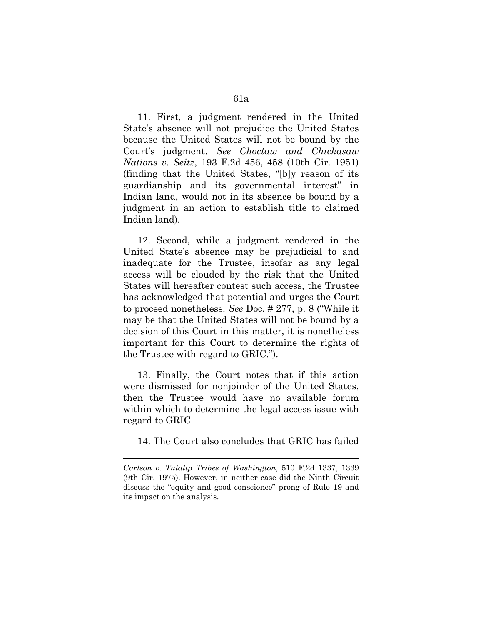11. First, a judgment rendered in the United State's absence will not prejudice the United States because the United States will not be bound by the Court's judgment. *See Choctaw and Chickasaw Nations v. Seitz*, 193 F.2d 456, 458 (10th Cir. 1951) (finding that the United States, "[b]y reason of its guardianship and its governmental interest" in Indian land, would not in its absence be bound by a judgment in an action to establish title to claimed Indian land).

12. Second, while a judgment rendered in the United State's absence may be prejudicial to and inadequate for the Trustee, insofar as any legal access will be clouded by the risk that the United States will hereafter contest such access, the Trustee has acknowledged that potential and urges the Court to proceed nonetheless. *See* Doc. # 277, p. 8 ("While it may be that the United States will not be bound by a decision of this Court in this matter, it is nonetheless important for this Court to determine the rights of the Trustee with regard to GRIC.").

13. Finally, the Court notes that if this action were dismissed for nonjoinder of the United States, then the Trustee would have no available forum within which to determine the legal access issue with regard to GRIC.

14. The Court also concludes that GRIC has failed

1

*Carlson v. Tulalip Tribes of Washington*, 510 F.2d 1337, 1339 (9th Cir. 1975). However, in neither case did the Ninth Circuit discuss the "equity and good conscience" prong of Rule 19 and its impact on the analysis.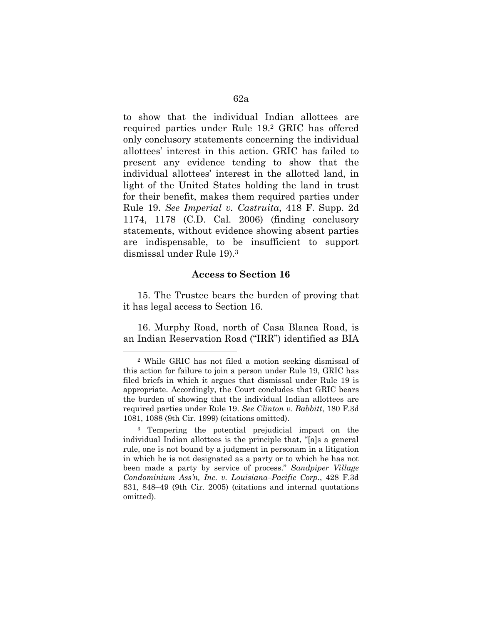to show that the individual Indian allottees are required parties under Rule 19.2 GRIC has offered only conclusory statements concerning the individual allottees' interest in this action. GRIC has failed to present any evidence tending to show that the individual allottees' interest in the allotted land, in light of the United States holding the land in trust for their benefit, makes them required parties under Rule 19. *See Imperial v. Castruita*, 418 F. Supp. 2d 1174, 1178 (C.D. Cal. 2006) (finding conclusory statements, without evidence showing absent parties are indispensable, to be insufficient to support dismissal under Rule 19).3

## **Access to Section 16**

15. The Trustee bears the burden of proving that it has legal access to Section 16.

16. Murphy Road, north of Casa Blanca Road, is an Indian Reservation Road ("IRR") identified as BIA

 $\overline{a}$ 

<sup>2</sup> While GRIC has not filed a motion seeking dismissal of this action for failure to join a person under Rule 19, GRIC has filed briefs in which it argues that dismissal under Rule 19 is appropriate. Accordingly, the Court concludes that GRIC bears the burden of showing that the individual Indian allottees are required parties under Rule 19. *See Clinton v. Babbitt*, 180 F.3d 1081, 1088 (9th Cir. 1999) (citations omitted).

<sup>3</sup> Tempering the potential prejudicial impact on the individual Indian allottees is the principle that, "[a]s a general rule, one is not bound by a judgment in personam in a litigation in which he is not designated as a party or to which he has not been made a party by service of process." *Sandpiper Village Condominium Ass'n, Inc. v. Louisiana–Pacific Corp.*, 428 F.3d 831, 848–49 (9th Cir. 2005) (citations and internal quotations omitted).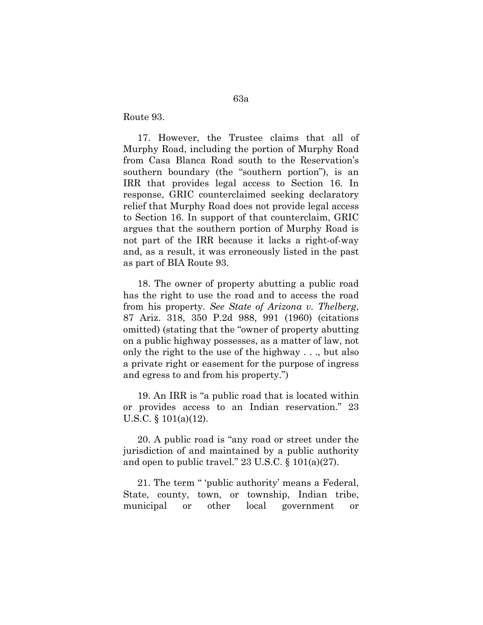Route 93.

17. However, the Trustee claims that all of Murphy Road, including the portion of Murphy Road from Casa Blanca Road south to the Reservation's southern boundary (the "southern portion"), is an IRR that provides legal access to Section 16. In response, GRIC counterclaimed seeking declaratory relief that Murphy Road does not provide legal access to Section 16. In support of that counterclaim, GRIC argues that the southern portion of Murphy Road is not part of the IRR because it lacks a right-of-way and, as a result, it was erroneously listed in the past as part of BIA Route 93.

18. The owner of property abutting a public road has the right to use the road and to access the road from his property. *See State of Arizona v. Thelberg*, 87 Ariz. 318, 350 P.2d 988, 991 (1960) (citations omitted) (stating that the "owner of property abutting on a public highway possesses, as a matter of law, not only the right to the use of the highway . . ., but also a private right or easement for the purpose of ingress and egress to and from his property.")

19. An IRR is "a public road that is located within or provides access to an Indian reservation." 23 U.S.C. § 101(a)(12).

20. A public road is "any road or street under the jurisdiction of and maintained by a public authority and open to public travel." 23 U.S.C.  $\S 101(a)(27)$ .

21. The term " 'public authority' means a Federal, State, county, town, or township, Indian tribe, municipal or other local government or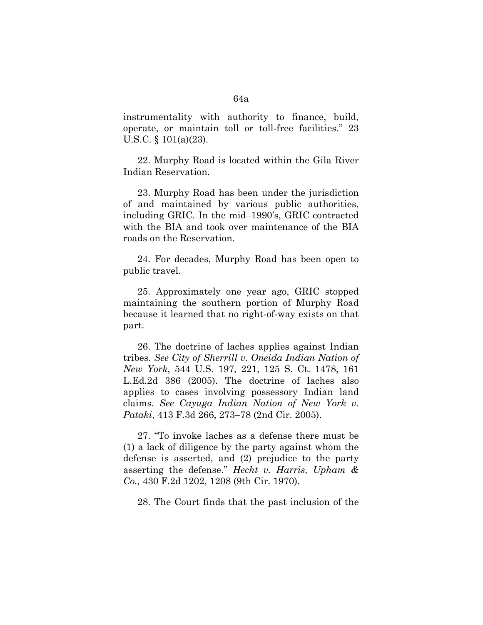instrumentality with authority to finance, build, operate, or maintain toll or toll-free facilities." 23 U.S.C. § 101(a)(23).

22. Murphy Road is located within the Gila River Indian Reservation.

23. Murphy Road has been under the jurisdiction of and maintained by various public authorities, including GRIC. In the mid–1990's, GRIC contracted with the BIA and took over maintenance of the BIA roads on the Reservation.

24. For decades, Murphy Road has been open to public travel.

25. Approximately one year ago, GRIC stopped maintaining the southern portion of Murphy Road because it learned that no right-of-way exists on that part.

26. The doctrine of laches applies against Indian tribes. *See City of Sherrill v. Oneida Indian Nation of New York*, 544 U.S. 197, 221, 125 S. Ct. 1478, 161 L.Ed.2d 386 (2005). The doctrine of laches also applies to cases involving possessory Indian land claims. *See Cayuga Indian Nation of New York v. Pataki*, 413 F.3d 266, 273–78 (2nd Cir. 2005).

27. "To invoke laches as a defense there must be (1) a lack of diligence by the party against whom the defense is asserted, and (2) prejudice to the party asserting the defense." *Hecht v. Harris, Upham & Co.,* 430 F.2d 1202, 1208 (9th Cir. 1970).

28. The Court finds that the past inclusion of the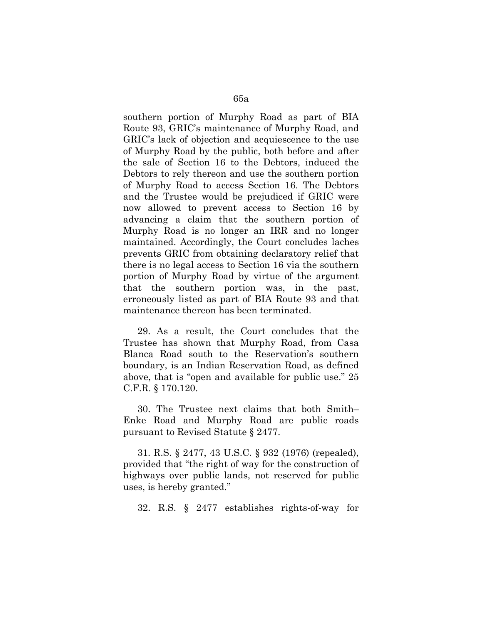southern portion of Murphy Road as part of BIA Route 93, GRIC's maintenance of Murphy Road, and GRIC's lack of objection and acquiescence to the use of Murphy Road by the public, both before and after the sale of Section 16 to the Debtors, induced the Debtors to rely thereon and use the southern portion of Murphy Road to access Section 16. The Debtors and the Trustee would be prejudiced if GRIC were now allowed to prevent access to Section 16 by advancing a claim that the southern portion of Murphy Road is no longer an IRR and no longer maintained. Accordingly, the Court concludes laches prevents GRIC from obtaining declaratory relief that there is no legal access to Section 16 via the southern portion of Murphy Road by virtue of the argument that the southern portion was, in the past, erroneously listed as part of BIA Route 93 and that maintenance thereon has been terminated.

29. As a result, the Court concludes that the Trustee has shown that Murphy Road, from Casa Blanca Road south to the Reservation's southern boundary, is an Indian Reservation Road, as defined above, that is "open and available for public use." 25 C.F.R. § 170.120.

30. The Trustee next claims that both Smith– Enke Road and Murphy Road are public roads pursuant to Revised Statute § 2477.

31. R.S. § 2477, 43 U.S.C. § 932 (1976) (repealed), provided that "the right of way for the construction of highways over public lands, not reserved for public uses, is hereby granted."

32. R.S. § 2477 establishes rights-of-way for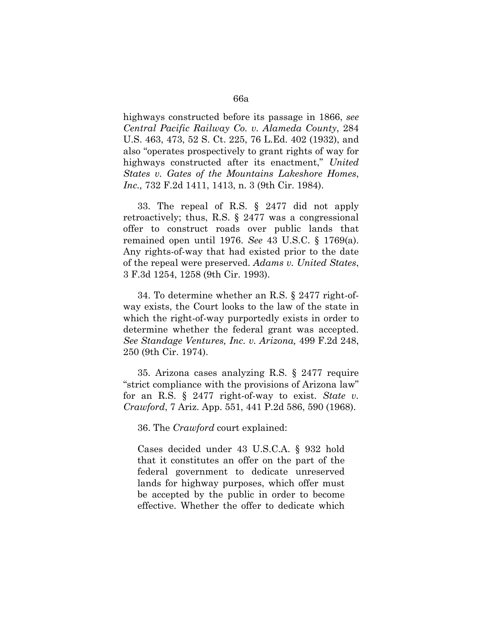highways constructed before its passage in 1866, *see Central Pacific Railway Co. v. Alameda County*, 284 U.S. 463, 473, 52 S. Ct. 225, 76 L.Ed. 402 (1932), and also "operates prospectively to grant rights of way for highways constructed after its enactment," *United States v. Gates of the Mountains Lakeshore Homes*, *Inc.*, 732 F.2d 1411, 1413, n. 3 (9th Cir. 1984).

33. The repeal of R.S. § 2477 did not apply retroactively; thus, R.S. § 2477 was a congressional offer to construct roads over public lands that remained open until 1976. *See* 43 U.S.C. § 1769(a). Any rights-of-way that had existed prior to the date of the repeal were preserved. *Adams v. United States*, 3 F.3d 1254, 1258 (9th Cir. 1993).

34. To determine whether an R.S. § 2477 right-ofway exists, the Court looks to the law of the state in which the right-of-way purportedly exists in order to determine whether the federal grant was accepted. *See Standage Ventures, Inc. v. Arizona,* 499 F.2d 248, 250 (9th Cir. 1974).

35. Arizona cases analyzing R.S. § 2477 require "strict compliance with the provisions of Arizona law" for an R.S. § 2477 right-of-way to exist. *State v. Crawford*, 7 Ariz. App. 551, 441 P.2d 586, 590 (1968).

36. The *Crawford* court explained:

Cases decided under 43 U.S.C.A. § 932 hold that it constitutes an offer on the part of the federal government to dedicate unreserved lands for highway purposes, which offer must be accepted by the public in order to become effective. Whether the offer to dedicate which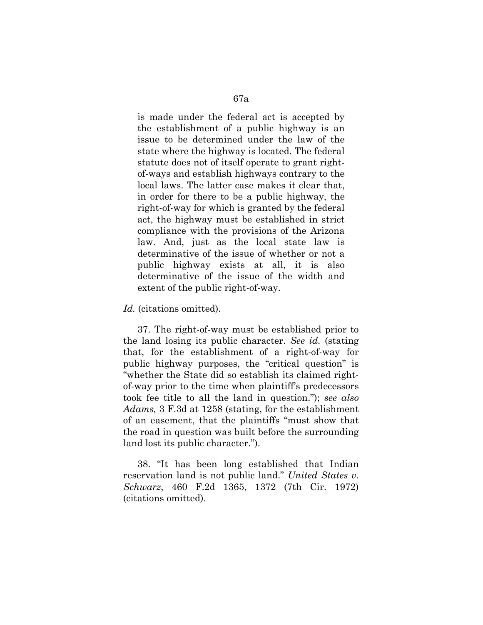is made under the federal act is accepted by the establishment of a public highway is an issue to be determined under the law of the state where the highway is located. The federal statute does not of itself operate to grant rightof-ways and establish highways contrary to the local laws. The latter case makes it clear that, in order for there to be a public highway, the right-of-way for which is granted by the federal act, the highway must be established in strict compliance with the provisions of the Arizona law. And, just as the local state law is determinative of the issue of whether or not a public highway exists at all, it is also determinative of the issue of the width and extent of the public right-of-way.

*Id.* (citations omitted).

37. The right-of-way must be established prior to the land losing its public character. *See id.* (stating that, for the establishment of a right-of-way for public highway purposes, the "critical question" is "whether the State did so establish its claimed rightof-way prior to the time when plaintiff's predecessors took fee title to all the land in question."); *see also Adams,* 3 F.3d at 1258 (stating, for the establishment of an easement, that the plaintiffs "must show that the road in question was built before the surrounding land lost its public character.").

38. "It has been long established that Indian reservation land is not public land." *United States v. Schwarz*, 460 F.2d 1365, 1372 (7th Cir. 1972) (citations omitted).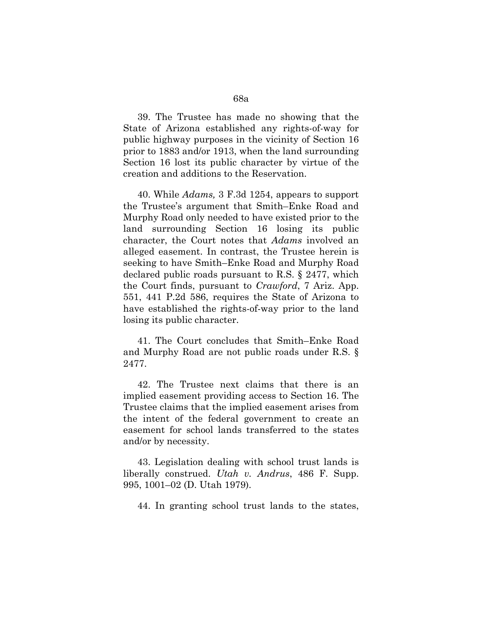39. The Trustee has made no showing that the State of Arizona established any rights-of-way for public highway purposes in the vicinity of Section 16 prior to 1883 and/or 1913, when the land surrounding Section 16 lost its public character by virtue of the creation and additions to the Reservation.

40. While *Adams,* 3 F.3d 1254, appears to support the Trustee's argument that Smith–Enke Road and Murphy Road only needed to have existed prior to the land surrounding Section 16 losing its public character, the Court notes that *Adams* involved an alleged easement. In contrast, the Trustee herein is seeking to have Smith–Enke Road and Murphy Road declared public roads pursuant to R.S. § 2477, which the Court finds, pursuant to *Crawford*, 7 Ariz. App. 551, 441 P.2d 586, requires the State of Arizona to have established the rights-of-way prior to the land losing its public character.

41. The Court concludes that Smith–Enke Road and Murphy Road are not public roads under R.S. § 2477.

42. The Trustee next claims that there is an implied easement providing access to Section 16. The Trustee claims that the implied easement arises from the intent of the federal government to create an easement for school lands transferred to the states and/or by necessity.

43. Legislation dealing with school trust lands is liberally construed. *Utah v. Andrus*, 486 F. Supp. 995, 1001–02 (D. Utah 1979).

44. In granting school trust lands to the states,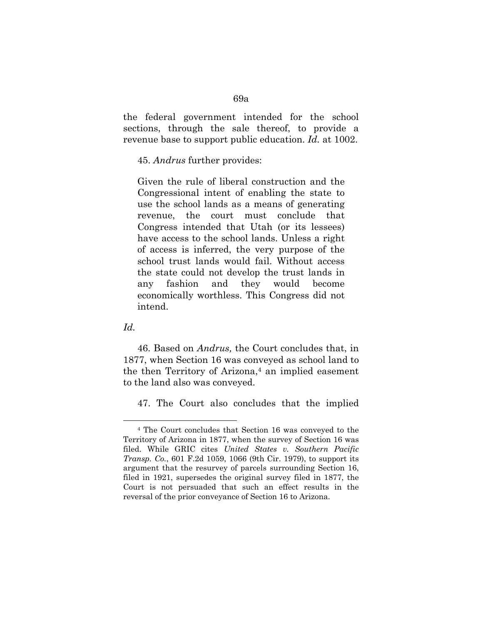the federal government intended for the school sections, through the sale thereof, to provide a revenue base to support public education. *Id.* at 1002.

45. *Andrus* further provides:

Given the rule of liberal construction and the Congressional intent of enabling the state to use the school lands as a means of generating revenue, the court must conclude that Congress intended that Utah (or its lessees) have access to the school lands. Unless a right of access is inferred, the very purpose of the school trust lands would fail. Without access the state could not develop the trust lands in any fashion and they would become economically worthless. This Congress did not intend.

*Id.*

 $\overline{a}$ 

46. Based on *Andrus,* the Court concludes that, in 1877, when Section 16 was conveyed as school land to the then Territory of Arizona, $4$  an implied easement to the land also was conveyed.

47. The Court also concludes that the implied

<sup>4</sup> The Court concludes that Section 16 was conveyed to the Territory of Arizona in 1877, when the survey of Section 16 was filed. While GRIC cites *United States v. Southern Pacific Transp. Co.*, 601 F.2d 1059, 1066 (9th Cir. 1979), to support its argument that the resurvey of parcels surrounding Section 16, filed in 1921, supersedes the original survey filed in 1877, the Court is not persuaded that such an effect results in the reversal of the prior conveyance of Section 16 to Arizona.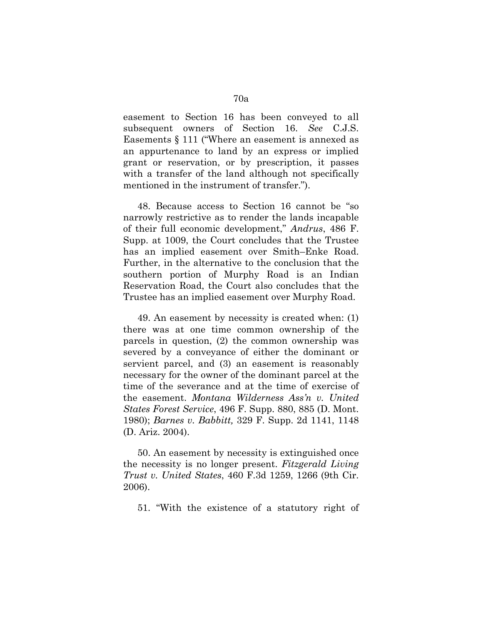easement to Section 16 has been conveyed to all subsequent owners of Section 16. *See* C.J.S. Easements § 111 ("Where an easement is annexed as an appurtenance to land by an express or implied grant or reservation, or by prescription, it passes with a transfer of the land although not specifically mentioned in the instrument of transfer.").

48. Because access to Section 16 cannot be "so narrowly restrictive as to render the lands incapable of their full economic development," *Andrus*, 486 F. Supp. at 1009, the Court concludes that the Trustee has an implied easement over Smith–Enke Road. Further, in the alternative to the conclusion that the southern portion of Murphy Road is an Indian Reservation Road, the Court also concludes that the Trustee has an implied easement over Murphy Road.

49. An easement by necessity is created when: (1) there was at one time common ownership of the parcels in question, (2) the common ownership was severed by a conveyance of either the dominant or servient parcel, and (3) an easement is reasonably necessary for the owner of the dominant parcel at the time of the severance and at the time of exercise of the easement. *Montana Wilderness Ass'n v. United States Forest Service*, 496 F. Supp. 880, 885 (D. Mont. 1980); *Barnes v. Babbitt,* 329 F. Supp. 2d 1141, 1148 (D. Ariz. 2004).

50. An easement by necessity is extinguished once the necessity is no longer present. *Fitzgerald Living Trust v. United States*, 460 F.3d 1259, 1266 (9th Cir. 2006).

51. "With the existence of a statutory right of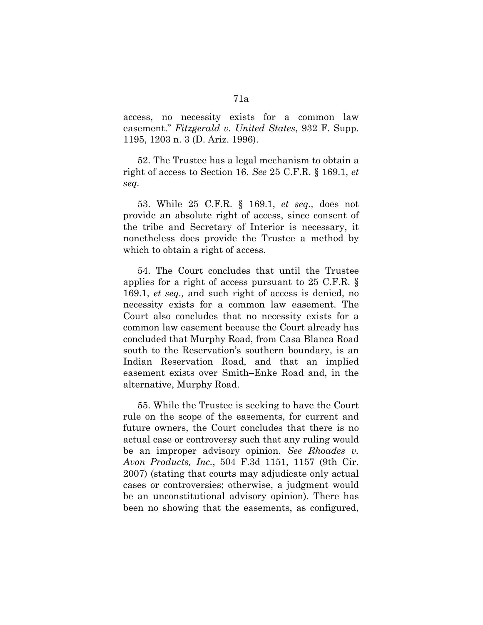access, no necessity exists for a common law easement." *Fitzgerald v. United States*, 932 F. Supp. 1195, 1203 n. 3 (D. Ariz. 1996).

52. The Trustee has a legal mechanism to obtain a right of access to Section 16. *See* 25 C.F.R. § 169.1, *et seq.*

53. While 25 C.F.R. § 169.1, *et seq.,* does not provide an absolute right of access, since consent of the tribe and Secretary of Interior is necessary, it nonetheless does provide the Trustee a method by which to obtain a right of access.

54. The Court concludes that until the Trustee applies for a right of access pursuant to 25 C.F.R. § 169.1, *et seq.,* and such right of access is denied, no necessity exists for a common law easement. The Court also concludes that no necessity exists for a common law easement because the Court already has concluded that Murphy Road, from Casa Blanca Road south to the Reservation's southern boundary, is an Indian Reservation Road, and that an implied easement exists over Smith–Enke Road and, in the alternative, Murphy Road.

55. While the Trustee is seeking to have the Court rule on the scope of the easements, for current and future owners, the Court concludes that there is no actual case or controversy such that any ruling would be an improper advisory opinion. *See Rhoades v. Avon Products, Inc.*, 504 F.3d 1151, 1157 (9th Cir. 2007) (stating that courts may adjudicate only actual cases or controversies; otherwise, a judgment would be an unconstitutional advisory opinion). There has been no showing that the easements, as configured,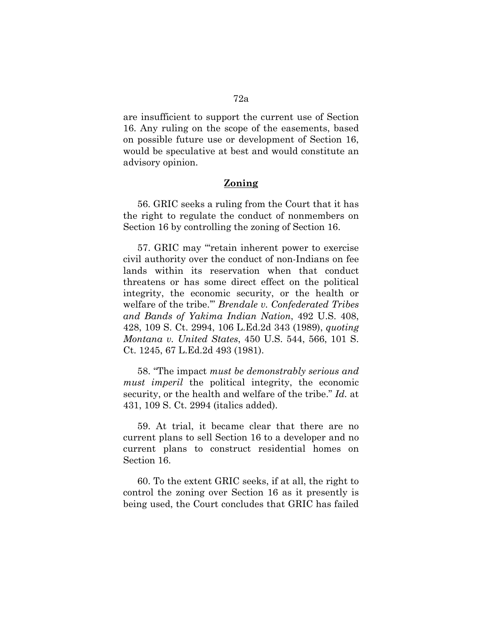are insufficient to support the current use of Section 16. Any ruling on the scope of the easements, based on possible future use or development of Section 16, would be speculative at best and would constitute an advisory opinion.

# **Zoning**

56. GRIC seeks a ruling from the Court that it has the right to regulate the conduct of nonmembers on Section 16 by controlling the zoning of Section 16.

57. GRIC may "'retain inherent power to exercise civil authority over the conduct of non-Indians on fee lands within its reservation when that conduct threatens or has some direct effect on the political integrity, the economic security, or the health or welfare of the tribe.'" *Brendale v. Confederated Tribes and Bands of Yakima Indian Nation*, 492 U.S. 408, 428, 109 S. Ct. 2994, 106 L.Ed.2d 343 (1989), *quoting Montana v. United States*, 450 U.S. 544, 566, 101 S. Ct. 1245, 67 L.Ed.2d 493 (1981).

58. "The impact *must be demonstrably serious and must imperil* the political integrity, the economic security, or the health and welfare of the tribe." *Id.* at 431, 109 S. Ct. 2994 (italics added).

59. At trial, it became clear that there are no current plans to sell Section 16 to a developer and no current plans to construct residential homes on Section 16.

60. To the extent GRIC seeks, if at all, the right to control the zoning over Section 16 as it presently is being used, the Court concludes that GRIC has failed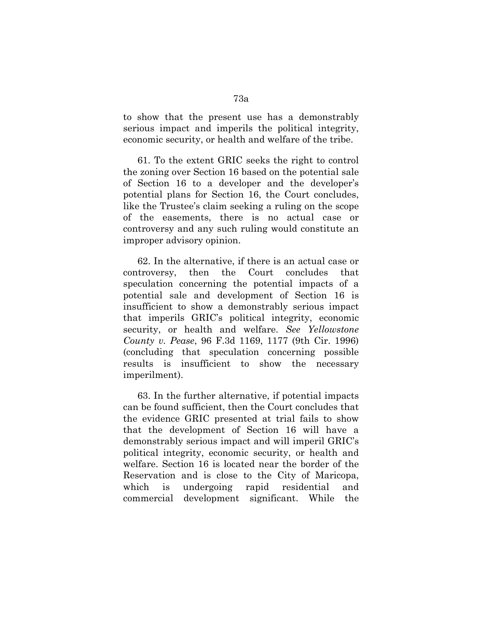to show that the present use has a demonstrably serious impact and imperils the political integrity, economic security, or health and welfare of the tribe.

61. To the extent GRIC seeks the right to control the zoning over Section 16 based on the potential sale of Section 16 to a developer and the developer's potential plans for Section 16, the Court concludes, like the Trustee's claim seeking a ruling on the scope of the easements, there is no actual case or controversy and any such ruling would constitute an improper advisory opinion.

62. In the alternative, if there is an actual case or controversy, then the Court concludes that speculation concerning the potential impacts of a potential sale and development of Section 16 is insufficient to show a demonstrably serious impact that imperils GRIC's political integrity, economic security, or health and welfare. *See Yellowstone County v. Pease*, 96 F.3d 1169, 1177 (9th Cir. 1996) (concluding that speculation concerning possible results is insufficient to show the necessary imperilment).

63. In the further alternative, if potential impacts can be found sufficient, then the Court concludes that the evidence GRIC presented at trial fails to show that the development of Section 16 will have a demonstrably serious impact and will imperil GRIC's political integrity, economic security, or health and welfare. Section 16 is located near the border of the Reservation and is close to the City of Maricopa, which is undergoing rapid residential and commercial development significant. While the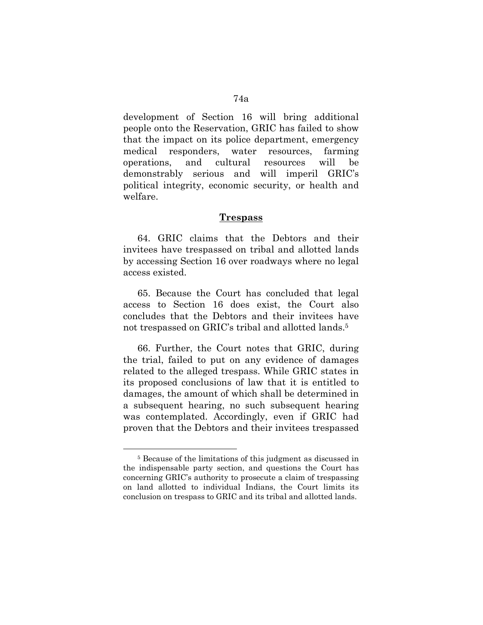development of Section 16 will bring additional people onto the Reservation, GRIC has failed to show that the impact on its police department, emergency medical responders, water resources, farming operations, and cultural resources will be demonstrably serious and will imperil GRIC's political integrity, economic security, or health and welfare.

### **Trespass**

64. GRIC claims that the Debtors and their invitees have trespassed on tribal and allotted lands by accessing Section 16 over roadways where no legal access existed.

65. Because the Court has concluded that legal access to Section 16 does exist, the Court also concludes that the Debtors and their invitees have not trespassed on GRIC's tribal and allotted lands.5

66. Further, the Court notes that GRIC, during the trial, failed to put on any evidence of damages related to the alleged trespass. While GRIC states in its proposed conclusions of law that it is entitled to damages, the amount of which shall be determined in a subsequent hearing, no such subsequent hearing was contemplated. Accordingly, even if GRIC had proven that the Debtors and their invitees trespassed

 $\overline{a}$ 

<sup>5</sup> Because of the limitations of this judgment as discussed in the indispensable party section, and questions the Court has concerning GRIC's authority to prosecute a claim of trespassing on land allotted to individual Indians, the Court limits its conclusion on trespass to GRIC and its tribal and allotted lands.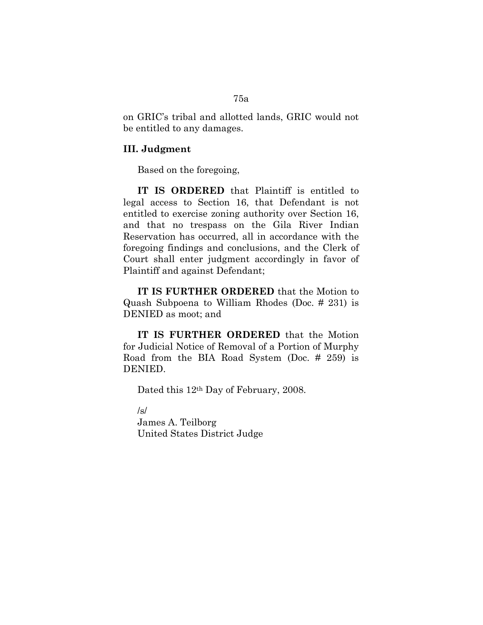on GRIC's tribal and allotted lands, GRIC would not be entitled to any damages.

## **III. Judgment**

Based on the foregoing,

**IT IS ORDERED** that Plaintiff is entitled to legal access to Section 16, that Defendant is not entitled to exercise zoning authority over Section 16, and that no trespass on the Gila River Indian Reservation has occurred, all in accordance with the foregoing findings and conclusions, and the Clerk of Court shall enter judgment accordingly in favor of Plaintiff and against Defendant;

**IT IS FURTHER ORDERED** that the Motion to Quash Subpoena to William Rhodes (Doc. # 231) is DENIED as moot; and

**IT IS FURTHER ORDERED** that the Motion for Judicial Notice of Removal of a Portion of Murphy Road from the BIA Road System (Doc. # 259) is DENIED.

Dated this 12th Day of February, 2008.

/s/

James A. Teilborg United States District Judge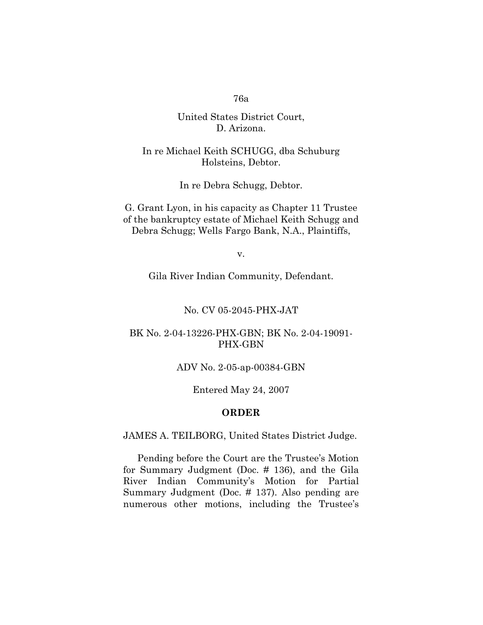# United States District Court, D. Arizona.

## In re Michael Keith SCHUGG, dba Schuburg Holsteins, Debtor.

In re Debra Schugg, Debtor.

G. Grant Lyon, in his capacity as Chapter 11 Trustee of the bankruptcy estate of Michael Keith Schugg and Debra Schugg; Wells Fargo Bank, N.A., Plaintiffs,

v.

Gila River Indian Community, Defendant.

#### No. CV 05-2045-PHX-JAT

## BK No. 2-04-13226-PHX-GBN; BK No. 2-04-19091- PHX-GBN

#### ADV No. 2-05-ap-00384-GBN

Entered May 24, 2007

#### **ORDER**

JAMES A. TEILBORG, United States District Judge.

Pending before the Court are the Trustee's Motion for Summary Judgment (Doc. # 136), and the Gila River Indian Community's Motion for Partial Summary Judgment (Doc. # 137). Also pending are numerous other motions, including the Trustee's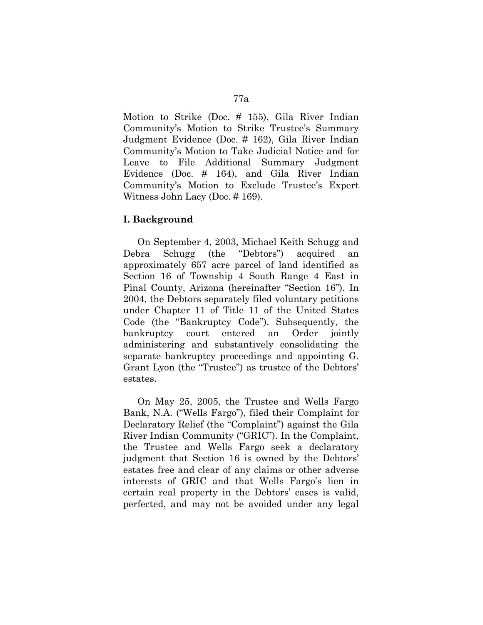Motion to Strike (Doc. # 155), Gila River Indian Community's Motion to Strike Trustee's Summary Judgment Evidence (Doc. # 162), Gila River Indian Community's Motion to Take Judicial Notice and for Leave to File Additional Summary Judgment Evidence (Doc. # 164), and Gila River Indian Community's Motion to Exclude Trustee's Expert Witness John Lacy (Doc. # 169).

## **I. Background**

On September 4, 2003, Michael Keith Schugg and Debra Schugg (the "Debtors") acquired an approximately 657 acre parcel of land identified as Section 16 of Township 4 South Range 4 East in Pinal County, Arizona (hereinafter "Section 16"). In 2004, the Debtors separately filed voluntary petitions under Chapter 11 of Title 11 of the United States Code (the "Bankruptcy Code"). Subsequently, the bankruptcy court entered an Order jointly administering and substantively consolidating the separate bankruptcy proceedings and appointing G. Grant Lyon (the "Trustee") as trustee of the Debtors' estates.

On May 25, 2005, the Trustee and Wells Fargo Bank, N.A. ("Wells Fargo"), filed their Complaint for Declaratory Relief (the "Complaint") against the Gila River Indian Community ("GRIC"). In the Complaint, the Trustee and Wells Fargo seek a declaratory judgment that Section 16 is owned by the Debtors' estates free and clear of any claims or other adverse interests of GRIC and that Wells Fargo's lien in certain real property in the Debtors' cases is valid, perfected, and may not be avoided under any legal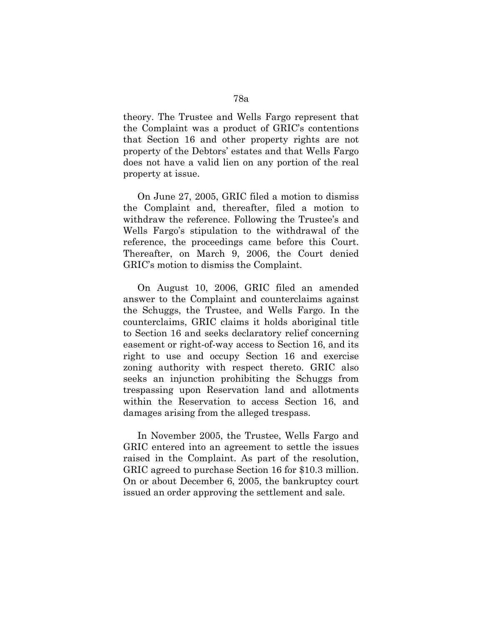theory. The Trustee and Wells Fargo represent that the Complaint was a product of GRIC's contentions that Section 16 and other property rights are not property of the Debtors' estates and that Wells Fargo does not have a valid lien on any portion of the real property at issue.

On June 27, 2005, GRIC filed a motion to dismiss the Complaint and, thereafter, filed a motion to withdraw the reference. Following the Trustee's and Wells Fargo's stipulation to the withdrawal of the reference, the proceedings came before this Court. Thereafter, on March 9, 2006, the Court denied GRIC's motion to dismiss the Complaint.

On August 10, 2006, GRIC filed an amended answer to the Complaint and counterclaims against the Schuggs, the Trustee, and Wells Fargo. In the counterclaims, GRIC claims it holds aboriginal title to Section 16 and seeks declaratory relief concerning easement or right-of-way access to Section 16, and its right to use and occupy Section 16 and exercise zoning authority with respect thereto. GRIC also seeks an injunction prohibiting the Schuggs from trespassing upon Reservation land and allotments within the Reservation to access Section 16, and damages arising from the alleged trespass.

In November 2005, the Trustee, Wells Fargo and GRIC entered into an agreement to settle the issues raised in the Complaint. As part of the resolution, GRIC agreed to purchase Section 16 for \$10.3 million. On or about December 6, 2005, the bankruptcy court issued an order approving the settlement and sale.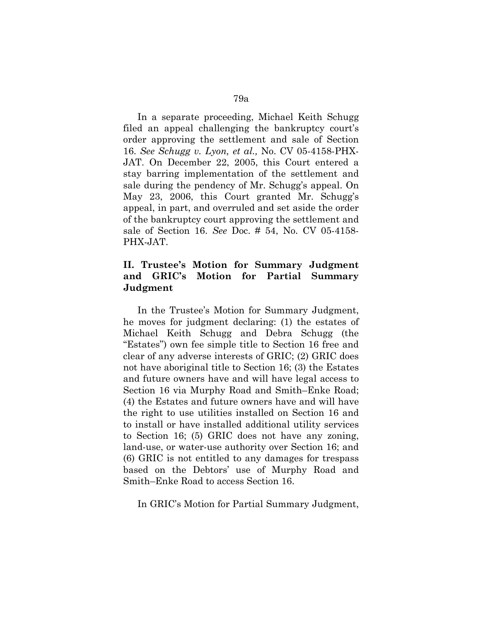In a separate proceeding, Michael Keith Schugg filed an appeal challenging the bankruptcy court's order approving the settlement and sale of Section 16. *See Schugg v. Lyon, et al.,* No. CV 05-4158-PHX-JAT. On December 22, 2005, this Court entered a stay barring implementation of the settlement and sale during the pendency of Mr. Schugg's appeal. On May 23, 2006, this Court granted Mr. Schugg's appeal, in part, and overruled and set aside the order of the bankruptcy court approving the settlement and sale of Section 16. *See* Doc. # 54, No. CV 05-4158- PHX-JAT.

# **II. Trustee's Motion for Summary Judgment and GRIC's Motion for Partial Summary Judgment**

In the Trustee's Motion for Summary Judgment, he moves for judgment declaring: (1) the estates of Michael Keith Schugg and Debra Schugg (the "Estates") own fee simple title to Section 16 free and clear of any adverse interests of GRIC; (2) GRIC does not have aboriginal title to Section 16; (3) the Estates and future owners have and will have legal access to Section 16 via Murphy Road and Smith–Enke Road; (4) the Estates and future owners have and will have the right to use utilities installed on Section 16 and to install or have installed additional utility services to Section 16; (5) GRIC does not have any zoning, land-use, or water-use authority over Section 16; and (6) GRIC is not entitled to any damages for trespass based on the Debtors' use of Murphy Road and Smith–Enke Road to access Section 16.

In GRIC's Motion for Partial Summary Judgment,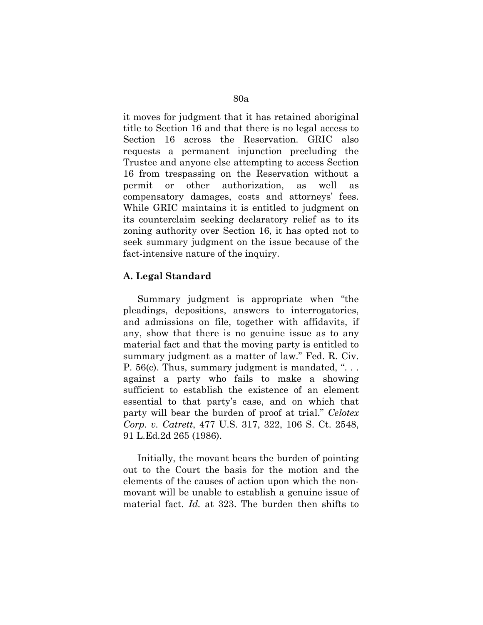it moves for judgment that it has retained aboriginal title to Section 16 and that there is no legal access to Section 16 across the Reservation. GRIC also requests a permanent injunction precluding the Trustee and anyone else attempting to access Section 16 from trespassing on the Reservation without a permit or other authorization, as well as compensatory damages, costs and attorneys' fees. While GRIC maintains it is entitled to judgment on its counterclaim seeking declaratory relief as to its zoning authority over Section 16, it has opted not to seek summary judgment on the issue because of the fact-intensive nature of the inquiry.

## **A. Legal Standard**

Summary judgment is appropriate when "the pleadings, depositions, answers to interrogatories, and admissions on file, together with affidavits, if any, show that there is no genuine issue as to any material fact and that the moving party is entitled to summary judgment as a matter of law." Fed. R. Civ. P. 56(c). Thus, summary judgment is mandated, ". . . against a party who fails to make a showing sufficient to establish the existence of an element essential to that party's case, and on which that party will bear the burden of proof at trial." *Celotex Corp. v. Catrett*, 477 U.S. 317, 322, 106 S. Ct. 2548, 91 L.Ed.2d 265 (1986).

Initially, the movant bears the burden of pointing out to the Court the basis for the motion and the elements of the causes of action upon which the nonmovant will be unable to establish a genuine issue of material fact. *Id.* at 323. The burden then shifts to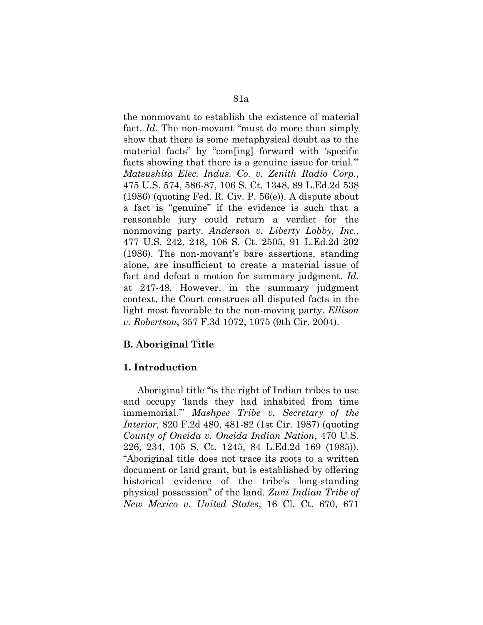the nonmovant to establish the existence of material fact. *Id.* The non-movant "must do more than simply show that there is some metaphysical doubt as to the material facts" by "com[ing] forward with 'specific facts showing that there is a genuine issue for trial.'" *Matsushita Elec. Indus. Co. v. Zenith Radio Corp.*, 475 U.S. 574, 586-87, 106 S. Ct. 1348, 89 L.Ed.2d 538 (1986) (quoting Fed. R. Civ. P. 56(e)). A dispute about a fact is "genuine" if the evidence is such that a reasonable jury could return a verdict for the nonmoving party. *Anderson v. Liberty Lobby, Inc.*, 477 U.S. 242, 248, 106 S. Ct. 2505, 91 L.Ed.2d 202 (1986). The non-movant's bare assertions, standing alone, are insufficient to create a material issue of fact and defeat a motion for summary judgment. *Id.* at 247-48. However, in the summary judgment context, the Court construes all disputed facts in the light most favorable to the non-moving party. *Ellison v. Robertson*, 357 F.3d 1072, 1075 (9th Cir. 2004).

# **B. Aboriginal Title**

## **1. Introduction**

Aboriginal title "is the right of Indian tribes to use and occupy 'lands they had inhabited from time immemorial.'" *Mashpee Tribe v. Secretary of the Interior,* 820 F.2d 480, 481-82 (1st Cir. 1987) (quoting *County of Oneida v. Oneida Indian Nation*, 470 U.S. 226, 234, 105 S. Ct. 1245, 84 L.Ed.2d 169 (1985)). "Aboriginal title does not trace its roots to a written document or land grant, but is established by offering historical evidence of the tribe's long-standing physical possession" of the land. *Zuni Indian Tribe of New Mexico v. United States*, 16 Cl. Ct. 670, 671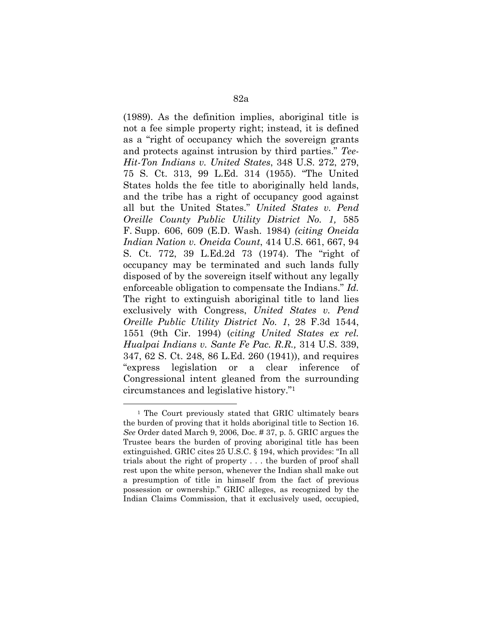(1989). As the definition implies, aboriginal title is not a fee simple property right; instead, it is defined as a "right of occupancy which the sovereign grants and protects against intrusion by third parties." *Tee-Hit-Ton Indians v. United States*, 348 U.S. 272, 279, 75 S. Ct. 313, 99 L.Ed. 314 (1955). "The United States holds the fee title to aboriginally held lands, and the tribe has a right of occupancy good against all but the United States." *United States v. Pend Oreille County Public Utility District No. 1,* 585 F. Supp. 606, 609 (E.D. Wash. 1984) *(citing Oneida Indian Nation v. Oneida Count*, 414 U.S. 661, 667, 94 S. Ct. 772, 39 L.Ed.2d 73 (1974). The "right of occupancy may be terminated and such lands fully disposed of by the sovereign itself without any legally enforceable obligation to compensate the Indians." *Id.* The right to extinguish aboriginal title to land lies exclusively with Congress, *United States v. Pend Oreille Public Utility District No. 1*, 28 F.3d 1544, 1551 (9th Cir. 1994) (*citing United States ex rel. Hualpai Indians v. Sante Fe Pac. R.R.,* 314 U.S. 339, 347, 62 S. Ct. 248, 86 L.Ed. 260 (1941)), and requires "express legislation or a clear inference of Congressional intent gleaned from the surrounding circumstances and legislative history."1

 $\overline{a}$ 

<sup>1</sup> The Court previously stated that GRIC ultimately bears the burden of proving that it holds aboriginal title to Section 16. *See* Order dated March 9, 2006, Doc. # 37, p. 5. GRIC argues the Trustee bears the burden of proving aboriginal title has been extinguished. GRIC cites 25 U.S.C. § 194, which provides: "In all trials about the right of property . . . the burden of proof shall rest upon the white person, whenever the Indian shall make out a presumption of title in himself from the fact of previous possession or ownership." GRIC alleges, as recognized by the Indian Claims Commission, that it exclusively used, occupied,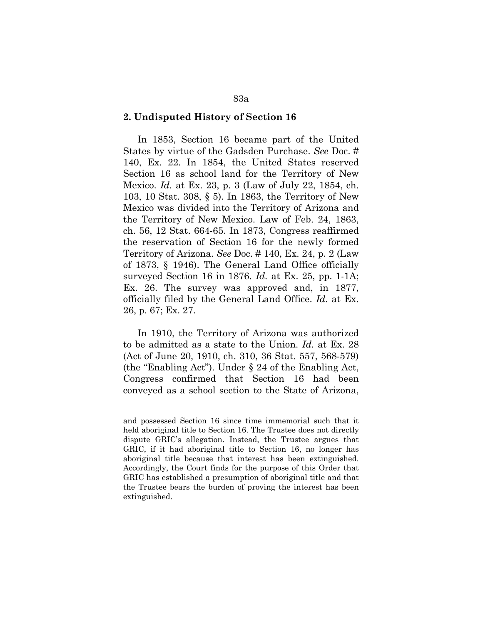#### **2. Undisputed History of Section 16**

In 1853, Section 16 became part of the United States by virtue of the Gadsden Purchase. *See* Doc. # 140, Ex. 22. In 1854, the United States reserved Section 16 as school land for the Territory of New Mexico. *Id.* at Ex. 23, p. 3 (Law of July 22, 1854, ch. 103, 10 Stat. 308, § 5). In 1863, the Territory of New Mexico was divided into the Territory of Arizona and the Territory of New Mexico. Law of Feb. 24, 1863, ch. 56, 12 Stat. 664-65. In 1873, Congress reaffirmed the reservation of Section 16 for the newly formed Territory of Arizona. *See* Doc. # 140, Ex. 24, p. 2 (Law of 1873, § 1946). The General Land Office officially surveyed Section 16 in 1876. *Id.* at Ex. 25, pp. 1-1A; Ex. 26. The survey was approved and, in 1877, officially filed by the General Land Office. *Id.* at Ex. 26, p. 67; Ex. 27.

In 1910, the Territory of Arizona was authorized to be admitted as a state to the Union. *Id.* at Ex. 28 (Act of June 20, 1910, ch. 310, 36 Stat. 557, 568-579) (the "Enabling Act"). Under § 24 of the Enabling Act, Congress confirmed that Section 16 had been conveyed as a school section to the State of Arizona,

<u>.</u>

and possessed Section 16 since time immemorial such that it held aboriginal title to Section 16. The Trustee does not directly dispute GRIC's allegation. Instead, the Trustee argues that GRIC, if it had aboriginal title to Section 16, no longer has aboriginal title because that interest has been extinguished. Accordingly, the Court finds for the purpose of this Order that GRIC has established a presumption of aboriginal title and that the Trustee bears the burden of proving the interest has been extinguished.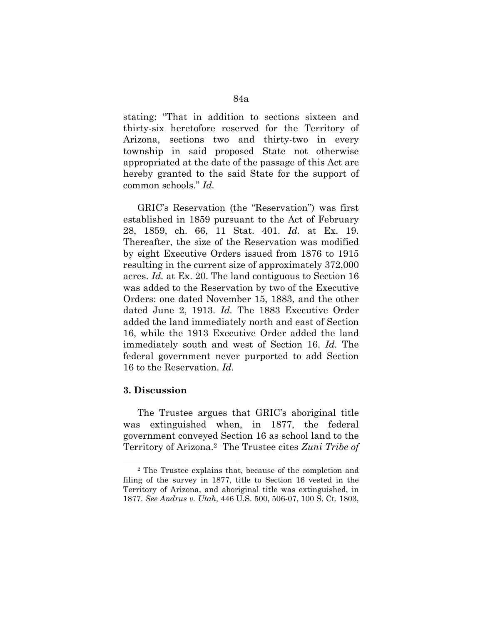stating: "That in addition to sections sixteen and thirty-six heretofore reserved for the Territory of Arizona, sections two and thirty-two in every township in said proposed State not otherwise appropriated at the date of the passage of this Act are hereby granted to the said State for the support of common schools." *Id.*

GRIC's Reservation (the "Reservation") was first established in 1859 pursuant to the Act of February 28, 1859, ch. 66, 11 Stat. 401. *Id.* at Ex. 19. Thereafter, the size of the Reservation was modified by eight Executive Orders issued from 1876 to 1915 resulting in the current size of approximately 372,000 acres. *Id.* at Ex. 20. The land contiguous to Section 16 was added to the Reservation by two of the Executive Orders: one dated November 15, 1883, and the other dated June 2, 1913. *Id.* The 1883 Executive Order added the land immediately north and east of Section 16, while the 1913 Executive Order added the land immediately south and west of Section 16. *Id.* The federal government never purported to add Section 16 to the Reservation. *Id.*

#### **3. Discussion**

 $\overline{a}$ 

The Trustee argues that GRIC's aboriginal title was extinguished when, in 1877, the federal government conveyed Section 16 as school land to the Territory of Arizona.2 The Trustee cites *Zuni Tribe of* 

<sup>2</sup> The Trustee explains that, because of the completion and filing of the survey in 1877, title to Section 16 vested in the Territory of Arizona, and aboriginal title was extinguished, in 1877. *See Andrus v. Utah,* 446 U.S. 500, 506-07, 100 S. Ct. 1803,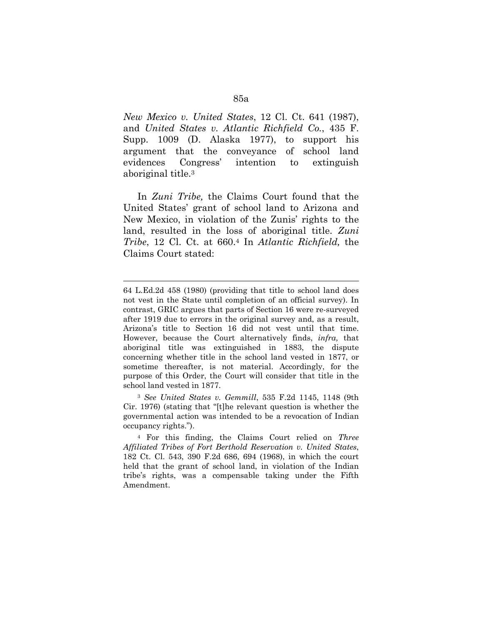*New Mexico v. United States*, 12 Cl. Ct. 641 (1987), and *United States v. Atlantic Richfield Co.*, 435 F. Supp. 1009 (D. Alaska 1977), to support his argument that the conveyance of school land evidences Congress' intention to extinguish aboriginal title.3

In *Zuni Tribe,* the Claims Court found that the United States' grant of school land to Arizona and New Mexico, in violation of the Zunis' rights to the land, resulted in the loss of aboriginal title. *Zuni Tribe*, 12 Cl. Ct. at 660.4 In *Atlantic Richfield,* the Claims Court stated:

1

<sup>3</sup> *See United States v. Gemmill*, 535 F.2d 1145, 1148 (9th Cir. 1976) (stating that "[t]he relevant question is whether the governmental action was intended to be a revocation of Indian occupancy rights.").

4 For this finding, the Claims Court relied on *Three Affiliated Tribes of Fort Berthold Reservation v. United States*, 182 Ct. Cl. 543, 390 F.2d 686, 694 (1968), in which the court held that the grant of school land, in violation of the Indian tribe's rights, was a compensable taking under the Fifth Amendment.

<sup>64</sup> L.Ed.2d 458 (1980) (providing that title to school land does not vest in the State until completion of an official survey). In contrast, GRIC argues that parts of Section 16 were re-surveyed after 1919 due to errors in the original survey and, as a result, Arizona's title to Section 16 did not vest until that time. However, because the Court alternatively finds, *infra,* that aboriginal title was extinguished in 1883, the dispute concerning whether title in the school land vested in 1877, or sometime thereafter, is not material. Accordingly, for the purpose of this Order, the Court will consider that title in the school land vested in 1877.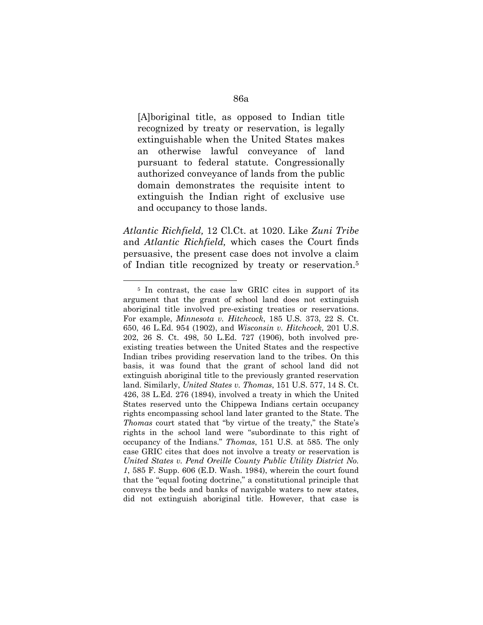[A]boriginal title, as opposed to Indian title recognized by treaty or reservation, is legally extinguishable when the United States makes an otherwise lawful conveyance of land pursuant to federal statute. Congressionally authorized conveyance of lands from the public domain demonstrates the requisite intent to extinguish the Indian right of exclusive use and occupancy to those lands.

*Atlantic Richfield,* 12 Cl.Ct. at 1020. Like *Zuni Tribe* and *Atlantic Richfield,* which cases the Court finds persuasive, the present case does not involve a claim of Indian title recognized by treaty or reservation.5

 $\overline{a}$ 

<sup>5</sup> In contrast, the case law GRIC cites in support of its argument that the grant of school land does not extinguish aboriginal title involved pre-existing treaties or reservations. For example, *Minnesota v. Hitchcock*, 185 U.S. 373, 22 S. Ct. 650, 46 L.Ed. 954 (1902), and *Wisconsin v. Hitchcock,* 201 U.S. 202, 26 S. Ct. 498, 50 L.Ed. 727 (1906), both involved preexisting treaties between the United States and the respective Indian tribes providing reservation land to the tribes. On this basis, it was found that the grant of school land did not extinguish aboriginal title to the previously granted reservation land. Similarly, *United States v. Thomas*, 151 U.S. 577, 14 S. Ct. 426, 38 L.Ed. 276 (1894), involved a treaty in which the United States reserved unto the Chippewa Indians certain occupancy rights encompassing school land later granted to the State. The *Thomas* court stated that "by virtue of the treaty," the State's rights in the school land were "subordinate to this right of occupancy of the Indians." *Thomas*, 151 U.S. at 585. The only case GRIC cites that does not involve a treaty or reservation is *United States v. Pend Oreille County Public Utility District No. 1*, 585 F. Supp. 606 (E.D. Wash. 1984), wherein the court found that the "equal footing doctrine," a constitutional principle that conveys the beds and banks of navigable waters to new states, did not extinguish aboriginal title. However, that case is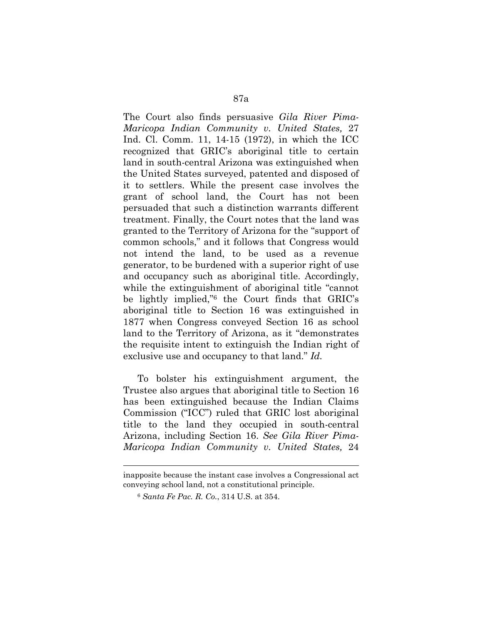The Court also finds persuasive *Gila River Pima-Maricopa Indian Community v. United States,* 27 Ind. Cl. Comm. 11, 14-15 (1972), in which the ICC recognized that GRIC's aboriginal title to certain land in south-central Arizona was extinguished when the United States surveyed, patented and disposed of it to settlers. While the present case involves the grant of school land, the Court has not been persuaded that such a distinction warrants different treatment. Finally, the Court notes that the land was granted to the Territory of Arizona for the "support of common schools," and it follows that Congress would not intend the land, to be used as a revenue generator, to be burdened with a superior right of use and occupancy such as aboriginal title. Accordingly, while the extinguishment of aboriginal title "cannot be lightly implied,"6 the Court finds that GRIC's aboriginal title to Section 16 was extinguished in 1877 when Congress conveyed Section 16 as school land to the Territory of Arizona, as it "demonstrates the requisite intent to extinguish the Indian right of exclusive use and occupancy to that land." *Id.*

To bolster his extinguishment argument, the Trustee also argues that aboriginal title to Section 16 has been extinguished because the Indian Claims Commission ("ICC") ruled that GRIC lost aboriginal title to the land they occupied in south-central Arizona, including Section 16. *See Gila River Pima-Maricopa Indian Community v. United States,* 24

1

inapposite because the instant case involves a Congressional act conveying school land, not a constitutional principle.

<sup>6</sup> *Santa Fe Pac. R. Co.*, 314 U.S. at 354.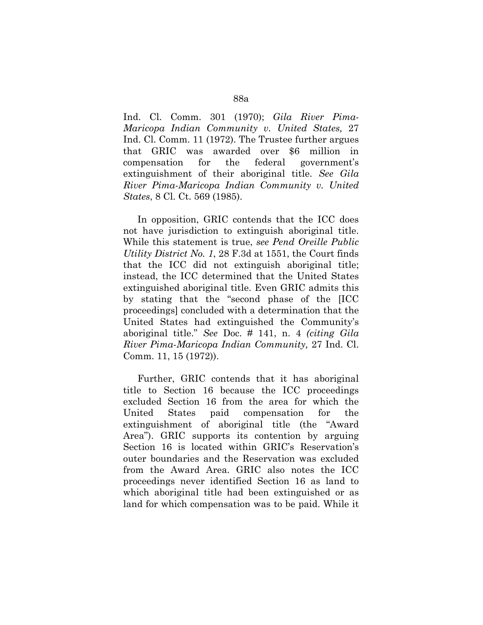Ind. Cl. Comm. 301 (1970); *Gila River Pima-Maricopa Indian Community v. United States,* 27 Ind. Cl. Comm. 11 (1972). The Trustee further argues that GRIC was awarded over \$6 million in compensation for the federal government's extinguishment of their aboriginal title. *See Gila River Pima-Maricopa Indian Community v. United States*, 8 Cl. Ct. 569 (1985).

In opposition, GRIC contends that the ICC does not have jurisdiction to extinguish aboriginal title. While this statement is true, *see Pend Oreille Public Utility District No. 1*, 28 F.3d at 1551, the Court finds that the ICC did not extinguish aboriginal title; instead, the ICC determined that the United States extinguished aboriginal title. Even GRIC admits this by stating that the "second phase of the [ICC proceedings] concluded with a determination that the United States had extinguished the Community's aboriginal title." *See* Doc. # 141, n. 4 *(citing Gila River Pima-Maricopa Indian Community,* 27 Ind. Cl. Comm. 11, 15 (1972)).

Further, GRIC contends that it has aboriginal title to Section 16 because the ICC proceedings excluded Section 16 from the area for which the United States paid compensation for the extinguishment of aboriginal title (the "Award Area"). GRIC supports its contention by arguing Section 16 is located within GRIC's Reservation's outer boundaries and the Reservation was excluded from the Award Area. GRIC also notes the ICC proceedings never identified Section 16 as land to which aboriginal title had been extinguished or as land for which compensation was to be paid. While it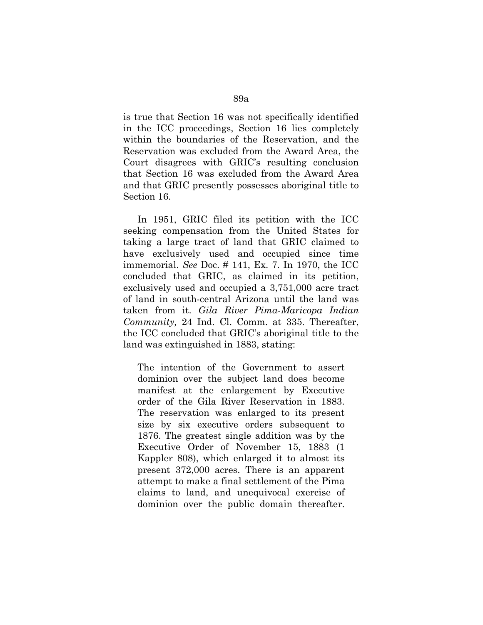is true that Section 16 was not specifically identified in the ICC proceedings, Section 16 lies completely within the boundaries of the Reservation, and the Reservation was excluded from the Award Area, the Court disagrees with GRIC's resulting conclusion that Section 16 was excluded from the Award Area and that GRIC presently possesses aboriginal title to Section 16.

In 1951, GRIC filed its petition with the ICC seeking compensation from the United States for taking a large tract of land that GRIC claimed to have exclusively used and occupied since time immemorial. *See* Doc. # 141, Ex. 7. In 1970, the ICC concluded that GRIC, as claimed in its petition, exclusively used and occupied a 3,751,000 acre tract of land in south-central Arizona until the land was taken from it. *Gila River Pima-Maricopa Indian Community,* 24 Ind. Cl. Comm. at 335. Thereafter, the ICC concluded that GRIC's aboriginal title to the land was extinguished in 1883, stating:

The intention of the Government to assert dominion over the subject land does become manifest at the enlargement by Executive order of the Gila River Reservation in 1883. The reservation was enlarged to its present size by six executive orders subsequent to 1876. The greatest single addition was by the Executive Order of November 15, 1883 (1 Kappler 808), which enlarged it to almost its present 372,000 acres. There is an apparent attempt to make a final settlement of the Pima claims to land, and unequivocal exercise of dominion over the public domain thereafter.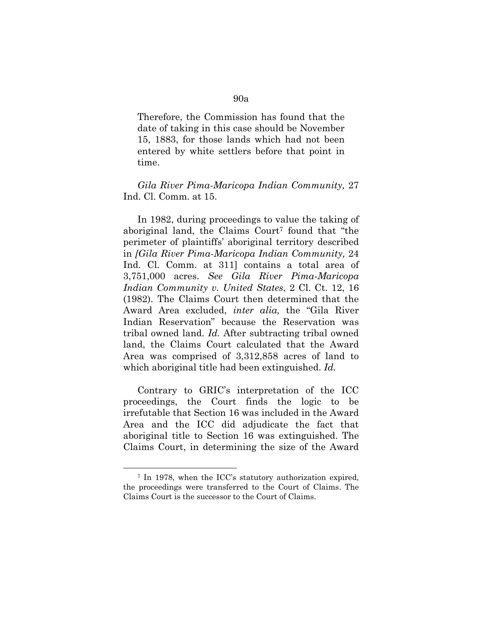Therefore, the Commission has found that the date of taking in this case should be November 15, 1883, for those lands which had not been entered by white settlers before that point in time.

*Gila River Pima-Maricopa Indian Community,* 27 Ind. Cl. Comm. at 15.

In 1982, during proceedings to value the taking of aboriginal land, the Claims Court<sup>7</sup> found that "the perimeter of plaintiffs' aboriginal territory described in *[Gila River Pima-Maricopa Indian Community,* 24 Ind. Cl. Comm. at 311] contains a total area of 3,751,000 acres. *See Gila River Pima-Maricopa Indian Community v. United States*, 2 Cl. Ct. 12, 16 (1982). The Claims Court then determined that the Award Area excluded, *inter alia,* the "Gila River Indian Reservation" because the Reservation was tribal owned land. *Id.* After subtracting tribal owned land, the Claims Court calculated that the Award Area was comprised of 3,312,858 acres of land to which aboriginal title had been extinguished. *Id.*

Contrary to GRIC's interpretation of the ICC proceedings, the Court finds the logic to be irrefutable that Section 16 was included in the Award Area and the ICC did adjudicate the fact that aboriginal title to Section 16 was extinguished. The Claims Court, in determining the size of the Award

 $\overline{a}$ 

<sup>7</sup> In 1978, when the ICC's statutory authorization expired, the proceedings were transferred to the Court of Claims. The Claims Court is the successor to the Court of Claims.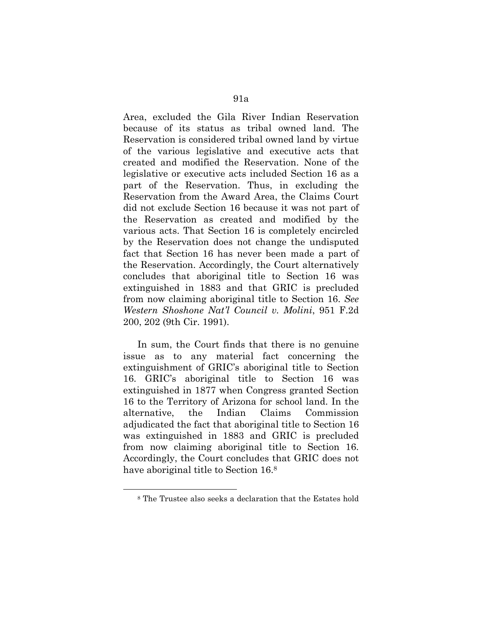Area, excluded the Gila River Indian Reservation because of its status as tribal owned land. The Reservation is considered tribal owned land by virtue of the various legislative and executive acts that created and modified the Reservation. None of the legislative or executive acts included Section 16 as a part of the Reservation. Thus, in excluding the Reservation from the Award Area, the Claims Court did not exclude Section 16 because it was not part of the Reservation as created and modified by the various acts. That Section 16 is completely encircled by the Reservation does not change the undisputed fact that Section 16 has never been made a part of the Reservation. Accordingly, the Court alternatively concludes that aboriginal title to Section 16 was extinguished in 1883 and that GRIC is precluded from now claiming aboriginal title to Section 16. *See Western Shoshone Nat'l Council v. Molini*, 951 F.2d 200, 202 (9th Cir. 1991).

In sum, the Court finds that there is no genuine issue as to any material fact concerning the extinguishment of GRIC's aboriginal title to Section 16. GRIC's aboriginal title to Section 16 was extinguished in 1877 when Congress granted Section 16 to the Territory of Arizona for school land. In the alternative, the Indian Claims Commission adjudicated the fact that aboriginal title to Section 16 was extinguished in 1883 and GRIC is precluded from now claiming aboriginal title to Section 16. Accordingly, the Court concludes that GRIC does not have aboriginal title to Section 16.8

 $\overline{a}$ 

<sup>8</sup> The Trustee also seeks a declaration that the Estates hold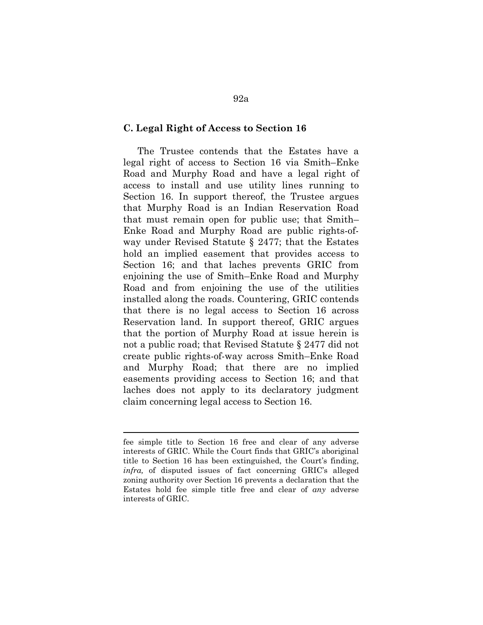#### **C. Legal Right of Access to Section 16**

The Trustee contends that the Estates have a legal right of access to Section 16 via Smith–Enke Road and Murphy Road and have a legal right of access to install and use utility lines running to Section 16. In support thereof, the Trustee argues that Murphy Road is an Indian Reservation Road that must remain open for public use; that Smith– Enke Road and Murphy Road are public rights-ofway under Revised Statute § 2477; that the Estates hold an implied easement that provides access to Section 16; and that laches prevents GRIC from enjoining the use of Smith–Enke Road and Murphy Road and from enjoining the use of the utilities installed along the roads. Countering, GRIC contends that there is no legal access to Section 16 across Reservation land. In support thereof, GRIC argues that the portion of Murphy Road at issue herein is not a public road; that Revised Statute § 2477 did not create public rights-of-way across Smith–Enke Road and Murphy Road; that there are no implied easements providing access to Section 16; and that laches does not apply to its declaratory judgment claim concerning legal access to Section 16.

<u>.</u>

fee simple title to Section 16 free and clear of any adverse interests of GRIC. While the Court finds that GRIC's aboriginal title to Section 16 has been extinguished, the Court's finding, *infra,* of disputed issues of fact concerning GRIC's alleged zoning authority over Section 16 prevents a declaration that the Estates hold fee simple title free and clear of *any* adverse interests of GRIC.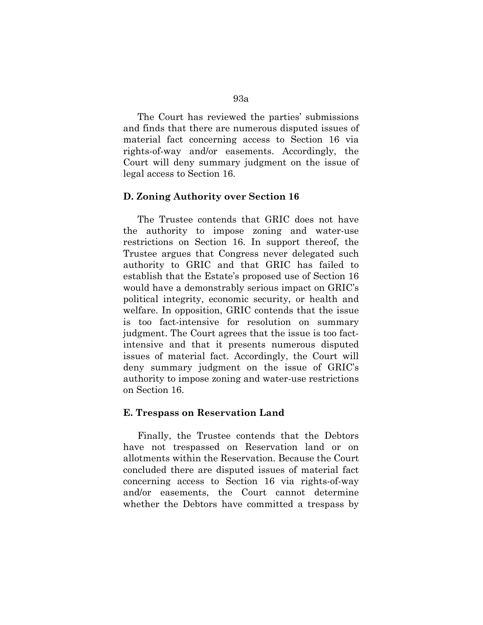The Court has reviewed the parties' submissions and finds that there are numerous disputed issues of material fact concerning access to Section 16 via rights-of-way and/or easements. Accordingly, the Court will deny summary judgment on the issue of legal access to Section 16.

#### **D. Zoning Authority over Section 16**

The Trustee contends that GRIC does not have the authority to impose zoning and water-use restrictions on Section 16. In support thereof, the Trustee argues that Congress never delegated such authority to GRIC and that GRIC has failed to establish that the Estate's proposed use of Section 16 would have a demonstrably serious impact on GRIC's political integrity, economic security, or health and welfare. In opposition, GRIC contends that the issue is too fact-intensive for resolution on summary judgment. The Court agrees that the issue is too factintensive and that it presents numerous disputed issues of material fact. Accordingly, the Court will deny summary judgment on the issue of GRIC's authority to impose zoning and water-use restrictions on Section 16.

#### **E. Trespass on Reservation Land**

Finally, the Trustee contends that the Debtors have not trespassed on Reservation land or on allotments within the Reservation. Because the Court concluded there are disputed issues of material fact concerning access to Section 16 via rights-of-way and/or easements, the Court cannot determine whether the Debtors have committed a trespass by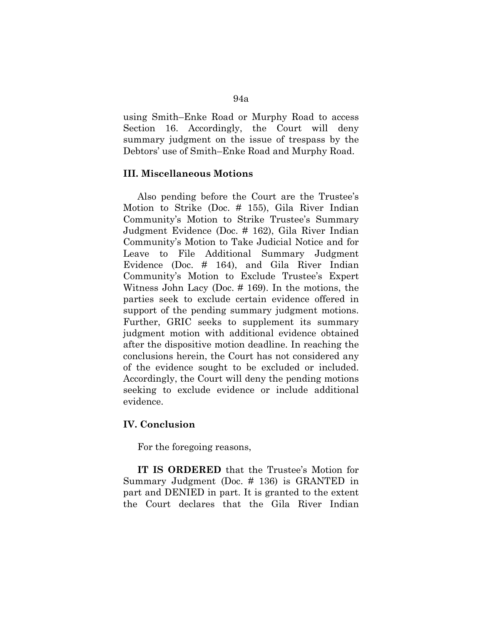using Smith–Enke Road or Murphy Road to access Section 16. Accordingly, the Court will deny summary judgment on the issue of trespass by the Debtors' use of Smith–Enke Road and Murphy Road.

#### **III. Miscellaneous Motions**

Also pending before the Court are the Trustee's Motion to Strike (Doc. # 155), Gila River Indian Community's Motion to Strike Trustee's Summary Judgment Evidence (Doc. # 162), Gila River Indian Community's Motion to Take Judicial Notice and for Leave to File Additional Summary Judgment Evidence (Doc. # 164), and Gila River Indian Community's Motion to Exclude Trustee's Expert Witness John Lacy (Doc. # 169). In the motions, the parties seek to exclude certain evidence offered in support of the pending summary judgment motions. Further, GRIC seeks to supplement its summary judgment motion with additional evidence obtained after the dispositive motion deadline. In reaching the conclusions herein, the Court has not considered any of the evidence sought to be excluded or included. Accordingly, the Court will deny the pending motions seeking to exclude evidence or include additional evidence.

### **IV. Conclusion**

For the foregoing reasons,

**IT IS ORDERED** that the Trustee's Motion for Summary Judgment (Doc. # 136) is GRANTED in part and DENIED in part. It is granted to the extent the Court declares that the Gila River Indian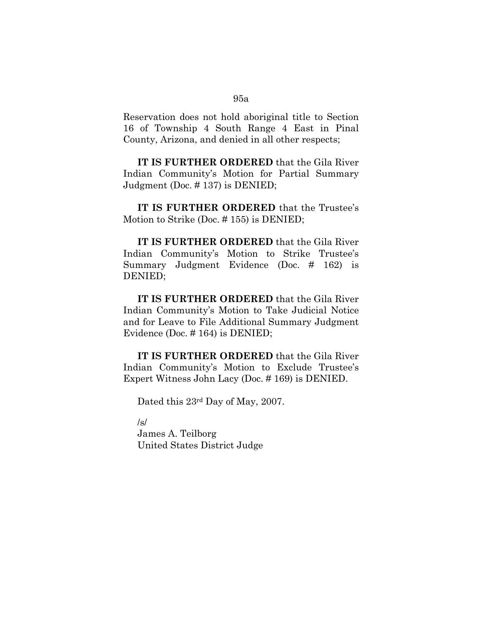Reservation does not hold aboriginal title to Section 16 of Township 4 South Range 4 East in Pinal County, Arizona, and denied in all other respects;

**IT IS FURTHER ORDERED** that the Gila River Indian Community's Motion for Partial Summary Judgment (Doc. # 137) is DENIED;

**IT IS FURTHER ORDERED** that the Trustee's Motion to Strike (Doc. # 155) is DENIED;

**IT IS FURTHER ORDERED** that the Gila River Indian Community's Motion to Strike Trustee's Summary Judgment Evidence (Doc. # 162) is DENIED;

**IT IS FURTHER ORDERED** that the Gila River Indian Community's Motion to Take Judicial Notice and for Leave to File Additional Summary Judgment Evidence (Doc. # 164) is DENIED;

**IT IS FURTHER ORDERED** that the Gila River Indian Community's Motion to Exclude Trustee's Expert Witness John Lacy (Doc. # 169) is DENIED.

Dated this 23rd Day of May, 2007.

/s/

James A. Teilborg United States District Judge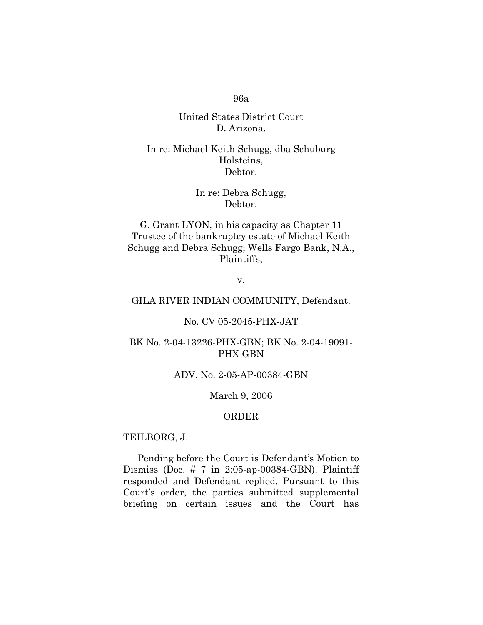## United States District Court D. Arizona.

# In re: Michael Keith Schugg, dba Schuburg Holsteins, Debtor.

# In re: Debra Schugg, Debtor.

G. Grant LYON, in his capacity as Chapter 11 Trustee of the bankruptcy estate of Michael Keith Schugg and Debra Schugg; Wells Fargo Bank, N.A., Plaintiffs,

v.

## GILA RIVER INDIAN COMMUNITY, Defendant.

## No. CV 05-2045-PHX-JAT

## BK No. 2-04-13226-PHX-GBN; BK No. 2-04-19091- PHX-GBN

## ADV. No. 2-05-AP-00384-GBN

#### March 9, 2006

## ORDER

#### TEILBORG, J.

Pending before the Court is Defendant's Motion to Dismiss (Doc. # 7 in 2:05-ap-00384-GBN). Plaintiff responded and Defendant replied. Pursuant to this Court's order, the parties submitted supplemental briefing on certain issues and the Court has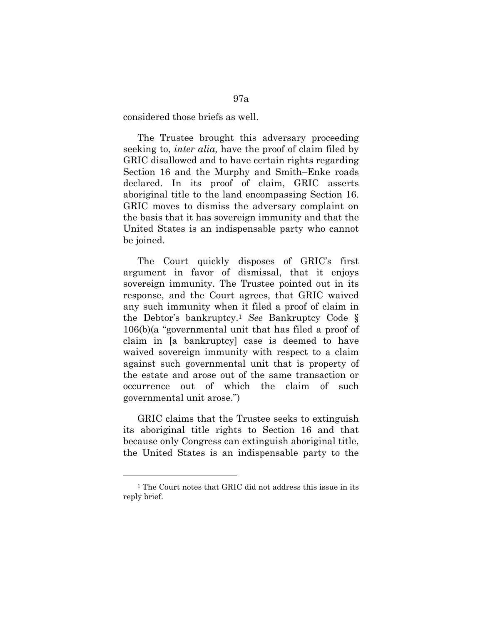considered those briefs as well.

The Trustee brought this adversary proceeding seeking to, *inter alia,* have the proof of claim filed by GRIC disallowed and to have certain rights regarding Section 16 and the Murphy and Smith–Enke roads declared. In its proof of claim, GRIC asserts aboriginal title to the land encompassing Section 16. GRIC moves to dismiss the adversary complaint on the basis that it has sovereign immunity and that the United States is an indispensable party who cannot be joined.

The Court quickly disposes of GRIC's first argument in favor of dismissal, that it enjoys sovereign immunity. The Trustee pointed out in its response, and the Court agrees, that GRIC waived any such immunity when it filed a proof of claim in the Debtor's bankruptcy.1 *See* Bankruptcy Code § 106(b)(a "governmental unit that has filed a proof of claim in [a bankruptcy] case is deemed to have waived sovereign immunity with respect to a claim against such governmental unit that is property of the estate and arose out of the same transaction or occurrence out of which the claim of such governmental unit arose.")

GRIC claims that the Trustee seeks to extinguish its aboriginal title rights to Section 16 and that because only Congress can extinguish aboriginal title, the United States is an indispensable party to the

 $\overline{a}$ 

<sup>&</sup>lt;sup>1</sup> The Court notes that GRIC did not address this issue in its reply brief.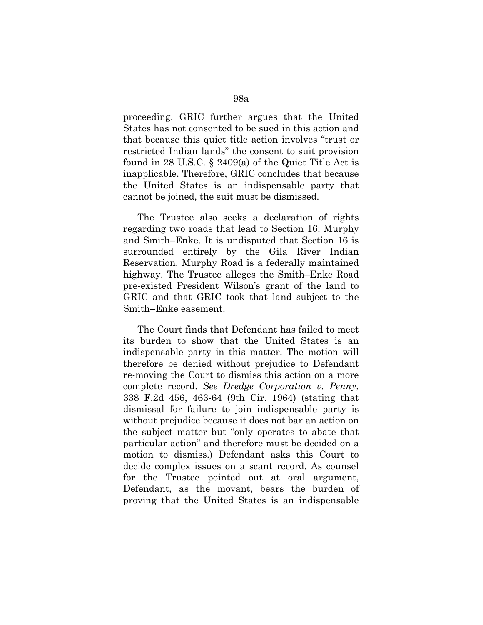proceeding. GRIC further argues that the United States has not consented to be sued in this action and that because this quiet title action involves "trust or restricted Indian lands" the consent to suit provision found in 28 U.S.C. § 2409(a) of the Quiet Title Act is inapplicable. Therefore, GRIC concludes that because the United States is an indispensable party that cannot be joined, the suit must be dismissed.

The Trustee also seeks a declaration of rights regarding two roads that lead to Section 16: Murphy and Smith–Enke. It is undisputed that Section 16 is surrounded entirely by the Gila River Indian Reservation. Murphy Road is a federally maintained highway. The Trustee alleges the Smith–Enke Road pre-existed President Wilson's grant of the land to GRIC and that GRIC took that land subject to the Smith–Enke easement.

The Court finds that Defendant has failed to meet its burden to show that the United States is an indispensable party in this matter. The motion will therefore be denied without prejudice to Defendant re-moving the Court to dismiss this action on a more complete record. *See Dredge Corporation v. Penny*, 338 F.2d 456, 463-64 (9th Cir. 1964) (stating that dismissal for failure to join indispensable party is without prejudice because it does not bar an action on the subject matter but "only operates to abate that particular action" and therefore must be decided on a motion to dismiss.) Defendant asks this Court to decide complex issues on a scant record. As counsel for the Trustee pointed out at oral argument, Defendant, as the movant, bears the burden of proving that the United States is an indispensable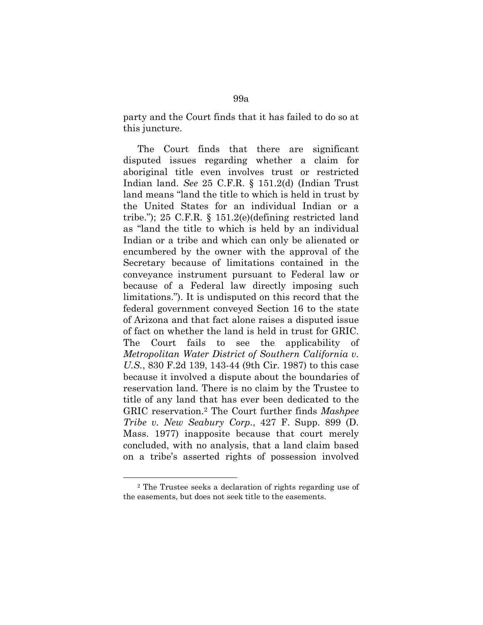party and the Court finds that it has failed to do so at this juncture.

The Court finds that there are significant disputed issues regarding whether a claim for aboriginal title even involves trust or restricted Indian land. *See* 25 C.F.R. § 151.2(d) (Indian Trust land means "land the title to which is held in trust by the United States for an individual Indian or a tribe."); 25 C.F.R. § 151.2(e)(defining restricted land as "land the title to which is held by an individual Indian or a tribe and which can only be alienated or encumbered by the owner with the approval of the Secretary because of limitations contained in the conveyance instrument pursuant to Federal law or because of a Federal law directly imposing such limitations."). It is undisputed on this record that the federal government conveyed Section 16 to the state of Arizona and that fact alone raises a disputed issue of fact on whether the land is held in trust for GRIC. The Court fails to see the applicability of *Metropolitan Water District of Southern California v. U.S.*, 830 F.2d 139, 143-44 (9th Cir. 1987) to this case because it involved a dispute about the boundaries of reservation land. There is no claim by the Trustee to title of any land that has ever been dedicated to the GRIC reservation.2 The Court further finds *Mashpee Tribe v. New Seabury Corp.*, 427 F. Supp. 899 (D. Mass. 1977) inapposite because that court merely concluded, with no analysis, that a land claim based on a tribe's asserted rights of possession involved

 $\overline{a}$ 

<sup>2</sup> The Trustee seeks a declaration of rights regarding use of the easements, but does not seek title to the easements.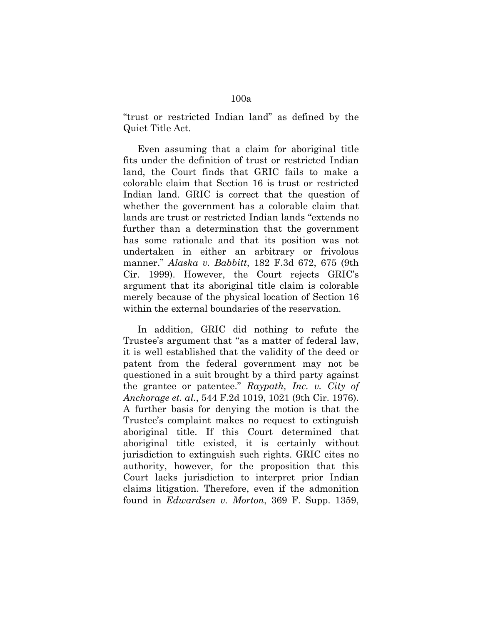"trust or restricted Indian land" as defined by the Quiet Title Act.

Even assuming that a claim for aboriginal title fits under the definition of trust or restricted Indian land, the Court finds that GRIC fails to make a colorable claim that Section 16 is trust or restricted Indian land. GRIC is correct that the question of whether the government has a colorable claim that lands are trust or restricted Indian lands "extends no further than a determination that the government has some rationale and that its position was not undertaken in either an arbitrary or frivolous manner." *Alaska v. Babbitt*, 182 F.3d 672, 675 (9th Cir. 1999). However, the Court rejects GRIC's argument that its aboriginal title claim is colorable merely because of the physical location of Section 16 within the external boundaries of the reservation.

In addition, GRIC did nothing to refute the Trustee's argument that "as a matter of federal law, it is well established that the validity of the deed or patent from the federal government may not be questioned in a suit brought by a third party against the grantee or patentee." *Raypath, Inc. v. City of Anchorage et. al.*, 544 F.2d 1019, 1021 (9th Cir. 1976). A further basis for denying the motion is that the Trustee's complaint makes no request to extinguish aboriginal title. If this Court determined that aboriginal title existed, it is certainly without jurisdiction to extinguish such rights. GRIC cites no authority, however, for the proposition that this Court lacks jurisdiction to interpret prior Indian claims litigation. Therefore, even if the admonition found in *Edwardsen v. Morton*, 369 F. Supp. 1359,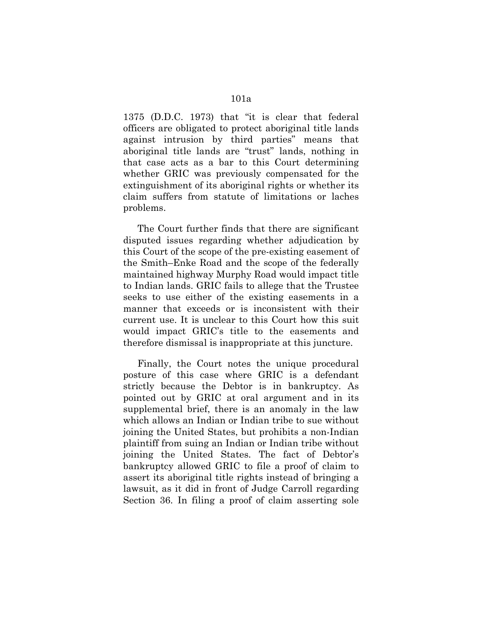1375 (D.D.C. 1973) that "it is clear that federal officers are obligated to protect aboriginal title lands against intrusion by third parties" means that aboriginal title lands are "trust" lands, nothing in that case acts as a bar to this Court determining whether GRIC was previously compensated for the extinguishment of its aboriginal rights or whether its claim suffers from statute of limitations or laches problems.

The Court further finds that there are significant disputed issues regarding whether adjudication by this Court of the scope of the pre-existing easement of the Smith–Enke Road and the scope of the federally maintained highway Murphy Road would impact title to Indian lands. GRIC fails to allege that the Trustee seeks to use either of the existing easements in a manner that exceeds or is inconsistent with their current use. It is unclear to this Court how this suit would impact GRIC's title to the easements and therefore dismissal is inappropriate at this juncture.

Finally, the Court notes the unique procedural posture of this case where GRIC is a defendant strictly because the Debtor is in bankruptcy. As pointed out by GRIC at oral argument and in its supplemental brief, there is an anomaly in the law which allows an Indian or Indian tribe to sue without joining the United States, but prohibits a non-Indian plaintiff from suing an Indian or Indian tribe without joining the United States. The fact of Debtor's bankruptcy allowed GRIC to file a proof of claim to assert its aboriginal title rights instead of bringing a lawsuit, as it did in front of Judge Carroll regarding Section 36. In filing a proof of claim asserting sole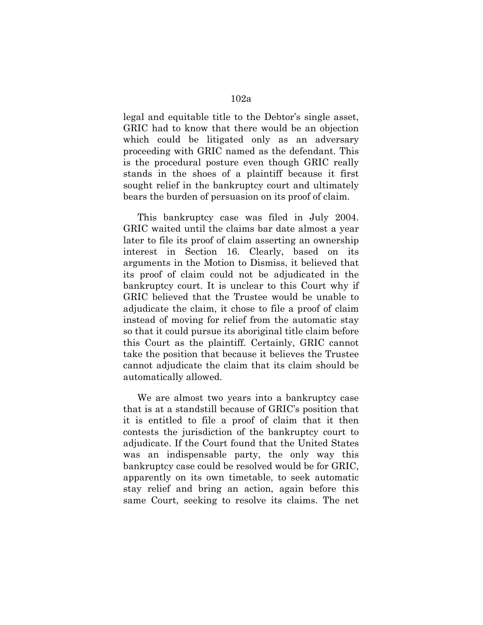legal and equitable title to the Debtor's single asset, GRIC had to know that there would be an objection which could be litigated only as an adversary proceeding with GRIC named as the defendant. This is the procedural posture even though GRIC really stands in the shoes of a plaintiff because it first sought relief in the bankruptcy court and ultimately bears the burden of persuasion on its proof of claim.

This bankruptcy case was filed in July 2004. GRIC waited until the claims bar date almost a year later to file its proof of claim asserting an ownership interest in Section 16. Clearly, based on its arguments in the Motion to Dismiss, it believed that its proof of claim could not be adjudicated in the bankruptcy court. It is unclear to this Court why if GRIC believed that the Trustee would be unable to adjudicate the claim, it chose to file a proof of claim instead of moving for relief from the automatic stay so that it could pursue its aboriginal title claim before this Court as the plaintiff. Certainly, GRIC cannot take the position that because it believes the Trustee cannot adjudicate the claim that its claim should be automatically allowed.

We are almost two years into a bankruptcy case that is at a standstill because of GRIC's position that it is entitled to file a proof of claim that it then contests the jurisdiction of the bankruptcy court to adjudicate. If the Court found that the United States was an indispensable party, the only way this bankruptcy case could be resolved would be for GRIC, apparently on its own timetable, to seek automatic stay relief and bring an action, again before this same Court, seeking to resolve its claims. The net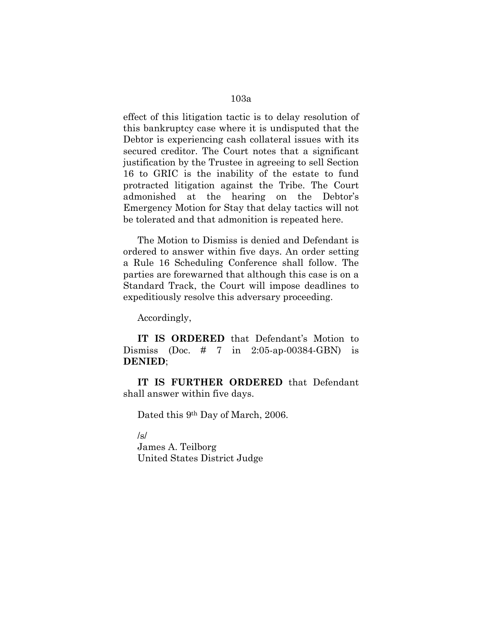effect of this litigation tactic is to delay resolution of this bankruptcy case where it is undisputed that the Debtor is experiencing cash collateral issues with its secured creditor. The Court notes that a significant justification by the Trustee in agreeing to sell Section 16 to GRIC is the inability of the estate to fund protracted litigation against the Tribe. The Court admonished at the hearing on the Debtor's Emergency Motion for Stay that delay tactics will not be tolerated and that admonition is repeated here.

The Motion to Dismiss is denied and Defendant is ordered to answer within five days. An order setting a Rule 16 Scheduling Conference shall follow. The parties are forewarned that although this case is on a Standard Track, the Court will impose deadlines to expeditiously resolve this adversary proceeding.

Accordingly,

**IT IS ORDERED** that Defendant's Motion to Dismiss (Doc. # 7 in 2:05-ap-00384-GBN) is **DENIED**;

**IT IS FURTHER ORDERED** that Defendant shall answer within five days.

Dated this 9<sup>th</sup> Day of March, 2006.

/s/

James A. Teilborg United States District Judge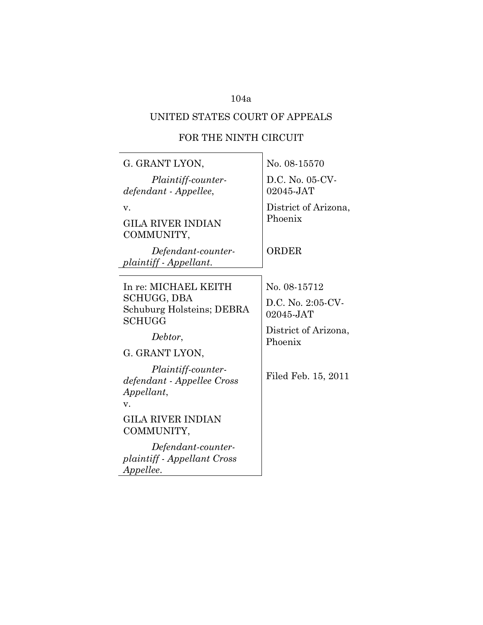# UNITED STATES COURT OF APPEALS

# FOR THE NINTH CIRCUIT

 $\overline{\phantom{a}}$ 

| G. GRANT LYON,                                                               | No. 08-15570                    |
|------------------------------------------------------------------------------|---------------------------------|
| Plaintiff-counter-<br>defendant - Appellee,                                  | D.C. No. 05-CV-<br>02045-JAT    |
| v.<br><b>GILA RIVER INDIAN</b><br>COMMUNITY,                                 | District of Arizona,<br>Phoenix |
| Defendant-counter-<br>plaintiff - Appellant.                                 | ORDER                           |
| In re: MICHAEL KEITH                                                         | No. 08-15712                    |
| SCHUGG, DBA<br>Schuburg Holsteins; DEBRA<br>SCHUGG                           | D.C. No. 2:05-CV-<br>02045-JAT  |
| Debtor,                                                                      | District of Arizona,<br>Phoenix |
| G. GRANT LYON,                                                               |                                 |
| Plaintiff-counter-<br>defendant - Appellee Cross<br>Appellant,<br>V.         | Filed Feb. 15, 2011             |
| <b>GILA RIVER INDIAN</b><br>COMMUNITY,                                       |                                 |
| Defendant-counter-<br><i>plaintiff - Appellant Cross</i><br><i>Appellee.</i> |                                 |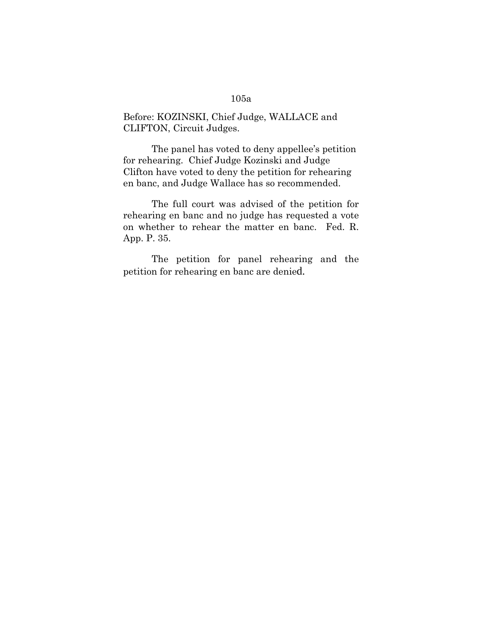Before: KOZINSKI, Chief Judge, WALLACE and CLIFTON, Circuit Judges.

The panel has voted to deny appellee's petition for rehearing. Chief Judge Kozinski and Judge Clifton have voted to deny the petition for rehearing en banc, and Judge Wallace has so recommended.

The full court was advised of the petition for rehearing en banc and no judge has requested a vote on whether to rehear the matter en banc. Fed. R. App. P. 35.

The petition for panel rehearing and the petition for rehearing en banc are denied.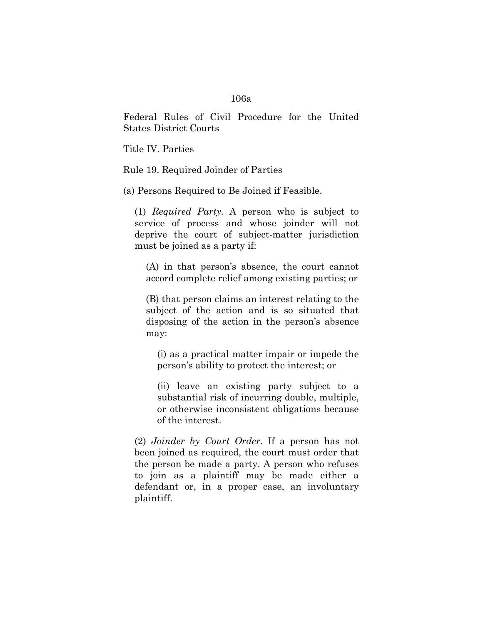Federal Rules of Civil Procedure for the United States District Courts

Title IV. Parties

Rule 19. Required Joinder of Parties

(a) Persons Required to Be Joined if Feasible.

(1) *Required Party.* A person who is subject to service of process and whose joinder will not deprive the court of subject-matter jurisdiction must be joined as a party if:

(A) in that person's absence, the court cannot accord complete relief among existing parties; or

(B) that person claims an interest relating to the subject of the action and is so situated that disposing of the action in the person's absence may:

(i) as a practical matter impair or impede the person's ability to protect the interest; or

(ii) leave an existing party subject to a substantial risk of incurring double, multiple, or otherwise inconsistent obligations because of the interest.

(2) *Joinder by Court Order.* If a person has not been joined as required, the court must order that the person be made a party. A person who refuses to join as a plaintiff may be made either a defendant or, in a proper case, an involuntary plaintiff.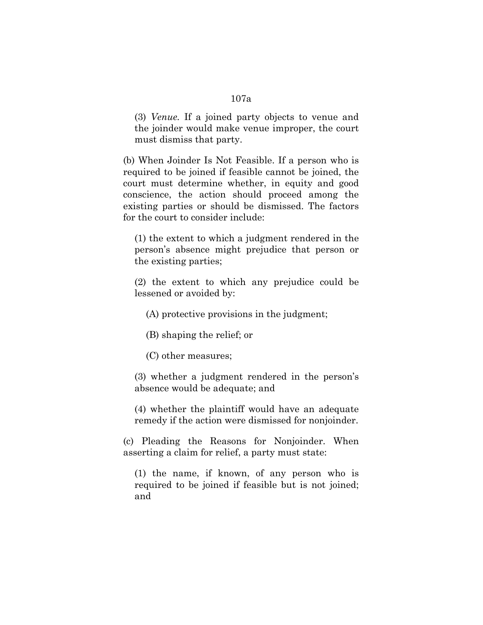(3) *Venue.* If a joined party objects to venue and the joinder would make venue improper, the court must dismiss that party.

(b) When Joinder Is Not Feasible. If a person who is required to be joined if feasible cannot be joined, the court must determine whether, in equity and good conscience, the action should proceed among the existing parties or should be dismissed. The factors for the court to consider include:

(1) the extent to which a judgment rendered in the person's absence might prejudice that person or the existing parties;

(2) the extent to which any prejudice could be lessened or avoided by:

(A) protective provisions in the judgment;

(B) shaping the relief; or

(C) other measures;

(3) whether a judgment rendered in the person's absence would be adequate; and

(4) whether the plaintiff would have an adequate remedy if the action were dismissed for nonjoinder.

(c) Pleading the Reasons for Nonjoinder. When asserting a claim for relief, a party must state:

(1) the name, if known, of any person who is required to be joined if feasible but is not joined; and